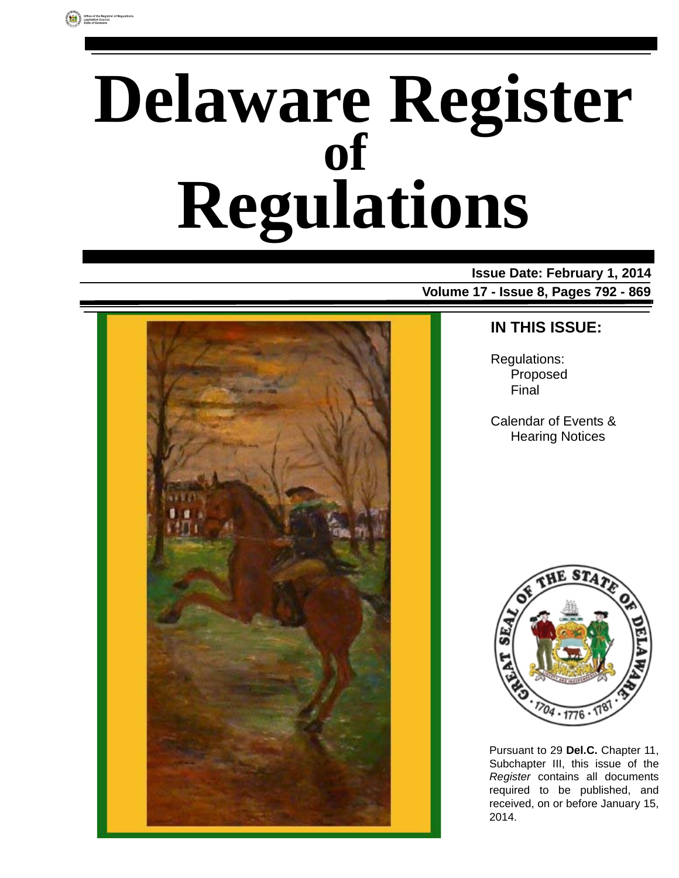# **Delaware Register Regulations of**

**Issue Date: February 1, 2014 Volume 17 - Issue 8, Pages 792 - 869**



### **IN THIS ISSUE:**

Regulations: Proposed Final

Calendar of Events & Hearing Notices



Pursuant to 29 **Del.C.** Chapter 11, Subchapter III, this issue of the *Register* contains all documents required to be published, and received, on or before January 15, 2014.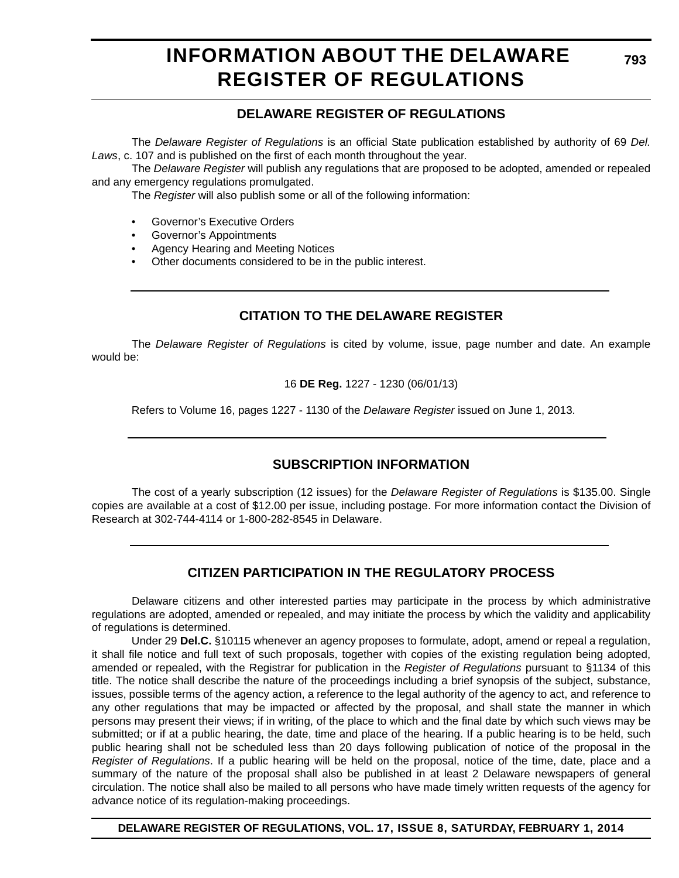# **INFORMATION ABOUT THE DELAWARE REGISTER OF REGULATIONS**

### **DELAWARE REGISTER OF REGULATIONS**

The *Delaware Register of Regulations* is an official State publication established by authority of 69 *Del. Laws*, c. 107 and is published on the first of each month throughout the year.

The *Delaware Register* will publish any regulations that are proposed to be adopted, amended or repealed and any emergency regulations promulgated.

The *Register* will also publish some or all of the following information:

- Governor's Executive Orders
- Governor's Appointments
- Agency Hearing and Meeting Notices
- Other documents considered to be in the public interest.

### **CITATION TO THE DELAWARE REGISTER**

The *Delaware Register of Regulations* is cited by volume, issue, page number and date. An example would be:

16 **DE Reg.** 1227 - 1230 (06/01/13)

Refers to Volume 16, pages 1227 - 1130 of the *Delaware Register* issued on June 1, 2013.

### **SUBSCRIPTION INFORMATION**

The cost of a yearly subscription (12 issues) for the *Delaware Register of Regulations* is \$135.00. Single copies are available at a cost of \$12.00 per issue, including postage. For more information contact the Division of Research at 302-744-4114 or 1-800-282-8545 in Delaware.

### **CITIZEN PARTICIPATION IN THE REGULATORY PROCESS**

Delaware citizens and other interested parties may participate in the process by which administrative regulations are adopted, amended or repealed, and may initiate the process by which the validity and applicability of regulations is determined.

Under 29 **Del.C.** §10115 whenever an agency proposes to formulate, adopt, amend or repeal a regulation, it shall file notice and full text of such proposals, together with copies of the existing regulation being adopted, amended or repealed, with the Registrar for publication in the *Register of Regulations* pursuant to §1134 of this title. The notice shall describe the nature of the proceedings including a brief synopsis of the subject, substance, issues, possible terms of the agency action, a reference to the legal authority of the agency to act, and reference to any other regulations that may be impacted or affected by the proposal, and shall state the manner in which persons may present their views; if in writing, of the place to which and the final date by which such views may be submitted; or if at a public hearing, the date, time and place of the hearing. If a public hearing is to be held, such public hearing shall not be scheduled less than 20 days following publication of notice of the proposal in the *Register of Regulations*. If a public hearing will be held on the proposal, notice of the time, date, place and a summary of the nature of the proposal shall also be published in at least 2 Delaware newspapers of general circulation. The notice shall also be mailed to all persons who have made timely written requests of the agency for advance notice of its regulation-making proceedings.

**DELAWARE REGISTER OF REGULATIONS, VOL. 17, ISSUE 8, SATURDAY, FEBRUARY 1, 2014**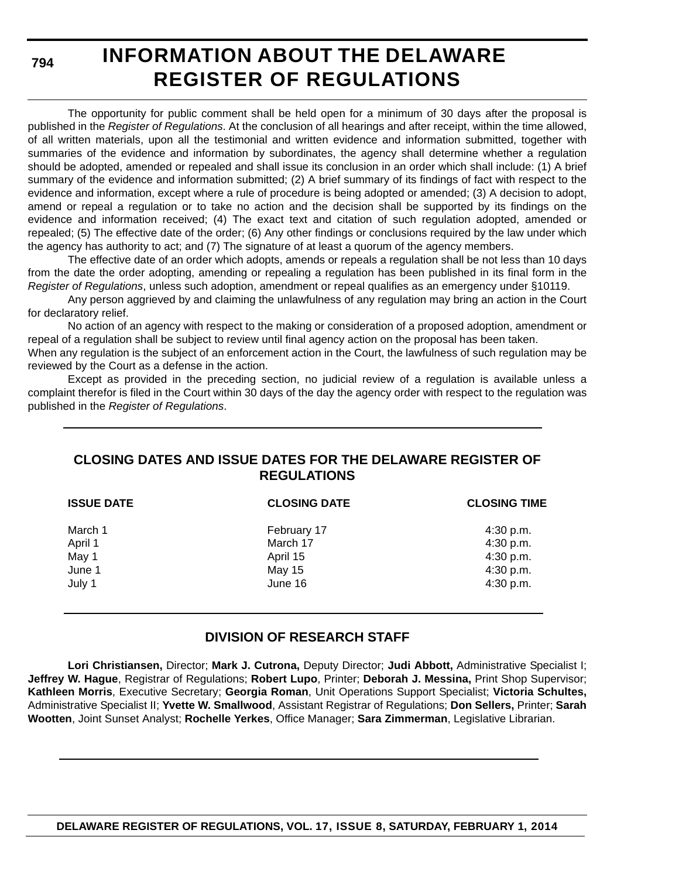**794**

# **INFORMATION ABOUT THE DELAWARE REGISTER OF REGULATIONS**

The opportunity for public comment shall be held open for a minimum of 30 days after the proposal is published in the *Register of Regulations*. At the conclusion of all hearings and after receipt, within the time allowed, of all written materials, upon all the testimonial and written evidence and information submitted, together with summaries of the evidence and information by subordinates, the agency shall determine whether a regulation should be adopted, amended or repealed and shall issue its conclusion in an order which shall include: (1) A brief summary of the evidence and information submitted; (2) A brief summary of its findings of fact with respect to the evidence and information, except where a rule of procedure is being adopted or amended; (3) A decision to adopt, amend or repeal a regulation or to take no action and the decision shall be supported by its findings on the evidence and information received; (4) The exact text and citation of such regulation adopted, amended or repealed; (5) The effective date of the order; (6) Any other findings or conclusions required by the law under which the agency has authority to act; and (7) The signature of at least a quorum of the agency members.

The effective date of an order which adopts, amends or repeals a regulation shall be not less than 10 days from the date the order adopting, amending or repealing a regulation has been published in its final form in the *Register of Regulations*, unless such adoption, amendment or repeal qualifies as an emergency under §10119.

Any person aggrieved by and claiming the unlawfulness of any regulation may bring an action in the Court for declaratory relief.

No action of an agency with respect to the making or consideration of a proposed adoption, amendment or repeal of a regulation shall be subject to review until final agency action on the proposal has been taken.

When any regulation is the subject of an enforcement action in the Court, the lawfulness of such regulation may be reviewed by the Court as a defense in the action.

Except as provided in the preceding section, no judicial review of a regulation is available unless a complaint therefor is filed in the Court within 30 days of the day the agency order with respect to the regulation was published in the *Register of Regulations*.

### **CLOSING DATES AND ISSUE DATES FOR THE DELAWARE REGISTER OF REGULATIONS**

| <b>ISSUE DATE</b> | <b>CLOSING DATE</b> | <b>CLOSING TIME</b> |
|-------------------|---------------------|---------------------|
| March 1           | February 17         | 4:30 p.m.           |
| April 1           | March 17            | 4:30 p.m.           |
| May 1             | April 15            | 4:30 p.m.           |
| June 1            | <b>May 15</b>       | 4:30 p.m.           |
| July 1            | June 16             | 4:30 p.m.           |

### **DIVISION OF RESEARCH STAFF**

**Lori Christiansen,** Director; **Mark J. Cutrona,** Deputy Director; **Judi Abbott,** Administrative Specialist I; **Jeffrey W. Hague**, Registrar of Regulations; **Robert Lupo**, Printer; **Deborah J. Messina,** Print Shop Supervisor; **Kathleen Morris**, Executive Secretary; **Georgia Roman**, Unit Operations Support Specialist; **Victoria Schultes,** Administrative Specialist II; **Yvette W. Smallwood**, Assistant Registrar of Regulations; **Don Sellers,** Printer; **Sarah Wootten**, Joint Sunset Analyst; **Rochelle Yerkes**, Office Manager; **Sara Zimmerman**, Legislative Librarian.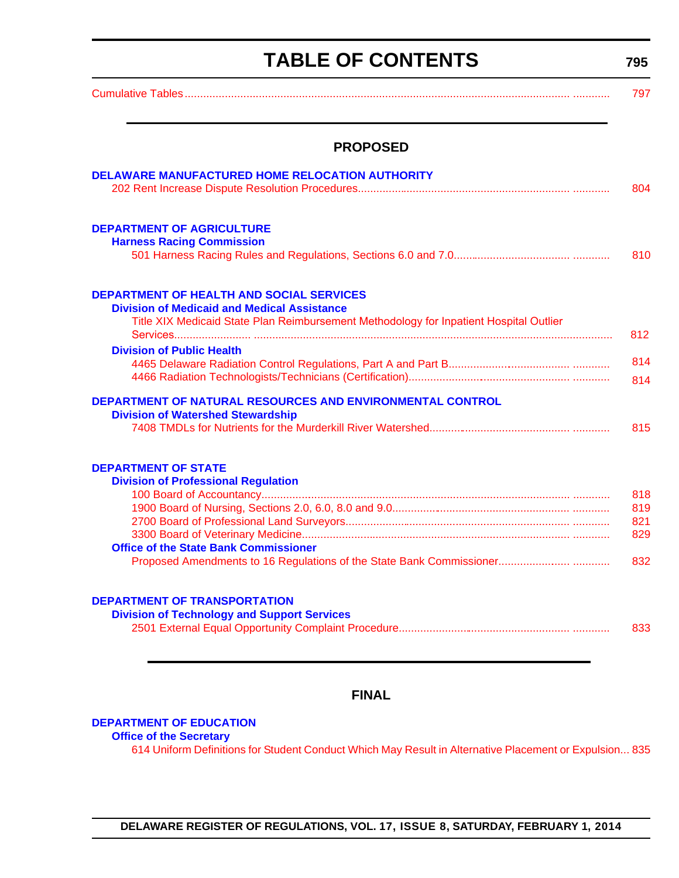# **TABLE OF CONTENTS**

**795**

<span id="page-3-0"></span>

| <b>PROPOSED</b>                                                                        |  |
|----------------------------------------------------------------------------------------|--|
| DELAWARE MANUFACTURED HOME RELOCATION AUTHORITY                                        |  |
|                                                                                        |  |
| <b>DEPARTMENT OF AGRICULTURE</b>                                                       |  |
| <b>Harness Racing Commission</b>                                                       |  |
|                                                                                        |  |
| <b>DEPARTMENT OF HEALTH AND SOCIAL SERVICES</b>                                        |  |
| <b>Division of Medicaid and Medical Assistance</b>                                     |  |
| Title XIX Medicaid State Plan Reimbursement Methodology for Inpatient Hospital Outlier |  |
| <b>Division of Public Health</b>                                                       |  |
|                                                                                        |  |
|                                                                                        |  |
| DEPARTMENT OF NATURAL RESOURCES AND ENVIRONMENTAL CONTROL                              |  |
| <b>Division of Watershed Stewardship</b>                                               |  |
|                                                                                        |  |
| <b>DEPARTMENT OF STATE</b>                                                             |  |
| <b>Division of Professional Regulation</b>                                             |  |
|                                                                                        |  |
|                                                                                        |  |
|                                                                                        |  |
|                                                                                        |  |
| <b>Office of the State Bank Commissioner</b>                                           |  |
|                                                                                        |  |
| <b>DEPARTMENT OF TRANSPORTATION</b>                                                    |  |
| <b>Division of Technology and Support Services</b>                                     |  |
|                                                                                        |  |

### **FINAL**

#### **[DEPARTMENT OF EDUCATION](http://www.doe.k12.de.us/)**

#### **Office of the Secretary**

[614 Uniform Definitions for Student Conduct Which May Result in Alternative Placement or Expulsion... 835](#page-43-0)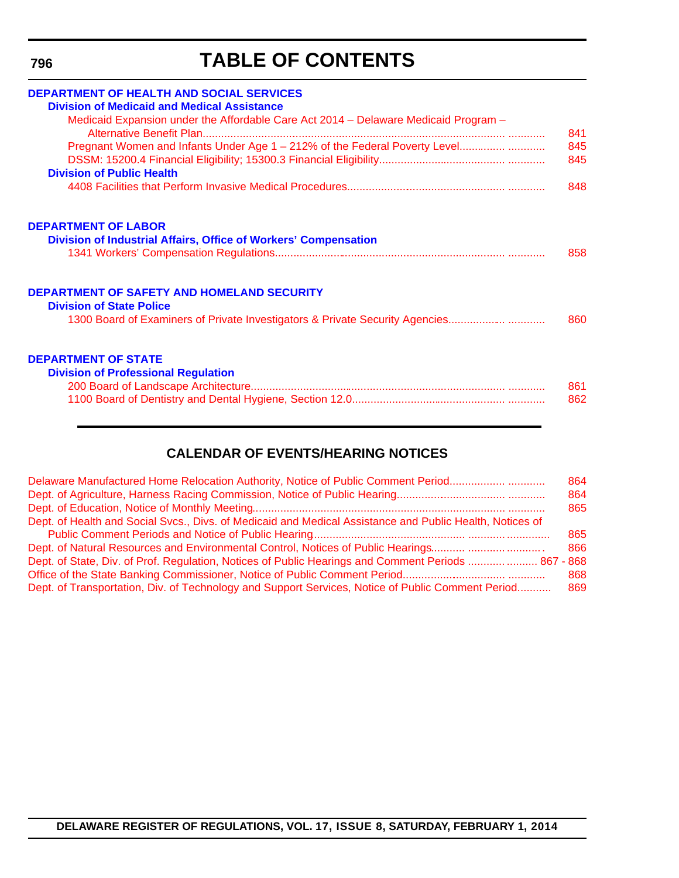**796**

# **TABLE OF CONTENTS**

| <b>DEPARTMENT OF HEALTH AND SOCIAL SERVICES</b><br><b>Division of Medicaid and Medical Assistance</b> |     |
|-------------------------------------------------------------------------------------------------------|-----|
| Medicaid Expansion under the Affordable Care Act 2014 - Delaware Medicaid Program -                   | 841 |
| Pregnant Women and Infants Under Age 1 - 212% of the Federal Poverty Level                            | 845 |
| <b>Division of Public Health</b>                                                                      | 845 |
|                                                                                                       | 848 |
| <b>DEPARTMENT OF LABOR</b>                                                                            |     |
| Division of Industrial Affairs, Office of Workers' Compensation                                       |     |
|                                                                                                       | 858 |
| <b>DEPARTMENT OF SAFETY AND HOMELAND SECURITY</b>                                                     |     |
| <b>Division of State Police</b>                                                                       |     |
| 1300 Board of Examiners of Private Investigators & Private Security Agencies                          | 860 |
| <b>DEPARTMENT OF STATE</b>                                                                            |     |
| <b>Division of Professional Regulation</b>                                                            |     |
|                                                                                                       | 861 |
|                                                                                                       | 862 |

### **CALENDAR OF EVENTS/HEARING NOTICES**

| Delaware Manufactured Home Relocation Authority, Notice of Public Comment Period                                                                                                                              | 864<br>864<br>865 |
|---------------------------------------------------------------------------------------------------------------------------------------------------------------------------------------------------------------|-------------------|
| Dept. of Health and Social Svcs., Divs. of Medicaid and Medical Assistance and Public Health, Notices of                                                                                                      | 865               |
|                                                                                                                                                                                                               | 866               |
| Dept. of State, Div. of Prof. Regulation, Notices of Public Hearings and Comment Periods   867 - 868<br>Dept. of Transportation, Div. of Technology and Support Services, Notice of Public Comment Period 869 | 868               |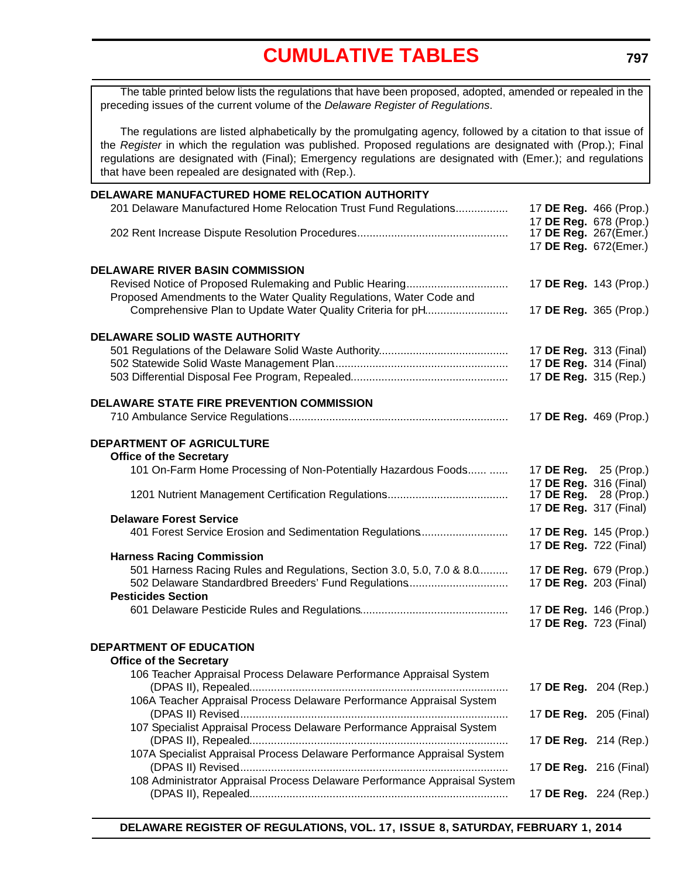<span id="page-5-0"></span>The table printed below lists the regulations that have been proposed, adopted, amended or repealed in the preceding issues of the current volume of the *Delaware Register of Regulations*.

The regulations are listed alphabetically by the promulgating agency, followed by a citation to that issue of the *Register* in which the regulation was published. Proposed regulations are designated with (Prop.); Final regulations are designated with (Final); Emergency regulations are designated with (Emer.); and regulations that have been repealed are designated with (Rep.).

| DELAWARE MANUFACTURED HOME RELOCATION AUTHORITY                           |                                                  |  |
|---------------------------------------------------------------------------|--------------------------------------------------|--|
| 201 Delaware Manufactured Home Relocation Trust Fund Regulations          | 17 DE Reg. 466 (Prop.)                           |  |
|                                                                           | 17 DE Reg. 678 (Prop.)                           |  |
|                                                                           | 17 DE Reg. 267(Emer.)                            |  |
|                                                                           | 17 DE Reg. 672(Emer.)                            |  |
|                                                                           |                                                  |  |
| <b>DELAWARE RIVER BASIN COMMISSION</b>                                    |                                                  |  |
|                                                                           | 17 DE Reg. 143 (Prop.)                           |  |
| Proposed Amendments to the Water Quality Regulations, Water Code and      |                                                  |  |
| Comprehensive Plan to Update Water Quality Criteria for pH                | 17 DE Reg. 365 (Prop.)                           |  |
|                                                                           |                                                  |  |
| <b>DELAWARE SOLID WASTE AUTHORITY</b>                                     |                                                  |  |
|                                                                           | 17 DE Reg. 313 (Final)<br>17 DE Reg. 314 (Final) |  |
|                                                                           |                                                  |  |
|                                                                           | 17 DE Reg. 315 (Rep.)                            |  |
| <b>DELAWARE STATE FIRE PREVENTION COMMISSION</b>                          |                                                  |  |
|                                                                           | 17 DE Reg. 469 (Prop.)                           |  |
|                                                                           |                                                  |  |
| <b>DEPARTMENT OF AGRICULTURE</b>                                          |                                                  |  |
| <b>Office of the Secretary</b>                                            |                                                  |  |
| 101 On-Farm Home Processing of Non-Potentially Hazardous Foods            | 17 <b>DE Reg.</b> 25 (Prop.)                     |  |
|                                                                           | 17 DE Reg. 316 (Final)                           |  |
|                                                                           | 17 DE Reg. 28 (Prop.)                            |  |
|                                                                           | 17 DE Reg. 317 (Final)                           |  |
| <b>Delaware Forest Service</b>                                            |                                                  |  |
| 401 Forest Service Erosion and Sedimentation Regulations                  | 17 DE Reg. 145 (Prop.)                           |  |
| <b>Harness Racing Commission</b>                                          | 17 DE Reg. 722 (Final)                           |  |
| 501 Harness Racing Rules and Regulations, Section 3.0, 5.0, 7.0 & 8.0     | 17 DE Reg. 679 (Prop.)                           |  |
| 502 Delaware Standardbred Breeders' Fund Regulations                      | 17 DE Reg. 203 (Final)                           |  |
| <b>Pesticides Section</b>                                                 |                                                  |  |
|                                                                           | 17 DE Reg. 146 (Prop.)                           |  |
|                                                                           | 17 DE Reg. 723 (Final)                           |  |
|                                                                           |                                                  |  |
| <b>DEPARTMENT OF EDUCATION</b>                                            |                                                  |  |
| <b>Office of the Secretary</b>                                            |                                                  |  |
| 106 Teacher Appraisal Process Delaware Performance Appraisal System       |                                                  |  |
|                                                                           | 17 DE Reg. 204 (Rep.)                            |  |
| 106A Teacher Appraisal Process Delaware Performance Appraisal System      |                                                  |  |
|                                                                           | 17 DE Reg. 205 (Final)                           |  |
| 107 Specialist Appraisal Process Delaware Performance Appraisal System    |                                                  |  |
|                                                                           | 17 DE Reg. 214 (Rep.)                            |  |
| 107A Specialist Appraisal Process Delaware Performance Appraisal System   |                                                  |  |
|                                                                           | 17 DE Reg. 216 (Final)                           |  |
| 108 Administrator Appraisal Process Delaware Performance Appraisal System |                                                  |  |
|                                                                           | 17 DE Reg. 224 (Rep.)                            |  |
|                                                                           |                                                  |  |

**DELAWARE REGISTER OF REGULATIONS, VOL. 17, ISSUE 8, SATURDAY, FEBRUARY 1, 2014**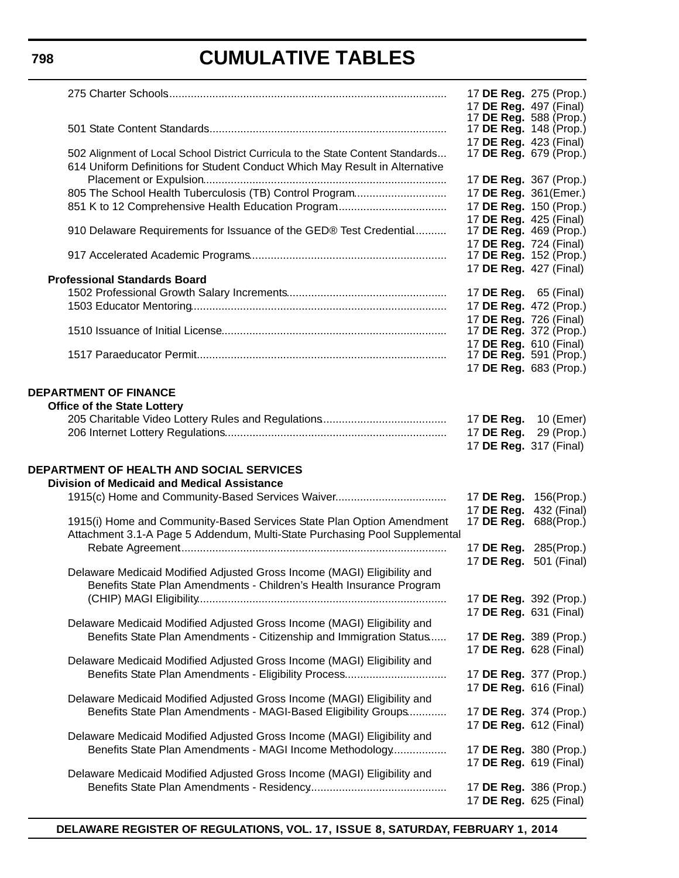### **798**

# **CUMULATIVE TABLES**

|                              |                                                                                                                                                                |                          | 17 DE Reg. 275 (Prop.)                                  |
|------------------------------|----------------------------------------------------------------------------------------------------------------------------------------------------------------|--------------------------|---------------------------------------------------------|
|                              |                                                                                                                                                                |                          | 17 DE Reg. 497 (Final)<br>17 DE Reg. 588 (Prop.)        |
|                              |                                                                                                                                                                |                          | 17 DE Reg. 148 (Prop.)<br>17 DE Reg. 423 (Final)        |
|                              | 502 Alignment of Local School District Curricula to the State Content Standards<br>614 Uniform Definitions for Student Conduct Which May Result in Alternative |                          | 17 <b>DE Reg.</b> 679 (Prop.)                           |
|                              |                                                                                                                                                                |                          | 17 DE Reg. 367 (Prop.)                                  |
|                              | 805 The School Health Tuberculosis (TB) Control Program                                                                                                        |                          | 17 DE Reg. 361(Emer.)<br>17 DE Reg. 150 (Prop.)         |
|                              |                                                                                                                                                                |                          | 17 DE Reg. 425 (Final)                                  |
|                              | 910 Delaware Requirements for Issuance of the GED® Test Credential                                                                                             |                          | 17 <b>DE Reg.</b> 469 (Prop.)<br>17 DE Reg. 724 (Final) |
|                              |                                                                                                                                                                |                          | 17 DE Reg. 152 (Prop.)<br>17 DE Reg. 427 (Final)        |
|                              | <b>Professional Standards Board</b>                                                                                                                            |                          |                                                         |
|                              |                                                                                                                                                                |                          | 17 <b>DE Reg.</b> 65 (Final)                            |
|                              |                                                                                                                                                                |                          | 17 DE Reg. 472 (Prop.)<br>17 DE Reg. 726 (Final)        |
|                              |                                                                                                                                                                |                          | 17 DE Reg. 372 (Prop.)                                  |
|                              |                                                                                                                                                                |                          | 17 DE Reg. 610 (Final)                                  |
|                              |                                                                                                                                                                |                          | 17 DE Reg. 591 (Prop.)<br>17 DE Reg. 683 (Prop.)        |
| <b>DEPARTMENT OF FINANCE</b> | <b>Office of the State Lottery</b>                                                                                                                             | 17 DE Reg.<br>17 DE Reg. | 10 (Emer)<br>29 (Prop.)<br>17 DE Reg. 317 (Final)       |
|                              |                                                                                                                                                                |                          |                                                         |
|                              | <b>DEPARTMENT OF HEALTH AND SOCIAL SERVICES</b>                                                                                                                |                          |                                                         |
|                              | <b>Division of Medicaid and Medical Assistance</b>                                                                                                             |                          |                                                         |
|                              | 1915(c) Home and Community-Based Services Waiver                                                                                                               | 17 DE Reg.               | 17 DE Reg. 156(Prop.)<br>432 (Final)                    |
|                              | 1915(i) Home and Community-Based Services State Plan Option Amendment<br>Attachment 3.1-A Page 5 Addendum, Multi-State Purchasing Pool Supplemental            |                          | 17 DE Reg. 688(Prop.)                                   |
|                              |                                                                                                                                                                |                          | 17 DE Reg. 285(Prop.)                                   |
|                              | Delaware Medicaid Modified Adjusted Gross Income (MAGI) Eligibility and                                                                                        |                          | 17 DE Reg. 501 (Final)                                  |
|                              | Benefits State Plan Amendments - Children's Health Insurance Program                                                                                           |                          | 17 DE Reg. 392 (Prop.)                                  |
|                              |                                                                                                                                                                |                          | 17 DE Reg. 631 (Final)                                  |
|                              | Delaware Medicaid Modified Adjusted Gross Income (MAGI) Eligibility and<br>Benefits State Plan Amendments - Citizenship and Immigration Status                 |                          | 17 DE Reg. 389 (Prop.)<br>17 DE Reg. 628 (Final)        |
|                              | Delaware Medicaid Modified Adjusted Gross Income (MAGI) Eligibility and                                                                                        |                          |                                                         |
|                              | Benefits State Plan Amendments - Eligibility Process                                                                                                           |                          | 17 DE Reg. 377 (Prop.)<br>17 DE Reg. 616 (Final)        |
|                              | Delaware Medicaid Modified Adjusted Gross Income (MAGI) Eligibility and<br>Benefits State Plan Amendments - MAGI-Based Eligibility Groups                      |                          | 17 DE Reg. 374 (Prop.)                                  |
|                              |                                                                                                                                                                |                          | 17 DE Reg. 612 (Final)                                  |
|                              | Delaware Medicaid Modified Adjusted Gross Income (MAGI) Eligibility and                                                                                        |                          |                                                         |
|                              | Benefits State Plan Amendments - MAGI Income Methodology                                                                                                       |                          | 17 DE Reg. 380 (Prop.)<br>17 DE Reg. 619 (Final)        |
|                              | Delaware Medicaid Modified Adjusted Gross Income (MAGI) Eligibility and                                                                                        |                          | 17 DE Reg. 386 (Prop.)                                  |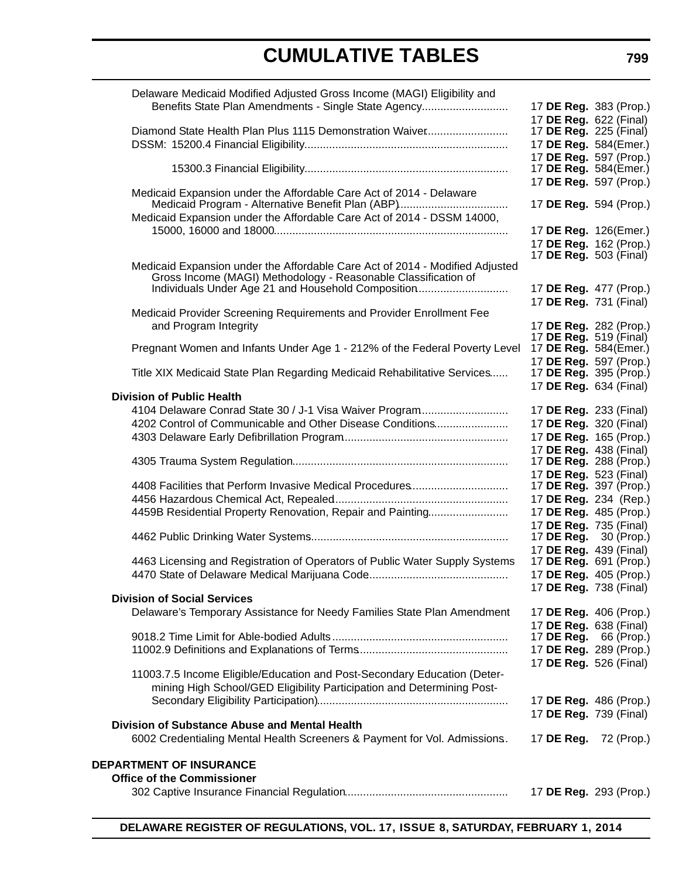| Delaware Medicaid Modified Adjusted Gross Income (MAGI) Eligibility and      |                                                        |            |
|------------------------------------------------------------------------------|--------------------------------------------------------|------------|
| Benefits State Plan Amendments - Single State Agency                         | 17 DE Reg. 383 (Prop.)                                 |            |
|                                                                              | 17 DE Reg. 622 (Final)                                 |            |
| Diamond State Health Plan Plus 1115 Demonstration Waiver                     | 17 <b>DE Reg.</b> 225 (Final)                          |            |
|                                                                              | 17 DE Reg. 584(Emer.)                                  |            |
|                                                                              | 17 DE Reg. 597 (Prop.)<br>17 DE Reg. 584(Emer.)        |            |
|                                                                              | 17 DE Reg. 597 (Prop.)                                 |            |
| Medicaid Expansion under the Affordable Care Act of 2014 - Delaware          |                                                        |            |
|                                                                              | 17 DE Reg. 594 (Prop.)                                 |            |
| Medicaid Expansion under the Affordable Care Act of 2014 - DSSM 14000,       |                                                        |            |
|                                                                              | 17 DE Reg. 126(Emer.)                                  |            |
|                                                                              | 17 DE Reg. 162 (Prop.)                                 |            |
| Medicaid Expansion under the Affordable Care Act of 2014 - Modified Adjusted | 17 <b>DE Reg.</b> 503 (Final)                          |            |
| Gross Income (MAGI) Methodology - Reasonable Classification of               |                                                        |            |
| Individuals Under Age 21 and Household Composition                           | 17 DE Reg. 477 (Prop.)                                 |            |
|                                                                              | 17 DE Reg. 731 (Final)                                 |            |
| Medicaid Provider Screening Requirements and Provider Enrollment Fee         |                                                        |            |
| and Program Integrity                                                        | 17 DE Reg. 282 (Prop.)                                 |            |
| Pregnant Women and Infants Under Age 1 - 212% of the Federal Poverty Level   | 17 <b>DE Reg.</b> 519 (Final)<br>17 DE Reg. 584(Emer.) |            |
|                                                                              | 17 DE Reg. 597 (Prop.)                                 |            |
| Title XIX Medicaid State Plan Regarding Medicaid Rehabilitative Services     | 17 DE Reg. 395 (Prop.)                                 |            |
|                                                                              | 17 DE Reg. 634 (Final)                                 |            |
| <b>Division of Public Health</b>                                             |                                                        |            |
| 4104 Delaware Conrad State 30 / J-1 Visa Waiver Program                      | 17 DE Reg. 233 (Final)                                 |            |
| 4202 Control of Communicable and Other Disease Conditions                    | 17 DE Reg. 320 (Final)                                 |            |
|                                                                              | 17 DE Reg. 165 (Prop.)                                 |            |
|                                                                              | 17 DE Reg. 438 (Final)<br>17 DE Reg. 288 (Prop.)       |            |
|                                                                              | 17 DE Reg. 523 (Final)                                 |            |
| 4408 Facilities that Perform Invasive Medical Procedures                     | 17 DE Reg. 397 (Prop.)                                 |            |
|                                                                              | 17 DE Reg. 234 (Rep.)                                  |            |
| 4459B Residential Property Renovation, Repair and Painting                   | 17 DE Reg. 485 (Prop.)                                 |            |
|                                                                              | 17 DE Reg. 735 (Final)                                 |            |
|                                                                              | 17 <b>DE Reg.</b> 30 (Prop.)                           |            |
|                                                                              | 17 DE Reg. 439 (Final)                                 |            |
| 4463 Licensing and Registration of Operators of Public Water Supply Systems  | 17 DE Reg. 691 (Prop.)<br>17 DE Reg. 405 (Prop.)       |            |
|                                                                              | 17 DE Reg. 738 (Final)                                 |            |
| <b>Division of Social Services</b>                                           |                                                        |            |
| Delaware's Temporary Assistance for Needy Families State Plan Amendment      | 17 DE Reg. 406 (Prop.)                                 |            |
|                                                                              | 17 DE Reg. 638 (Final)                                 |            |
|                                                                              | 17 DE Reg.                                             | 66 (Prop.) |
|                                                                              | 17 DE Reg. 289 (Prop.)                                 |            |
|                                                                              | 17 DE Reg. 526 (Final)                                 |            |
| 11003.7.5 Income Eligible/Education and Post-Secondary Education (Deter-     |                                                        |            |
| mining High School/GED Eligibility Participation and Determining Post-       | 17 DE Reg. 486 (Prop.)                                 |            |
|                                                                              | 17 DE Reg. 739 (Final)                                 |            |
| Division of Substance Abuse and Mental Health                                |                                                        |            |
| 6002 Credentialing Mental Health Screeners & Payment for Vol. Admissions.    | 17 DE Reg.                                             | 72 (Prop.) |
|                                                                              |                                                        |            |
| <b>DEPARTMENT OF INSURANCE</b>                                               |                                                        |            |
| <b>Office of the Commissioner</b>                                            |                                                        |            |
|                                                                              | 17 DE Reg. 293 (Prop.)                                 |            |

**DELAWARE REGISTER OF REGULATIONS, VOL. 17, ISSUE 8, SATURDAY, FEBRUARY 1, 2014**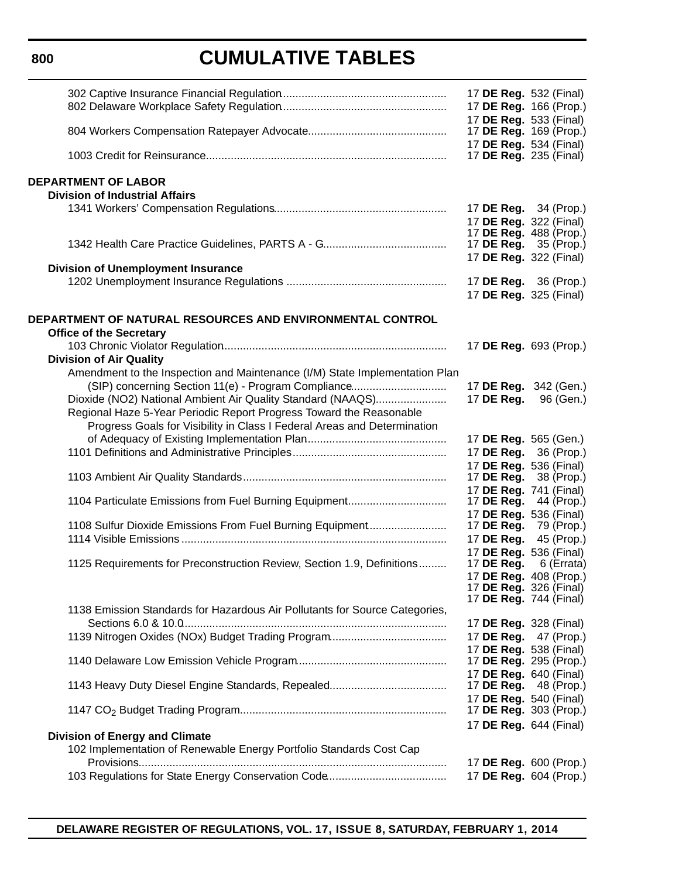### **800**

# **CUMULATIVE TABLES**

|                                                                             | 17 DE Reg. 532 (Final)        |                              |
|-----------------------------------------------------------------------------|-------------------------------|------------------------------|
|                                                                             |                               |                              |
|                                                                             | 17 DE Reg. 166 (Prop.)        |                              |
|                                                                             | 17 DE Reg. 533 (Final)        |                              |
|                                                                             | 17 <b>DE Reg.</b> 169 (Prop.) |                              |
|                                                                             | 17 DE Reg. 534 (Final)        |                              |
|                                                                             | 17 <b>DE Reg.</b> 235 (Final) |                              |
|                                                                             |                               |                              |
| <b>DEPARTMENT OF LABOR</b>                                                  |                               |                              |
| <b>Division of Industrial Affairs</b>                                       |                               |                              |
|                                                                             | 17 <b>DE Reg.</b> 34 (Prop.)  |                              |
|                                                                             | 17 DE Reg. 322 (Final)        |                              |
|                                                                             | 17 DE Reg. 488 (Prop.)        |                              |
|                                                                             | 17 <b>DE Reg.</b> 35 (Prop.)  |                              |
|                                                                             | 17 DE Reg. 322 (Final)        |                              |
| <b>Division of Unemployment Insurance</b>                                   |                               |                              |
|                                                                             | 17 DE Reg. 36 (Prop.)         |                              |
|                                                                             | 17 DE Reg. 325 (Final)        |                              |
|                                                                             |                               |                              |
| DEPARTMENT OF NATURAL RESOURCES AND ENVIRONMENTAL CONTROL                   |                               |                              |
| <b>Office of the Secretary</b>                                              |                               |                              |
|                                                                             | 17 DE Reg. 693 (Prop.)        |                              |
| <b>Division of Air Quality</b>                                              |                               |                              |
| Amendment to the Inspection and Maintenance (I/M) State Implementation Plan |                               |                              |
| (SIP) concerning Section 11(e) - Program Compliance                         |                               | 17 DE Reg. 342 (Gen.)        |
|                                                                             |                               |                              |
| Dioxide (NO2) National Ambient Air Quality Standard (NAAQS)                 | 17 DE Reg.                    | 96 (Gen.)                    |
| Regional Haze 5-Year Periodic Report Progress Toward the Reasonable         |                               |                              |
| Progress Goals for Visibility in Class I Federal Areas and Determination    |                               |                              |
|                                                                             | 17 DE Reg. 565 (Gen.)         |                              |
|                                                                             | 17 DE Reg.                    | 36 (Prop.)                   |
|                                                                             | 17 DE Reg. 536 (Final)        |                              |
|                                                                             | 17 DE Reg.                    | 38 (Prop.)                   |
|                                                                             | 17 DE Reg. 741 (Final)        |                              |
| 1104 Particulate Emissions from Fuel Burning Equipment                      | 17 DE Reg.                    | 44 (Prop.)                   |
|                                                                             | 17 DE Reg. 536 (Final)        |                              |
| 1108 Sulfur Dioxide Emissions From Fuel Burning Equipment                   | 17 DE Reg.                    | 79 (Prop.)                   |
|                                                                             | 17 DE Reg.                    | 45 (Prop.)                   |
|                                                                             | 17 DE Reg. 536 (Final)        |                              |
| 1125 Requirements for Preconstruction Review, Section 1.9, Definitions      | 17 DE Reg.                    | 6 (Errata)                   |
|                                                                             | 17 DE Reg. 408 (Prop.)        |                              |
|                                                                             | 17 DE Reg. 326 (Final)        |                              |
|                                                                             | 17 <b>DE Reg.</b> 744 (Final) |                              |
| 1138 Emission Standards for Hazardous Air Pollutants for Source Categories, |                               |                              |
|                                                                             | 17 <b>DE Reg.</b> 328 (Final) |                              |
|                                                                             |                               | 17 <b>DE Reg.</b> 47 (Prop.) |
|                                                                             | 17 DE Reg. 538 (Final)        |                              |
|                                                                             | 17 <b>DE Reg.</b> 295 (Prop.) |                              |
|                                                                             | 17 DE Reg. 640 (Final)        |                              |
|                                                                             | 17 <b>DE Reg.</b> 48 (Prop.)  |                              |
|                                                                             | 17 DE Reg. 540 (Final)        |                              |
|                                                                             |                               | 17 DE Reg. 303 (Prop.)       |
|                                                                             | 17 DE Reg. 644 (Final)        |                              |
| <b>Division of Energy and Climate</b>                                       |                               |                              |
| 102 Implementation of Renewable Energy Portfolio Standards Cost Cap         |                               |                              |
|                                                                             |                               | 17 DE Reg. 600 (Prop.)       |
|                                                                             | 17 DE Reg. 604 (Prop.)        |                              |
|                                                                             |                               |                              |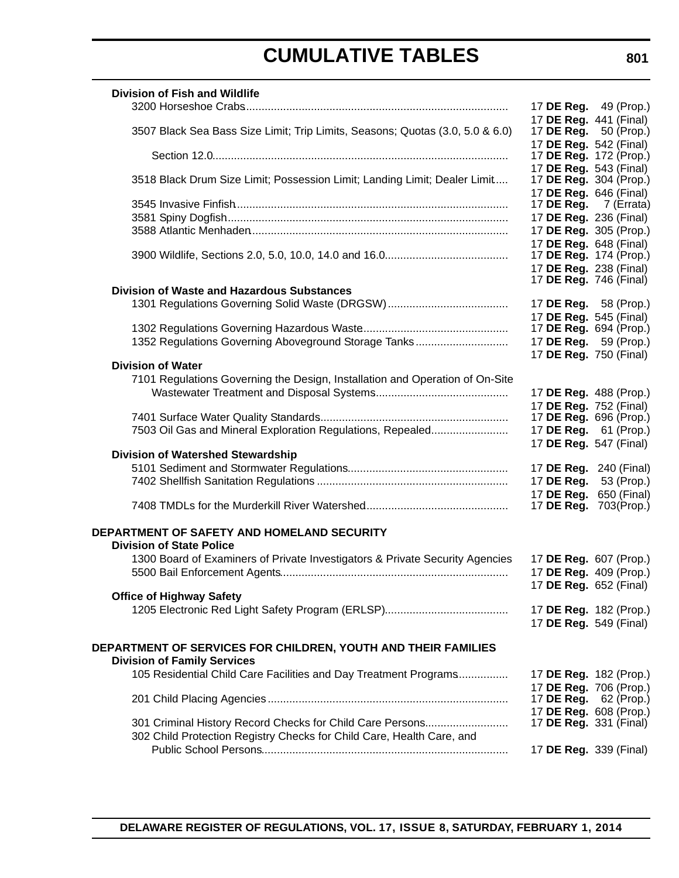| <b>Division of Fish and Wildlife</b>                                                                |                               |                                      |
|-----------------------------------------------------------------------------------------------------|-------------------------------|--------------------------------------|
|                                                                                                     |                               | 17 <b>DE Reg.</b> 49 (Prop.)         |
| 3507 Black Sea Bass Size Limit; Trip Limits, Seasons; Quotas (3.0, 5.0 & 6.0)                       | 17 DE Reg. 441 (Final)        | 17 <b>DE Reg.</b> 50 (Prop.)         |
|                                                                                                     | 17 DE Reg. 542 (Final)        |                                      |
|                                                                                                     |                               | 17 DE Reg. 172 (Prop.)               |
| 3518 Black Drum Size Limit; Possession Limit; Landing Limit; Dealer Limit                           | 17 DE Reg. 543 (Final)        | 17 DE Reg. 304 (Prop.)               |
|                                                                                                     | 17 DE Reg. 646 (Final)        |                                      |
|                                                                                                     |                               | 17 DE Reg. 7 (Errata)                |
|                                                                                                     | 17 DE Reg. 236 (Final)        |                                      |
|                                                                                                     |                               | 17 DE Reg. 305 (Prop.)               |
|                                                                                                     | 17 DE Reg. 648 (Final)        |                                      |
|                                                                                                     | 17 DE Reg. 238 (Final)        | 17 DE Reg. 174 (Prop.)               |
|                                                                                                     | 17 <b>DE Reg.</b> 746 (Final) |                                      |
| <b>Division of Waste and Hazardous Substances</b>                                                   |                               |                                      |
|                                                                                                     |                               | 17 <b>DE Reg.</b> 58 (Prop.)         |
|                                                                                                     | 17 DE Reg. 545 (Final)        |                                      |
|                                                                                                     |                               | 17 DE Reg. 694 (Prop.)               |
| 1352 Regulations Governing Aboveground Storage Tanks                                                |                               | 17 DE Reg. 59 (Prop.)                |
| <b>Division of Water</b>                                                                            | 17 DE Reg. 750 (Final)        |                                      |
| 7101 Regulations Governing the Design, Installation and Operation of On-Site                        |                               |                                      |
|                                                                                                     |                               | 17 DE Reg. 488 (Prop.)               |
|                                                                                                     | 17 DE Reg. 752 (Final)        |                                      |
|                                                                                                     |                               | 17 <b>DE Reg.</b> 696 (Prop.)        |
| 7503 Oil Gas and Mineral Exploration Regulations, Repealed                                          |                               | 17 DE Reg. 61 (Prop.)                |
|                                                                                                     | 17 DE Reg. 547 (Final)        |                                      |
| <b>Division of Watershed Stewardship</b>                                                            |                               |                                      |
|                                                                                                     | 17 DE Reg.                    | 17 DE Reg. 240 (Final)<br>53 (Prop.) |
|                                                                                                     |                               | 17 DE Reg. 650 (Final)               |
|                                                                                                     |                               | 17 DE Reg. 703(Prop.)                |
|                                                                                                     |                               |                                      |
| DEPARTMENT OF SAFETY AND HOMELAND SECURITY<br><b>Division of State Police</b>                       |                               |                                      |
| 1300 Board of Examiners of Private Investigators & Private Security Agencies                        |                               | 17 DE Reg. 607 (Prop.)               |
|                                                                                                     |                               | 17 DE Reg. 409 (Prop.)               |
|                                                                                                     | 17 <b>DE Reg.</b> 652 (Final) |                                      |
| <b>Office of Highway Safety</b>                                                                     |                               |                                      |
|                                                                                                     |                               | 17 DE Reg. 182 (Prop.)               |
|                                                                                                     | 17 DE Reg. 549 (Final)        |                                      |
|                                                                                                     |                               |                                      |
| DEPARTMENT OF SERVICES FOR CHILDREN, YOUTH AND THEIR FAMILIES<br><b>Division of Family Services</b> |                               |                                      |
| 105 Residential Child Care Facilities and Day Treatment Programs                                    |                               | 17 DE Reg. 182 (Prop.)               |
|                                                                                                     |                               | 17 DE Reg. 706 (Prop.)               |
|                                                                                                     | 17 DE Reg.                    | 62 (Prop.)                           |
|                                                                                                     |                               | 17 DE Reg. 608 (Prop.)               |
| 301 Criminal History Record Checks for Child Care Persons                                           | 17 DE Reg. 331 (Final)        |                                      |
| 302 Child Protection Registry Checks for Child Care, Health Care, and                               |                               |                                      |
|                                                                                                     | 17 <b>DE Reg.</b> 339 (Final) |                                      |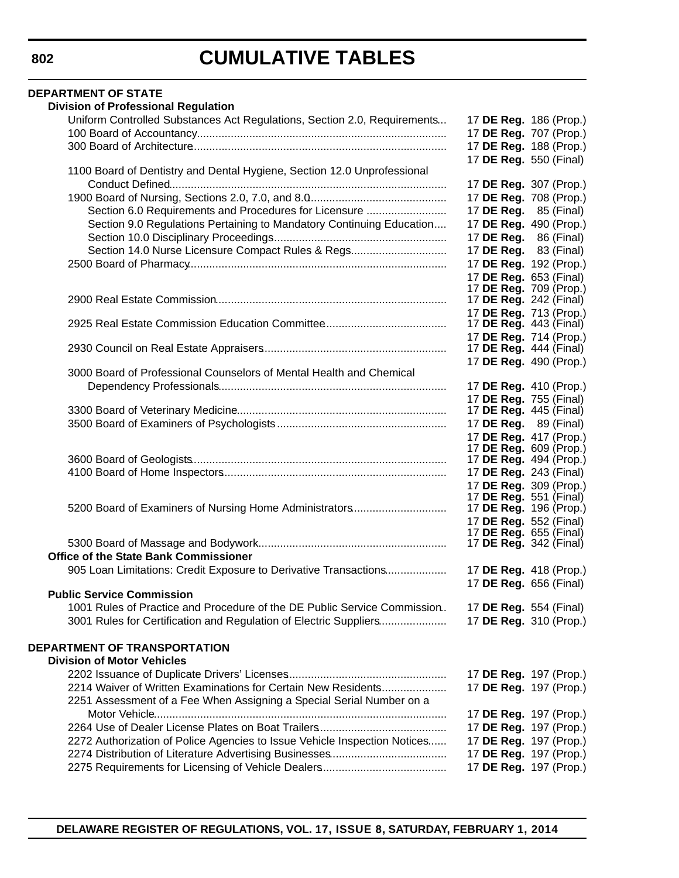| <b>DEPARTMENT OF STATE</b>                                                |                                                         |
|---------------------------------------------------------------------------|---------------------------------------------------------|
| <b>Division of Professional Regulation</b>                                |                                                         |
| Uniform Controlled Substances Act Regulations, Section 2.0, Requirements  | 17 DE Reg. 186 (Prop.)                                  |
|                                                                           | 17 DE Reg. 707 (Prop.)                                  |
|                                                                           | 17 DE Reg. 188 (Prop.)                                  |
|                                                                           | 17 DE Reg. 550 (Final)                                  |
| 1100 Board of Dentistry and Dental Hygiene, Section 12.0 Unprofessional   |                                                         |
|                                                                           | 17 DE Reg. 307 (Prop.)                                  |
|                                                                           | 17 DE Reg. 708 (Prop.)                                  |
| Section 6.0 Requirements and Procedures for Licensure                     | 17 <b>DE Reg.</b> 85 (Final)                            |
| Section 9.0 Regulations Pertaining to Mandatory Continuing Education      | 17 DE Reg. 490 (Prop.)                                  |
|                                                                           | 17 DE Reg. 86 (Final)                                   |
| Section 14.0 Nurse Licensure Compact Rules & Regs                         | 17 DE Reg. 83 (Final)                                   |
|                                                                           | 17 DE Reg. 192 (Prop.)                                  |
|                                                                           | 17 DE Reg. 653 (Final)                                  |
|                                                                           | 17 DE Reg. 709 (Prop.)                                  |
|                                                                           | 17 DE Reg. 242 (Final)                                  |
|                                                                           | 17 DE Reg. 713 (Prop.)<br>17 <b>DE Reg.</b> 443 (Final) |
|                                                                           | 17 DE Reg. 714 (Prop.)                                  |
|                                                                           | 17 DE Reg. 444 (Final)                                  |
|                                                                           | 17 DE Reg. 490 (Prop.)                                  |
| 3000 Board of Professional Counselors of Mental Health and Chemical       |                                                         |
|                                                                           | 17 DE Reg. 410 (Prop.)                                  |
|                                                                           | 17 DE Reg. 755 (Final)                                  |
|                                                                           | 17 <b>DE Reg.</b> 445 (Final)                           |
|                                                                           | 17 <b>DE Reg.</b> 89 (Final)                            |
|                                                                           | 17 DE Reg. 417 (Prop.)                                  |
|                                                                           | 17 DE Reg. 609 (Prop.)                                  |
|                                                                           | 17 <b>DE Reg.</b> 494 (Prop.)                           |
|                                                                           | 17 DE Reg. 243 (Final)                                  |
|                                                                           | 17 DE Reg. 309 (Prop.)                                  |
| 5200 Board of Examiners of Nursing Home Administrators                    | 17 <b>DE Reg.</b> 551 (Final)<br>17 DE Reg. 196 (Prop.) |
|                                                                           | 17 DE Reg. 552 (Final)                                  |
|                                                                           | 17 <b>DE Reg.</b> 655 (Final)                           |
|                                                                           | 17 <b>DE Reg.</b> 342 (Final)                           |
| <b>Office of the State Bank Commissioner</b>                              |                                                         |
| 905 Loan Limitations: Credit Exposure to Derivative Transactions          | 17 DE Reg. 418 (Prop.)                                  |
|                                                                           | 17 DE Reg. 656 (Final)                                  |
| <b>Public Service Commission</b>                                          |                                                         |
| 1001 Rules of Practice and Procedure of the DE Public Service Commission  | 17 <b>DE Reg.</b> 554 (Final)                           |
| 3001 Rules for Certification and Regulation of Electric Suppliers         | 17 DE Reg. 310 (Prop.)                                  |
|                                                                           |                                                         |
| DEPARTMENT OF TRANSPORTATION                                              |                                                         |
| <b>Division of Motor Vehicles</b>                                         |                                                         |
|                                                                           | 17 DE Reg. 197 (Prop.)                                  |
| 2214 Waiver of Written Examinations for Certain New Residents             | 17 DE Reg. 197 (Prop.)                                  |
| 2251 Assessment of a Fee When Assigning a Special Serial Number on a      |                                                         |
|                                                                           | 17 DE Reg. 197 (Prop.)                                  |
|                                                                           | 17 DE Reg. 197 (Prop.)                                  |
| 2272 Authorization of Police Agencies to Issue Vehicle Inspection Notices | 17 DE Reg. 197 (Prop.)                                  |
|                                                                           | 17 DE Reg. 197 (Prop.)                                  |
|                                                                           | 17 DE Reg. 197 (Prop.)                                  |
|                                                                           |                                                         |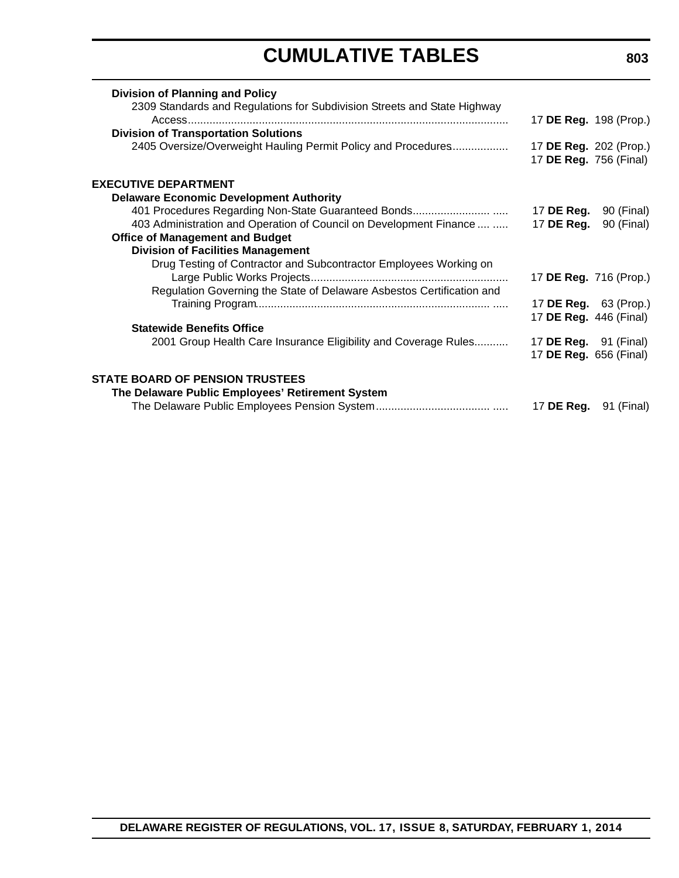| <b>Division of Planning and Policy</b>                                   |                               |                              |
|--------------------------------------------------------------------------|-------------------------------|------------------------------|
| 2309 Standards and Regulations for Subdivision Streets and State Highway | 17 DE Reg. 198 (Prop.)        |                              |
| <b>Division of Transportation Solutions</b>                              |                               |                              |
| 2405 Oversize/Overweight Hauling Permit Policy and Procedures            | 17 DE Reg. 202 (Prop.)        |                              |
|                                                                          | 17 DE Reg. 756 (Final)        |                              |
| <b>EXECUTIVE DEPARTMENT</b>                                              |                               |                              |
| <b>Delaware Economic Development Authority</b>                           |                               |                              |
|                                                                          | 17 DE Reg.                    | 90 (Final)                   |
| 403 Administration and Operation of Council on Development Finance       | 17 DE Reg.                    | 90 (Final)                   |
| <b>Office of Management and Budget</b>                                   |                               |                              |
| <b>Division of Facilities Management</b>                                 |                               |                              |
| Drug Testing of Contractor and Subcontractor Employees Working on        |                               |                              |
|                                                                          | 17 DE Reg. 716 (Prop.)        |                              |
| Regulation Governing the State of Delaware Asbestos Certification and    |                               |                              |
|                                                                          | 17 <b>DE Reg.</b> 63 (Prop.)  |                              |
|                                                                          | 17 <b>DE Reg.</b> 446 (Final) |                              |
| <b>Statewide Benefits Office</b>                                         |                               |                              |
| 2001 Group Health Care Insurance Eligibility and Coverage Rules          | 17 <b>DE Reg.</b> 91 (Final)  |                              |
|                                                                          | 17 DE Reg. 656 (Final)        |                              |
| <b>STATE BOARD OF PENSION TRUSTEES</b>                                   |                               |                              |
| The Delaware Public Employees' Retirement System                         |                               |                              |
|                                                                          |                               | 17 <b>DE Reg.</b> 91 (Final) |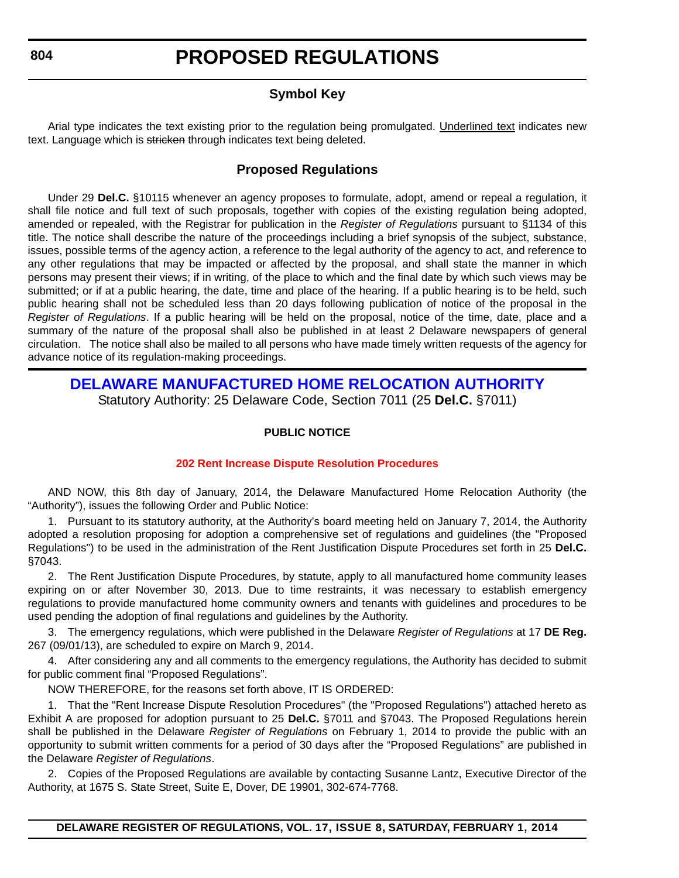### **Symbol Key**

<span id="page-12-0"></span>Arial type indicates the text existing prior to the regulation being promulgated. Underlined text indicates new text. Language which is stricken through indicates text being deleted.

### **Proposed Regulations**

Under 29 **Del.C.** §10115 whenever an agency proposes to formulate, adopt, amend or repeal a regulation, it shall file notice and full text of such proposals, together with copies of the existing regulation being adopted, amended or repealed, with the Registrar for publication in the *Register of Regulations* pursuant to §1134 of this title. The notice shall describe the nature of the proceedings including a brief synopsis of the subject, substance, issues, possible terms of the agency action, a reference to the legal authority of the agency to act, and reference to any other regulations that may be impacted or affected by the proposal, and shall state the manner in which persons may present their views; if in writing, of the place to which and the final date by which such views may be submitted; or if at a public hearing, the date, time and place of the hearing. If a public hearing is to be held, such public hearing shall not be scheduled less than 20 days following publication of notice of the proposal in the *Register of Regulations*. If a public hearing will be held on the proposal, notice of the time, date, place and a summary of the nature of the proposal shall also be published in at least 2 Delaware newspapers of general circulation. The notice shall also be mailed to all persons who have made timely written requests of the agency for advance notice of its regulation-making proceedings.

# **[DELAWARE MANUFACTURED HOME RELOCATION AUTHORITY](http://demhra.delaware.gov/)**

Statutory Authority: 25 Delaware Code, Section 7011 (25 **Del.C.** §7011)

#### **PUBLIC NOTICE**

#### **[202 Rent Increase Dispute Resolution Procedures](#page-3-0)**

AND NOW, this 8th day of January, 2014, the Delaware Manufactured Home Relocation Authority (the "Authority"), issues the following Order and Public Notice:

1. Pursuant to its statutory authority, at the Authority's board meeting held on January 7, 2014, the Authority adopted a resolution proposing for adoption a comprehensive set of regulations and guidelines (the "Proposed Regulations") to be used in the administration of the Rent Justification Dispute Procedures set forth in 25 **Del.C.** §7043.

2. The Rent Justification Dispute Procedures, by statute, apply to all manufactured home community leases expiring on or after November 30, 2013. Due to time restraints, it was necessary to establish emergency regulations to provide manufactured home community owners and tenants with guidelines and procedures to be used pending the adoption of final regulations and guidelines by the Authority.

3. The emergency regulations, which were published in the Delaware *Register of Regulations* at 17 **DE Reg.** 267 (09/01/13), are scheduled to expire on March 9, 2014.

4. After considering any and all comments to the emergency regulations, the Authority has decided to submit for public comment final "Proposed Regulations".

NOW THEREFORE, for the reasons set forth above, IT IS ORDERED:

1. That the "Rent Increase Dispute Resolution Procedures" (the "Proposed Regulations") attached hereto as Exhibit A are proposed for adoption pursuant to 25 **Del.C.** §7011 and §7043. The Proposed Regulations herein shall be published in the Delaware *Register of Regulations* on February 1, 2014 to provide the public with an opportunity to submit written comments for a period of 30 days after the "Proposed Regulations" are published in the Delaware *Register of Regulations*.

2. Copies of the Proposed Regulations are available by contacting Susanne Lantz, Executive Director of the Authority, at 1675 S. State Street, Suite E, Dover, DE 19901, 302-674-7768.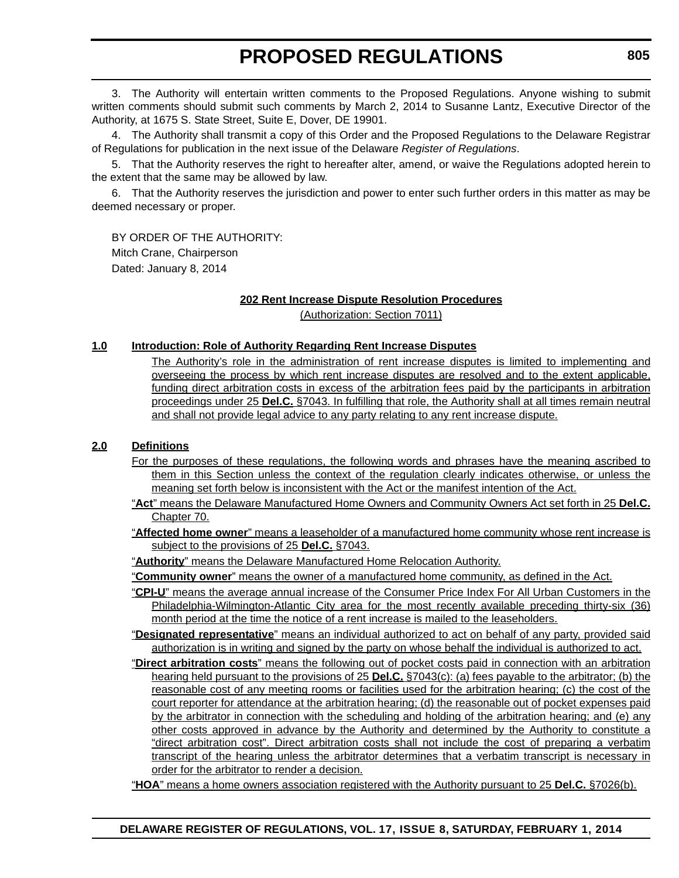3. The Authority will entertain written comments to the Proposed Regulations. Anyone wishing to submit written comments should submit such comments by March 2, 2014 to Susanne Lantz, Executive Director of the Authority, at 1675 S. State Street, Suite E, Dover, DE 19901.

4. The Authority shall transmit a copy of this Order and the Proposed Regulations to the Delaware Registrar of Regulations for publication in the next issue of the Delaware *Register of Regulations*.

5. That the Authority reserves the right to hereafter alter, amend, or waive the Regulations adopted herein to the extent that the same may be allowed by law.

6. That the Authority reserves the jurisdiction and power to enter such further orders in this matter as may be deemed necessary or proper.

BY ORDER OF THE AUTHORITY: Mitch Crane, Chairperson Dated: January 8, 2014

#### **202 Rent Increase Dispute Resolution Procedures**

(Authorization: Section 7011)

#### **1.0 Introduction: Role of Authority Regarding Rent Increase Disputes**

The Authority's role in the administration of rent increase disputes is limited to implementing and overseeing the process by which rent increase disputes are resolved and to the extent applicable, funding direct arbitration costs in excess of the arbitration fees paid by the participants in arbitration proceedings under 25 **Del.C.** §7043. In fulfilling that role, the Authority shall at all times remain neutral and shall not provide legal advice to any party relating to any rent increase dispute.

#### **2.0 Definitions**

- For the purposes of these regulations, the following words and phrases have the meaning ascribed to them in this Section unless the context of the regulation clearly indicates otherwise, or unless the meaning set forth below is inconsistent with the Act or the manifest intention of the Act.
- "**Act**" means the Delaware Manufactured Home Owners and Community Owners Act set forth in 25 **Del.C.** Chapter 70.
- "**Affected home owner**" means a leaseholder of a manufactured home community whose rent increase is subject to the provisions of 25 **Del.C.** §7043.
- "**Authority**" means the Delaware Manufactured Home Relocation Authority.

"**Community owner**" means the owner of a manufactured home community, as defined in the Act.

- "**CPI-U**" means the average annual increase of the Consumer Price Index For All Urban Customers in the Philadelphia-Wilmington-Atlantic City area for the most recently available preceding thirty-six (36) month period at the time the notice of a rent increase is mailed to the leaseholders.
- "**Designated representative**" means an individual authorized to act on behalf of any party, provided said authorization is in writing and signed by the party on whose behalf the individual is authorized to act.
- "**Direct arbitration costs**" means the following out of pocket costs paid in connection with an arbitration hearing held pursuant to the provisions of 25 **Del.C.** §7043(c): (a) fees payable to the arbitrator; (b) the reasonable cost of any meeting rooms or facilities used for the arbitration hearing; (c) the cost of the court reporter for attendance at the arbitration hearing; (d) the reasonable out of pocket expenses paid by the arbitrator in connection with the scheduling and holding of the arbitration hearing; and (e) any other costs approved in advance by the Authority and determined by the Authority to constitute a "direct arbitration cost". Direct arbitration costs shall not include the cost of preparing a verbatim transcript of the hearing unless the arbitrator determines that a verbatim transcript is necessary in order for the arbitrator to render a decision.
- "**HOA**" means a home owners association registered with the Authority pursuant to 25 **Del.C.** §7026(b).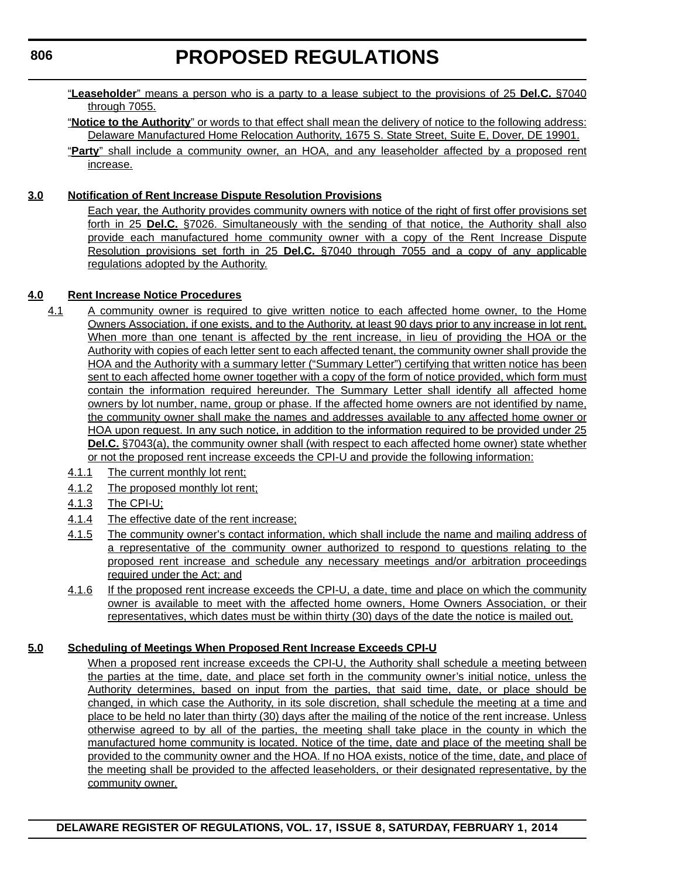- "**Leaseholder**" means a person who is a party to a lease subject to the provisions of 25 **Del.C.** §7040 through 7055.
- "**Notice to the Authority**" or words to that effect shall mean the delivery of notice to the following address: Delaware Manufactured Home Relocation Authority, 1675 S. State Street, Suite E, Dover, DE 19901.
- "**Party**" shall include a community owner, an HOA, and any leaseholder affected by a proposed rent increase.

#### **3.0 Notification of Rent Increase Dispute Resolution Provisions**

Each year, the Authority provides community owners with notice of the right of first offer provisions set forth in 25 **Del.C.** §7026. Simultaneously with the sending of that notice, the Authority shall also provide each manufactured home community owner with a copy of the Rent Increase Dispute Resolution provisions set forth in 25 **Del.C.** §7040 through 7055 and a copy of any applicable regulations adopted by the Authority.

#### **4.0 Rent Increase Notice Procedures**

- 4.1 A community owner is required to give written notice to each affected home owner, to the Home Owners Association, if one exists, and to the Authority, at least 90 days prior to any increase in lot rent. When more than one tenant is affected by the rent increase, in lieu of providing the HOA or the Authority with copies of each letter sent to each affected tenant, the community owner shall provide the HOA and the Authority with a summary letter ("Summary Letter") certifying that written notice has been sent to each affected home owner together with a copy of the form of notice provided, which form must contain the information required hereunder. The Summary Letter shall identify all affected home owners by lot number, name, group or phase. If the affected home owners are not identified by name, the community owner shall make the names and addresses available to any affected home owner or HOA upon request. In any such notice, in addition to the information required to be provided under 25 **Del.C.** §7043(a), the community owner shall (with respect to each affected home owner) state whether or not the proposed rent increase exceeds the CPI-U and provide the following information:
	- 4.1.1 The current monthly lot rent;
	- 4.1.2 The proposed monthly lot rent;
	- 4.1.3 The CPI-U;
	- 4.1.4 The effective date of the rent increase;
	- 4.1.5 The community owner's contact information, which shall include the name and mailing address of a representative of the community owner authorized to respond to questions relating to the proposed rent increase and schedule any necessary meetings and/or arbitration proceedings required under the Act; and
	- 4.1.6 If the proposed rent increase exceeds the CPI-U, a date, time and place on which the community owner is available to meet with the affected home owners, Home Owners Association, or their representatives, which dates must be within thirty (30) days of the date the notice is mailed out.

#### **5.0 Scheduling of Meetings When Proposed Rent Increase Exceeds CPI-U**

When a proposed rent increase exceeds the CPI-U, the Authority shall schedule a meeting between the parties at the time, date, and place set forth in the community owner's initial notice, unless the Authority determines, based on input from the parties, that said time, date, or place should be changed, in which case the Authority, in its sole discretion, shall schedule the meeting at a time and place to be held no later than thirty (30) days after the mailing of the notice of the rent increase. Unless otherwise agreed to by all of the parties, the meeting shall take place in the county in which the manufactured home community is located. Notice of the time, date and place of the meeting shall be provided to the community owner and the HOA. If no HOA exists, notice of the time, date, and place of the meeting shall be provided to the affected leaseholders, or their designated representative, by the community owner.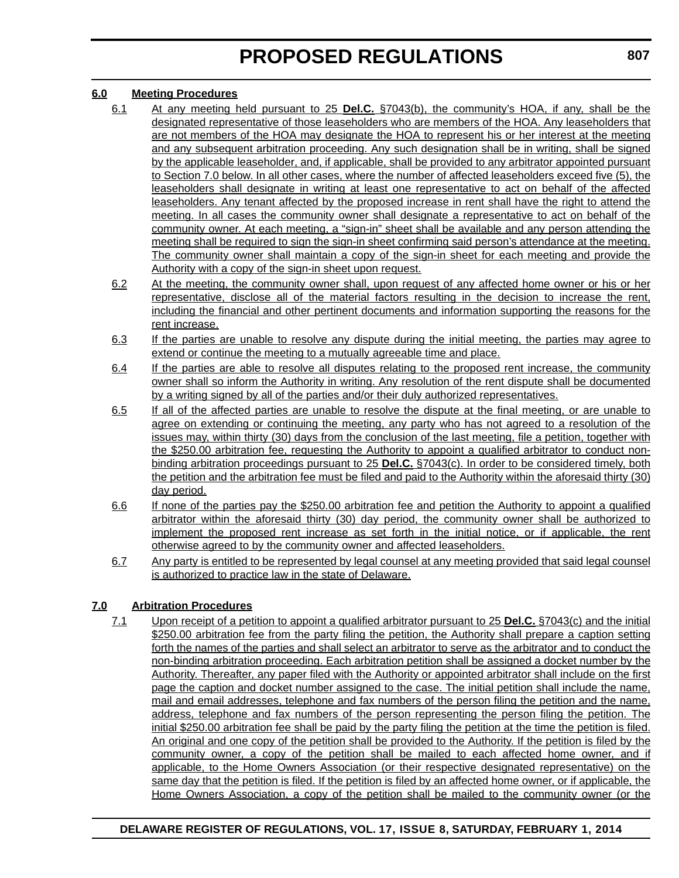#### **6.0 Meeting Procedures**

- 6.1 At any meeting held pursuant to 25 **Del.C.** §7043(b), the community's HOA, if any, shall be the designated representative of those leaseholders who are members of the HOA. Any leaseholders that are not members of the HOA may designate the HOA to represent his or her interest at the meeting and any subsequent arbitration proceeding. Any such designation shall be in writing, shall be signed by the applicable leaseholder, and, if applicable, shall be provided to any arbitrator appointed pursuant to Section 7.0 below. In all other cases, where the number of affected leaseholders exceed five (5), the leaseholders shall designate in writing at least one representative to act on behalf of the affected leaseholders. Any tenant affected by the proposed increase in rent shall have the right to attend the meeting. In all cases the community owner shall designate a representative to act on behalf of the community owner. At each meeting, a "sign-in" sheet shall be available and any person attending the meeting shall be required to sign the sign-in sheet confirming said person's attendance at the meeting. The community owner shall maintain a copy of the sign-in sheet for each meeting and provide the Authority with a copy of the sign-in sheet upon request.
- 6.2 At the meeting, the community owner shall, upon request of any affected home owner or his or her representative, disclose all of the material factors resulting in the decision to increase the rent, including the financial and other pertinent documents and information supporting the reasons for the rent increase.
- 6.3 If the parties are unable to resolve any dispute during the initial meeting, the parties may agree to extend or continue the meeting to a mutually agreeable time and place.
- 6.4 If the parties are able to resolve all disputes relating to the proposed rent increase, the community owner shall so inform the Authority in writing. Any resolution of the rent dispute shall be documented by a writing signed by all of the parties and/or their duly authorized representatives.
- 6.5 If all of the affected parties are unable to resolve the dispute at the final meeting, or are unable to agree on extending or continuing the meeting, any party who has not agreed to a resolution of the issues may, within thirty (30) days from the conclusion of the last meeting, file a petition, together with the \$250.00 arbitration fee, requesting the Authority to appoint a qualified arbitrator to conduct nonbinding arbitration proceedings pursuant to 25 **Del.C.** §7043(c). In order to be considered timely, both the petition and the arbitration fee must be filed and paid to the Authority within the aforesaid thirty (30) day period.
- 6.6 If none of the parties pay the \$250.00 arbitration fee and petition the Authority to appoint a qualified arbitrator within the aforesaid thirty (30) day period, the community owner shall be authorized to implement the proposed rent increase as set forth in the initial notice, or if applicable, the rent otherwise agreed to by the community owner and affected leaseholders.
- 6.7 Any party is entitled to be represented by legal counsel at any meeting provided that said legal counsel is authorized to practice law in the state of Delaware.

#### **7.0 Arbitration Procedures**

7.1 Upon receipt of a petition to appoint a qualified arbitrator pursuant to 25 **Del.C.** §7043(c) and the initial \$250.00 arbitration fee from the party filing the petition, the Authority shall prepare a caption setting forth the names of the parties and shall select an arbitrator to serve as the arbitrator and to conduct the non-binding arbitration proceeding. Each arbitration petition shall be assigned a docket number by the Authority. Thereafter, any paper filed with the Authority or appointed arbitrator shall include on the first page the caption and docket number assigned to the case. The initial petition shall include the name, mail and email addresses, telephone and fax numbers of the person filing the petition and the name, address, telephone and fax numbers of the person representing the person filing the petition. The initial \$250.00 arbitration fee shall be paid by the party filing the petition at the time the petition is filed. An original and one copy of the petition shall be provided to the Authority. If the petition is filed by the community owner, a copy of the petition shall be mailed to each affected home owner, and if applicable, to the Home Owners Association (or their respective designated representative) on the same day that the petition is filed. If the petition is filed by an affected home owner, or if applicable, the Home Owners Association, a copy of the petition shall be mailed to the community owner (or the

#### **DELAWARE REGISTER OF REGULATIONS, VOL. 17, ISSUE 8, SATURDAY, FEBRUARY 1, 2014**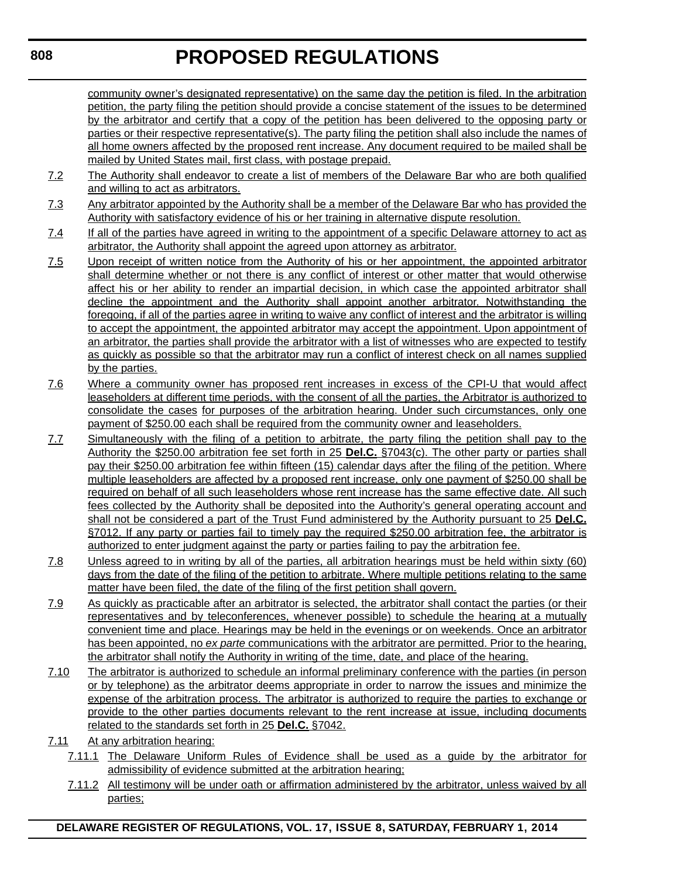community owner's designated representative) on the same day the petition is filed. In the arbitration petition, the party filing the petition should provide a concise statement of the issues to be determined by the arbitrator and certify that a copy of the petition has been delivered to the opposing party or parties or their respective representative(s). The party filing the petition shall also include the names of all home owners affected by the proposed rent increase. Any document required to be mailed shall be mailed by United States mail, first class, with postage prepaid.

- 7.2 The Authority shall endeavor to create a list of members of the Delaware Bar who are both qualified and willing to act as arbitrators.
- 7.3 Any arbitrator appointed by the Authority shall be a member of the Delaware Bar who has provided the Authority with satisfactory evidence of his or her training in alternative dispute resolution.
- 7.4 If all of the parties have agreed in writing to the appointment of a specific Delaware attorney to act as arbitrator, the Authority shall appoint the agreed upon attorney as arbitrator.
- 7.5 Upon receipt of written notice from the Authority of his or her appointment, the appointed arbitrator shall determine whether or not there is any conflict of interest or other matter that would otherwise affect his or her ability to render an impartial decision, in which case the appointed arbitrator shall decline the appointment and the Authority shall appoint another arbitrator. Notwithstanding the foregoing, if all of the parties agree in writing to waive any conflict of interest and the arbitrator is willing to accept the appointment, the appointed arbitrator may accept the appointment. Upon appointment of an arbitrator, the parties shall provide the arbitrator with a list of witnesses who are expected to testify as quickly as possible so that the arbitrator may run a conflict of interest check on all names supplied by the parties.
- 7.6 Where a community owner has proposed rent increases in excess of the CPI-U that would affect leaseholders at different time periods, with the consent of all the parties, the Arbitrator is authorized to consolidate the cases for purposes of the arbitration hearing. Under such circumstances, only one payment of \$250.00 each shall be required from the community owner and leaseholders.
- 7.7 Simultaneously with the filing of a petition to arbitrate, the party filing the petition shall pay to the Authority the \$250.00 arbitration fee set forth in 25 **Del.C.** §7043(c). The other party or parties shall pay their \$250.00 arbitration fee within fifteen (15) calendar days after the filing of the petition. Where multiple leaseholders are affected by a proposed rent increase, only one payment of \$250.00 shall be required on behalf of all such leaseholders whose rent increase has the same effective date. All such fees collected by the Authority shall be deposited into the Authority's general operating account and shall not be considered a part of the Trust Fund administered by the Authority pursuant to 25 **Del.C.** §7012. If any party or parties fail to timely pay the required \$250.00 arbitration fee, the arbitrator is authorized to enter judgment against the party or parties failing to pay the arbitration fee.
- 7.8 Unless agreed to in writing by all of the parties, all arbitration hearings must be held within sixty (60) days from the date of the filing of the petition to arbitrate. Where multiple petitions relating to the same matter have been filed, the date of the filing of the first petition shall govern.
- 7.9 As quickly as practicable after an arbitrator is selected, the arbitrator shall contact the parties (or their representatives and by teleconferences, whenever possible) to schedule the hearing at a mutually convenient time and place. Hearings may be held in the evenings or on weekends. Once an arbitrator has been appointed, no *ex parte* communications with the arbitrator are permitted. Prior to the hearing, the arbitrator shall notify the Authority in writing of the time, date, and place of the hearing.
- 7.10 The arbitrator is authorized to schedule an informal preliminary conference with the parties (in person or by telephone) as the arbitrator deems appropriate in order to narrow the issues and minimize the expense of the arbitration process. The arbitrator is authorized to require the parties to exchange or provide to the other parties documents relevant to the rent increase at issue, including documents related to the standards set forth in 25 **Del.C.** §7042.
- 7.11 At any arbitration hearing:
	- 7.11.1 The Delaware Uniform Rules of Evidence shall be used as a guide by the arbitrator for admissibility of evidence submitted at the arbitration hearing;
	- 7.11.2 All testimony will be under oath or affirmation administered by the arbitrator, unless waived by all parties;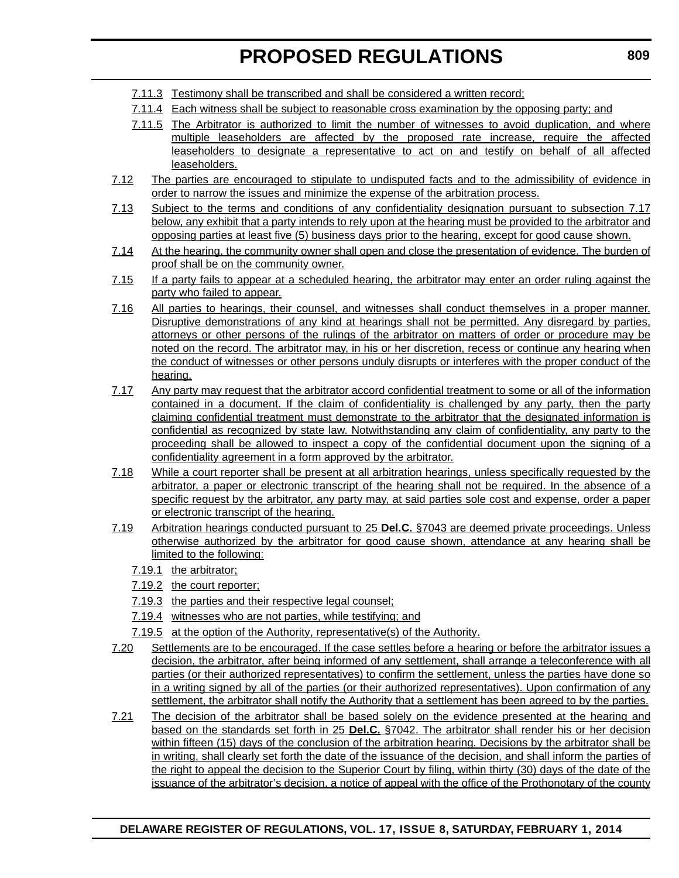- 7.11.3 Testimony shall be transcribed and shall be considered a written record;
- 7.11.4 Each witness shall be subject to reasonable cross examination by the opposing party; and
- 7.11.5 The Arbitrator is authorized to limit the number of witnesses to avoid duplication, and where multiple leaseholders are affected by the proposed rate increase, require the affected leaseholders to designate a representative to act on and testify on behalf of all affected leaseholders.
- 7.12 The parties are encouraged to stipulate to undisputed facts and to the admissibility of evidence in order to narrow the issues and minimize the expense of the arbitration process.
- 7.13 Subject to the terms and conditions of any confidentiality designation pursuant to subsection 7.17 below, any exhibit that a party intends to rely upon at the hearing must be provided to the arbitrator and opposing parties at least five (5) business days prior to the hearing, except for good cause shown.
- 7.14 At the hearing, the community owner shall open and close the presentation of evidence. The burden of proof shall be on the community owner.
- 7.15 If a party fails to appear at a scheduled hearing, the arbitrator may enter an order ruling against the party who failed to appear.
- 7.16 All parties to hearings, their counsel, and witnesses shall conduct themselves in a proper manner. Disruptive demonstrations of any kind at hearings shall not be permitted. Any disregard by parties, attorneys or other persons of the rulings of the arbitrator on matters of order or procedure may be noted on the record. The arbitrator may, in his or her discretion, recess or continue any hearing when the conduct of witnesses or other persons unduly disrupts or interferes with the proper conduct of the hearing.
- 7.17 Any party may request that the arbitrator accord confidential treatment to some or all of the information contained in a document. If the claim of confidentiality is challenged by any party, then the party claiming confidential treatment must demonstrate to the arbitrator that the designated information is confidential as recognized by state law. Notwithstanding any claim of confidentiality, any party to the proceeding shall be allowed to inspect a copy of the confidential document upon the signing of a confidentiality agreement in a form approved by the arbitrator.
- 7.18 While a court reporter shall be present at all arbitration hearings, unless specifically requested by the arbitrator, a paper or electronic transcript of the hearing shall not be required. In the absence of a specific request by the arbitrator, any party may, at said parties sole cost and expense, order a paper or electronic transcript of the hearing.
- 7.19 Arbitration hearings conducted pursuant to 25 **Del.C.** §7043 are deemed private proceedings. Unless otherwise authorized by the arbitrator for good cause shown, attendance at any hearing shall be limited to the following:
	- 7.19.1 the arbitrator;
	- 7.19.2 the court reporter;
	- 7.19.3 the parties and their respective legal counsel;
	- 7.19.4 witnesses who are not parties, while testifying; and
	- 7.19.5 at the option of the Authority, representative(s) of the Authority.
- 7.20 Settlements are to be encouraged. If the case settles before a hearing or before the arbitrator issues a decision, the arbitrator, after being informed of any settlement, shall arrange a teleconference with all parties (or their authorized representatives) to confirm the settlement, unless the parties have done so in a writing signed by all of the parties (or their authorized representatives). Upon confirmation of any settlement, the arbitrator shall notify the Authority that a settlement has been agreed to by the parties.
- 7.21 The decision of the arbitrator shall be based solely on the evidence presented at the hearing and based on the standards set forth in 25 **Del.C.** §7042. The arbitrator shall render his or her decision within fifteen (15) days of the conclusion of the arbitration hearing. Decisions by the arbitrator shall be in writing, shall clearly set forth the date of the issuance of the decision, and shall inform the parties of the right to appeal the decision to the Superior Court by filing, within thirty (30) days of the date of the issuance of the arbitrator's decision, a notice of appeal with the office of the Prothonotary of the county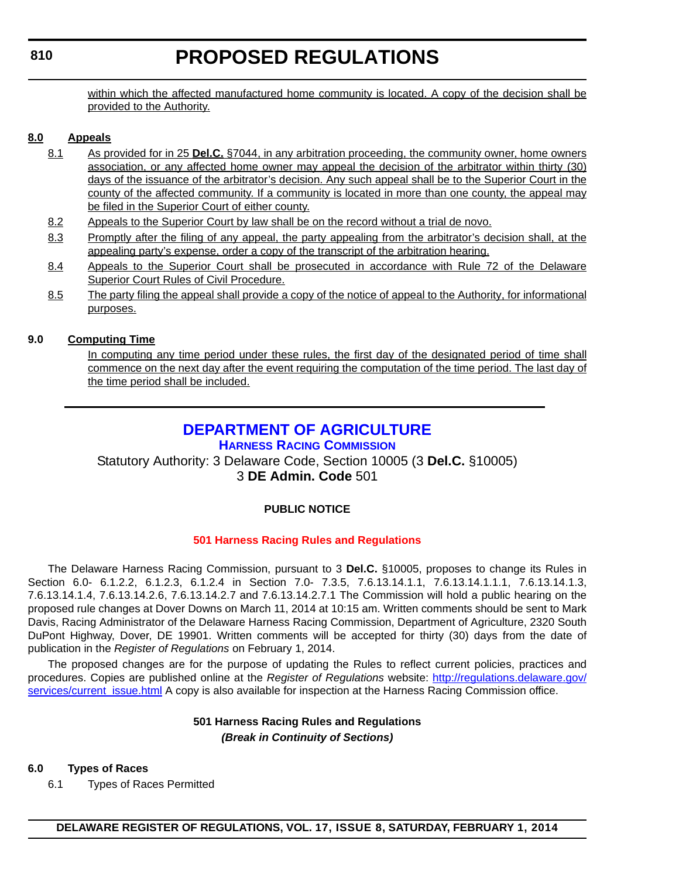<span id="page-18-0"></span>within which the affected manufactured home community is located. A copy of the decision shall be provided to the Authority.

#### **8.0 Appeals**

- 8.1 As provided for in 25 **Del.C.** §7044, in any arbitration proceeding, the community owner, home owners association, or any affected home owner may appeal the decision of the arbitrator within thirty (30) days of the issuance of the arbitrator's decision. Any such appeal shall be to the Superior Court in the county of the affected community. If a community is located in more than one county, the appeal may be filed in the Superior Court of either county.
- 8.2 Appeals to the Superior Court by law shall be on the record without a trial de novo.
- 8.3 Promptly after the filing of any appeal, the party appealing from the arbitrator's decision shall, at the appealing party's expense, order a copy of the transcript of the arbitration hearing.
- 8.4 Appeals to the Superior Court shall be prosecuted in accordance with Rule 72 of the Delaware Superior Court Rules of Civil Procedure.
- 8.5 The party filing the appeal shall provide a copy of the notice of appeal to the Authority, for informational purposes.

#### **9.0 Computing Time**

In computing any time period under these rules, the first day of the designated period of time shall commence on the next day after the event requiring the computation of the time period. The last day of the time period shall be included.

### **[DEPARTMENT OF AGRICULTURE](http://dda.delaware.gov/harness/index.shtml)**

### **HARNESS RACING COMMISSION**

Statutory Authority: 3 Delaware Code, Section 10005 (3 **Del.C.** §10005) 3 **DE Admin. Code** 501

#### **PUBLIC NOTICE**

#### **[501 Harness Racing Rules and Regulations](#page-3-0)**

The Delaware Harness Racing Commission, pursuant to 3 **Del.C.** §10005, proposes to change its Rules in Section 6.0- 6.1.2.2, 6.1.2.3, 6.1.2.4 in Section 7.0- 7.3.5, 7.6.13.14.1.1, 7.6.13.14.1.1.1, 7.6.13.14.1.3, 7.6.13.14.1.4, 7.6.13.14.2.6, 7.6.13.14.2.7 and 7.6.13.14.2.7.1 The Commission will hold a public hearing on the proposed rule changes at Dover Downs on March 11, 2014 at 10:15 am. Written comments should be sent to Mark Davis, Racing Administrator of the Delaware Harness Racing Commission, Department of Agriculture, 2320 South DuPont Highway, Dover, DE 19901. Written comments will be accepted for thirty (30) days from the date of publication in the *Register of Regulations* on February 1, 2014.

The proposed changes are for the purpose of updating the Rules to reflect current policies, practices and procedures. Copies are published online at the *Register of Regulations* website: [http://regulations.delaware.gov/](http://regulations.delaware.gov/services/current_issue.html) [services/current\\_issue.html](http://regulations.delaware.gov/services/current_issue.html) A copy is also available for inspection at the Harness Racing Commission office.

#### **501 Harness Racing Rules and Regulations** *(Break in Continuity of Sections)*

#### **6.0 Types of Races**

6.1 Types of Races Permitted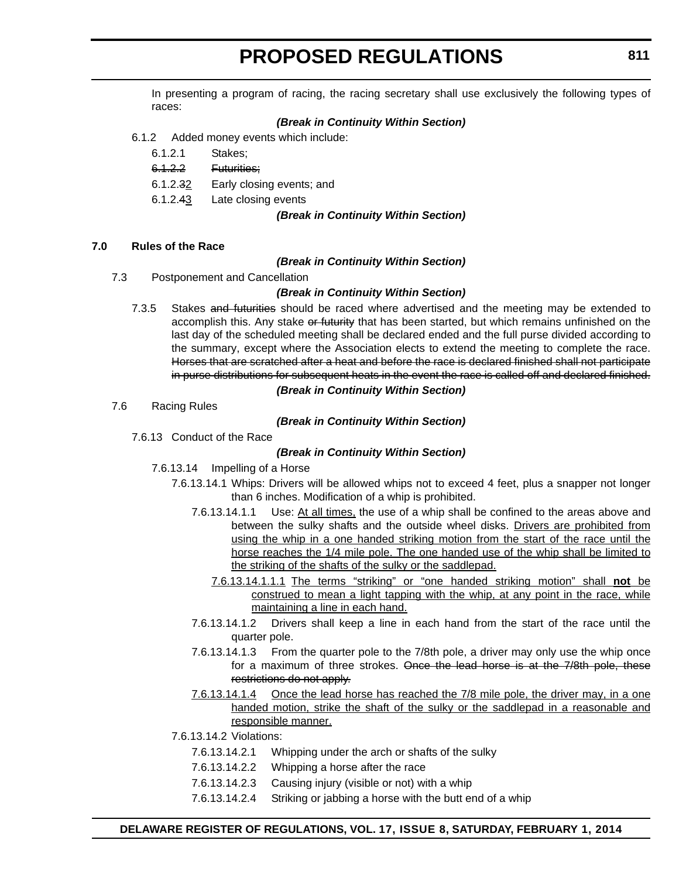In presenting a program of racing, the racing secretary shall use exclusively the following types of races:

#### *(Break in Continuity Within Section)*

- 6.1.2 Added money events which include:
	- 6.1.2.1 Stakes;
	- 6.1.2.2 Futurities;
	- 6.1.2.32 Early closing events; and
	- 6.1.2.43 Late closing events

#### *(Break in Continuity Within Section)*

#### **7.0 Rules of the Race**

#### *(Break in Continuity Within Section)*

7.3 Postponement and Cancellation

#### *(Break in Continuity Within Section)*

7.3.5 Stakes and futurities should be raced where advertised and the meeting may be extended to accomplish this. Any stake or futurity that has been started, but which remains unfinished on the last day of the scheduled meeting shall be declared ended and the full purse divided according to the summary, except where the Association elects to extend the meeting to complete the race. Horses that are scratched after a heat and before the race is declared finished shall not participate in purse distributions for subsequent heats in the event the race is called off and declared finished.

#### *(Break in Continuity Within Section)*

7.6 Racing Rules

#### *(Break in Continuity Within Section)*

7.6.13 Conduct of the Race

#### *(Break in Continuity Within Section)*

- 7.6.13.14 Impelling of a Horse
	- 7.6.13.14.1 Whips: Drivers will be allowed whips not to exceed 4 feet, plus a snapper not longer than 6 inches. Modification of a whip is prohibited.
		- 7.6.13.14.1.1 Use: At all times, the use of a whip shall be confined to the areas above and between the sulky shafts and the outside wheel disks. Drivers are prohibited from using the whip in a one handed striking motion from the start of the race until the horse reaches the 1/4 mile pole. The one handed use of the whip shall be limited to the striking of the shafts of the sulky or the saddlepad.
			- 7.6.13.14.1.1.1 The terms "striking" or "one handed striking motion" shall **not** be construed to mean a light tapping with the whip, at any point in the race, while maintaining a line in each hand.
		- 7.6.13.14.1.2 Drivers shall keep a line in each hand from the start of the race until the quarter pole.
		- 7.6.13.14.1.3 From the quarter pole to the 7/8th pole, a driver may only use the whip once for a maximum of three strokes. Once the lead horse is at the 7/8th pole, these restrictions do not apply.
		- 7.6.13.14.1.4 Once the lead horse has reached the 7/8 mile pole, the driver may, in a one handed motion, strike the shaft of the sulky or the saddlepad in a reasonable and responsible manner.
	- 7.6.13.14.2 Violations:
		- 7.6.13.14.2.1 Whipping under the arch or shafts of the sulky
		- 7.6.13.14.2.2 Whipping a horse after the race
		- 7.6.13.14.2.3 Causing injury (visible or not) with a whip
		- 7.6.13.14.2.4 Striking or jabbing a horse with the butt end of a whip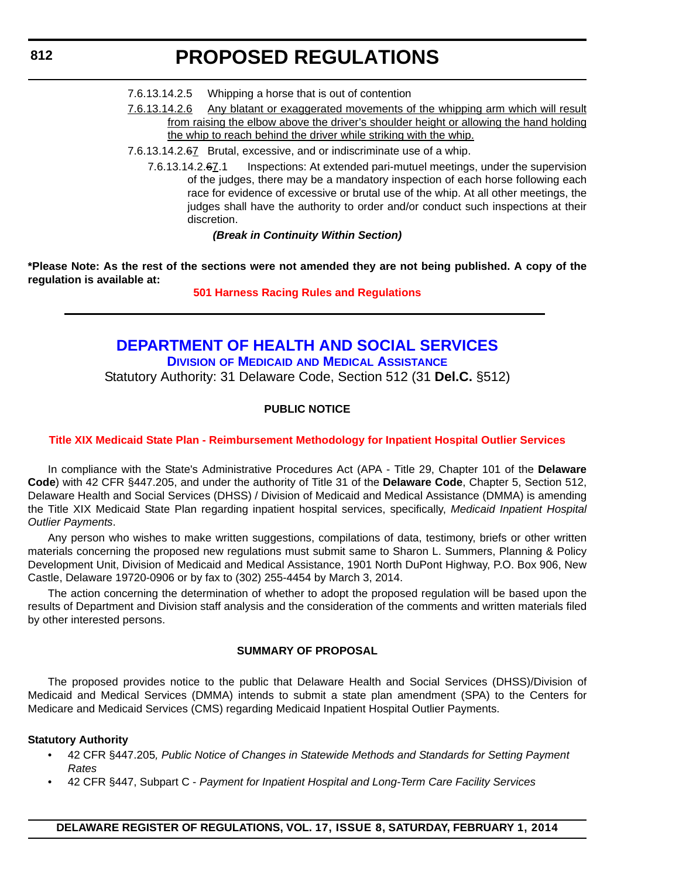- <span id="page-20-0"></span>7.6.13.14.2.5 Whipping a horse that is out of contention
- 7.6.13.14.2.6 Any blatant or exaggerated movements of the whipping arm which will result from raising the elbow above the driver's shoulder height or allowing the hand holding the whip to reach behind the driver while striking with the whip.
- 7.6.13.14.2.67 Brutal, excessive, and or indiscriminate use of a whip.
	- 7.6.13.14.2.67.1 Inspections: At extended pari-mutuel meetings, under the supervision of the judges, there may be a mandatory inspection of each horse following each race for evidence of excessive or brutal use of the whip. At all other meetings, the judges shall have the authority to order and/or conduct such inspections at their discretion.

#### *(Break in Continuity Within Section)*

**\*Please Note: As the rest of the sections were not amended they are not being published. A copy of the regulation is available at:**

#### **[501 Harness Racing Rules and Regulations](http://regulations.delaware.gov/register/february2014/proposed/17 DE Reg 810 02-01-14.htm)**

## **[DEPARTMENT OF HEALTH AND SOCIAL SERVICES](http://www.dhss.delaware.gov/dhss/dmma/) DIVISION OF MEDICAID AND MEDICAL ASSISTANCE**

Statutory Authority: 31 Delaware Code, Section 512 (31 **Del.C.** §512)

#### **PUBLIC NOTICE**

#### **[Title XIX Medicaid State Plan - Reimbursement Methodology for Inpatient Hospital Outlier Services](#page-3-0)**

In compliance with the State's Administrative Procedures Act (APA - Title 29, Chapter 101 of the **Delaware Code**) with 42 CFR §447.205, and under the authority of Title 31 of the **Delaware Code**, Chapter 5, Section 512, Delaware Health and Social Services (DHSS) / Division of Medicaid and Medical Assistance (DMMA) is amending the Title XIX Medicaid State Plan regarding inpatient hospital services, specifically, *Medicaid Inpatient Hospital Outlier Payments*.

Any person who wishes to make written suggestions, compilations of data, testimony, briefs or other written materials concerning the proposed new regulations must submit same to Sharon L. Summers, Planning & Policy Development Unit, Division of Medicaid and Medical Assistance, 1901 North DuPont Highway, P.O. Box 906, New Castle, Delaware 19720-0906 or by fax to (302) 255-4454 by March 3, 2014.

The action concerning the determination of whether to adopt the proposed regulation will be based upon the results of Department and Division staff analysis and the consideration of the comments and written materials filed by other interested persons.

#### **SUMMARY OF PROPOSAL**

The proposed provides notice to the public that Delaware Health and Social Services (DHSS)/Division of Medicaid and Medical Services (DMMA) intends to submit a state plan amendment (SPA) to the Centers for Medicare and Medicaid Services (CMS) regarding Medicaid Inpatient Hospital Outlier Payments.

#### **Statutory Authority**

- 42 CFR §447.205*, Public Notice of Changes in Statewide Methods and Standards for Setting Payment Rates*
- 42 CFR §447, Subpart C *Payment for Inpatient Hospital and Long-Term Care Facility Services*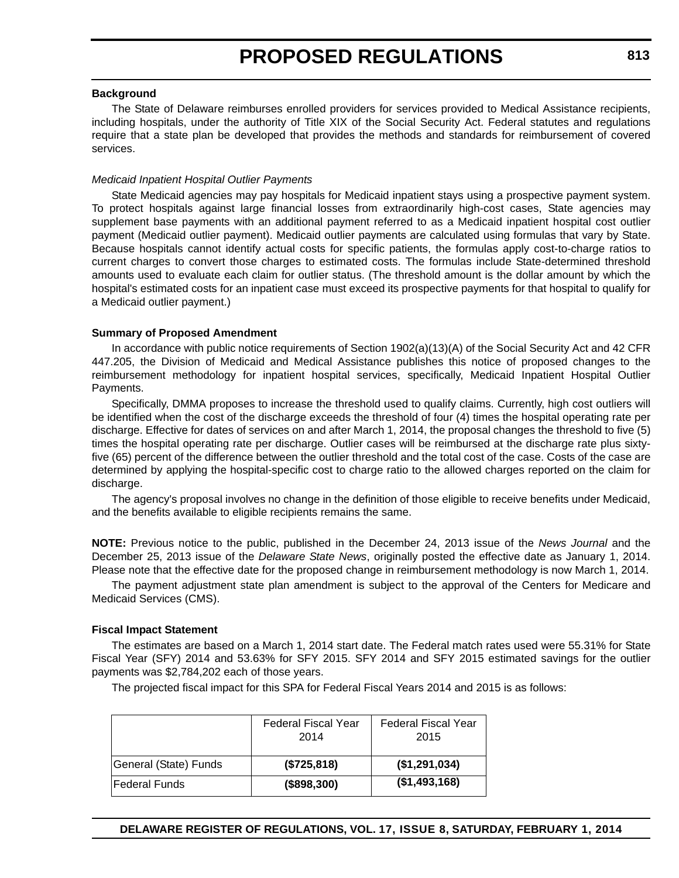#### **Background**

The State of Delaware reimburses enrolled providers for services provided to Medical Assistance recipients, including hospitals, under the authority of Title XIX of the Social Security Act. Federal statutes and regulations require that a state plan be developed that provides the methods and standards for reimbursement of covered services.

#### *Medicaid Inpatient Hospital Outlier Payments*

State Medicaid agencies may pay hospitals for Medicaid inpatient stays using a prospective payment system. To protect hospitals against large financial losses from extraordinarily high-cost cases, State agencies may supplement base payments with an additional payment referred to as a Medicaid inpatient hospital cost outlier payment (Medicaid outlier payment). Medicaid outlier payments are calculated using formulas that vary by State. Because hospitals cannot identify actual costs for specific patients, the formulas apply cost-to-charge ratios to current charges to convert those charges to estimated costs. The formulas include State-determined threshold amounts used to evaluate each claim for outlier status. (The threshold amount is the dollar amount by which the hospital's estimated costs for an inpatient case must exceed its prospective payments for that hospital to qualify for a Medicaid outlier payment.)

#### **Summary of Proposed Amendment**

In accordance with public notice requirements of Section 1902(a)(13)(A) of the Social Security Act and 42 CFR 447.205, the Division of Medicaid and Medical Assistance publishes this notice of proposed changes to the reimbursement methodology for inpatient hospital services, specifically, Medicaid Inpatient Hospital Outlier Payments.

Specifically, DMMA proposes to increase the threshold used to qualify claims. Currently, high cost outliers will be identified when the cost of the discharge exceeds the threshold of four (4) times the hospital operating rate per discharge. Effective for dates of services on and after March 1, 2014, the proposal changes the threshold to five (5) times the hospital operating rate per discharge. Outlier cases will be reimbursed at the discharge rate plus sixtyfive (65) percent of the difference between the outlier threshold and the total cost of the case. Costs of the case are determined by applying the hospital-specific cost to charge ratio to the allowed charges reported on the claim for discharge.

The agency's proposal involves no change in the definition of those eligible to receive benefits under Medicaid, and the benefits available to eligible recipients remains the same.

**NOTE:** Previous notice to the public, published in the December 24, 2013 issue of the *News Journal* and the December 25, 2013 issue of the *Delaware State News*, originally posted the effective date as January 1, 2014. Please note that the effective date for the proposed change in reimbursement methodology is now March 1, 2014.

The payment adjustment state plan amendment is subject to the approval of the Centers for Medicare and Medicaid Services (CMS).

#### **Fiscal Impact Statement**

The estimates are based on a March 1, 2014 start date. The Federal match rates used were 55.31% for State Fiscal Year (SFY) 2014 and 53.63% for SFY 2015. SFY 2014 and SFY 2015 estimated savings for the outlier payments was \$2,784,202 each of those years.

The projected fiscal impact for this SPA for Federal Fiscal Years 2014 and 2015 is as follows:

|                       | Federal Fiscal Year<br>2014 | <b>Federal Fiscal Year</b><br>2015 |
|-----------------------|-----------------------------|------------------------------------|
| General (State) Funds | (\$725,818)                 | (\$1,291,034)                      |
| lFederal Funds        | (\$898,300)                 | (\$1,493,168)                      |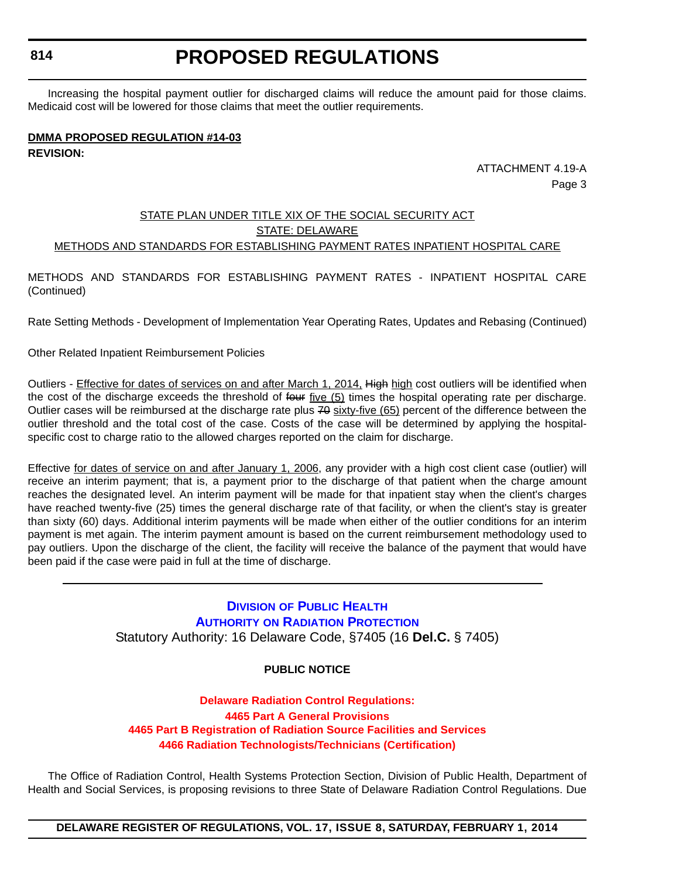#### <span id="page-22-0"></span>**814**

# **PROPOSED REGULATIONS**

Increasing the hospital payment outlier for discharged claims will reduce the amount paid for those claims. Medicaid cost will be lowered for those claims that meet the outlier requirements.

### **DMMA PROPOSED REGULATION #14-03 REVISION:**

ATTACHMENT 4.19-A Page 3

#### STATE PLAN UNDER TITLE XIX OF THE SOCIAL SECURITY ACT STATE: DELAWARE METHODS AND STANDARDS FOR ESTABLISHING PAYMENT RATES INPATIENT HOSPITAL CARE

METHODS AND STANDARDS FOR ESTABLISHING PAYMENT RATES - INPATIENT HOSPITAL CARE (Continued)

Rate Setting Methods - Development of Implementation Year Operating Rates, Updates and Rebasing (Continued)

Other Related Inpatient Reimbursement Policies

Outliers - Effective for dates of services on and after March 1, 2014. High high cost outliers will be identified when the cost of the discharge exceeds the threshold of four five (5) times the hospital operating rate per discharge. Outlier cases will be reimbursed at the discharge rate plus 70 sixty-five (65) percent of the difference between the outlier threshold and the total cost of the case. Costs of the case will be determined by applying the hospitalspecific cost to charge ratio to the allowed charges reported on the claim for discharge.

Effective for dates of service on and after January 1, 2006, any provider with a high cost client case (outlier) will receive an interim payment; that is, a payment prior to the discharge of that patient when the charge amount reaches the designated level. An interim payment will be made for that inpatient stay when the client's charges have reached twenty-five (25) times the general discharge rate of that facility, or when the client's stay is greater than sixty (60) days. Additional interim payments will be made when either of the outlier conditions for an interim payment is met again. The interim payment amount is based on the current reimbursement methodology used to pay outliers. Upon the discharge of the client, the facility will receive the balance of the payment that would have been paid if the case were paid in full at the time of discharge.

#### **DIVISION OF PUBLIC HEALTH AUTHORITY [ON RADIATION PROTECTION](http://www.dhss.delaware.gov/dhss/dph/index.html)** Statutory Authority: 16 Delaware Code, §7405 (16 **Del.C.** § 7405)

#### **PUBLIC NOTICE**

#### **Delaware Radiation Control Regulations: 4465 Part A General Provisions [4465 Part B Registration of Radiation Source Facilities and Services](#page-3-0) 4466 Radiation Technologists/Technicians (Certification)**

The Office of Radiation Control, Health Systems Protection Section, Division of Public Health, Department of Health and Social Services, is proposing revisions to three State of Delaware Radiation Control Regulations. Due

**DELAWARE REGISTER OF REGULATIONS, VOL. 17, ISSUE 8, SATURDAY, FEBRUARY 1, 2014**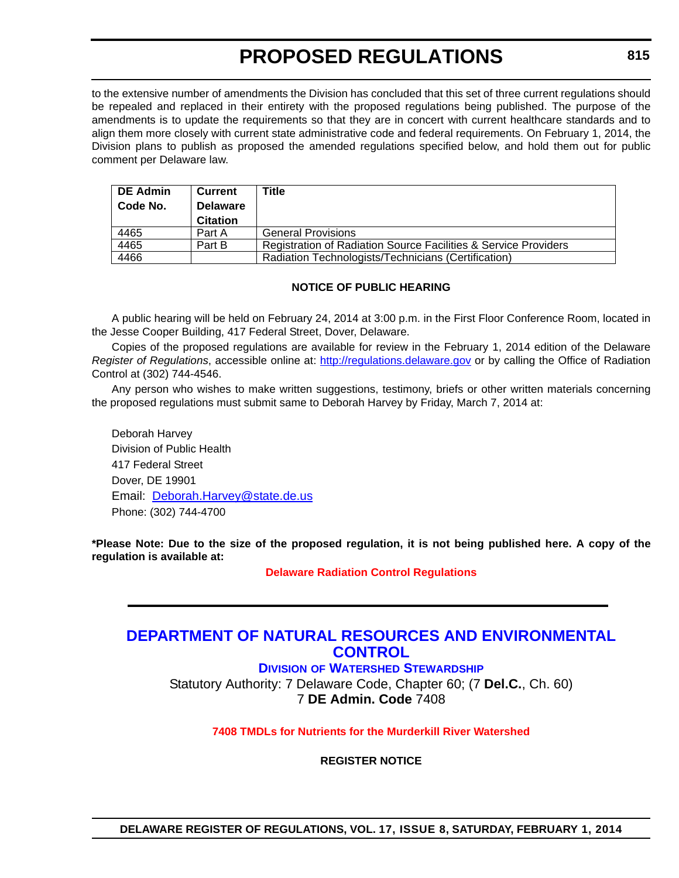<span id="page-23-0"></span>to the extensive number of amendments the Division has concluded that this set of three current regulations should be repealed and replaced in their entirety with the proposed regulations being published. The purpose of the amendments is to update the requirements so that they are in concert with current healthcare standards and to align them more closely with current state administrative code and federal requirements. On February 1, 2014, the Division plans to publish as proposed the amended regulations specified below, and hold them out for public comment per Delaware law.

| <b>DE Admin</b> | Current         | Title                                                                      |
|-----------------|-----------------|----------------------------------------------------------------------------|
| Code No.        | <b>Delaware</b> |                                                                            |
|                 | <b>Citation</b> |                                                                            |
| 4465            | Part A          | <b>General Provisions</b>                                                  |
| 4465            | Part B          | <b>Registration of Radiation Source Facilities &amp; Service Providers</b> |
| 4466            |                 | Radiation Technologists/Technicians (Certification)                        |

#### **NOTICE OF PUBLIC HEARING**

A public hearing will be held on February 24, 2014 at 3:00 p.m. in the First Floor Conference Room, located in the Jesse Cooper Building, 417 Federal Street, Dover, Delaware.

Copies of the proposed regulations are available for review in the February 1, 2014 edition of the Delaware *Register of Regulations*, accessible online at: http://regulations.delaware.gov or by calling the Office of Radiation Control at (302) 744-4546.

Any person who wishes to make written suggestions, testimony, briefs or other written materials concerning the proposed regulations must submit same to Deborah Harvey by Friday, March 7, 2014 at:

Deborah Harvey Division of Public Health 417 Federal Street Dover, DE 19901 Email: Deborah.Harvey@state.de.us Phone: (302) 744-4700

**\*Please Note: Due to the size of the proposed regulation, it is not being published here. A copy of the regulation is available at:**

**[Delaware Radiation Control Regulations](http://regulations.delaware.gov/register/february2014/proposed/17 DE Reg 814 02-01-14.htm)**

### **[DEPARTMENT OF NATURAL RESOURCES AND ENVIRONMENTAL](http://www.dnrec.delaware.gov/swc/Pages/default.aspx)  CONTROL**

**DIVISION OF WATERSHED STEWARDSHIP**

Statutory Authority: 7 Delaware Code, Chapter 60; (7 **Del.C.**, Ch. 60) 7 **DE Admin. Code** 7408

**[7408 TMDLs for Nutrients for the Murderkill River Watershed](#page-3-0)**

**REGISTER NOTICE**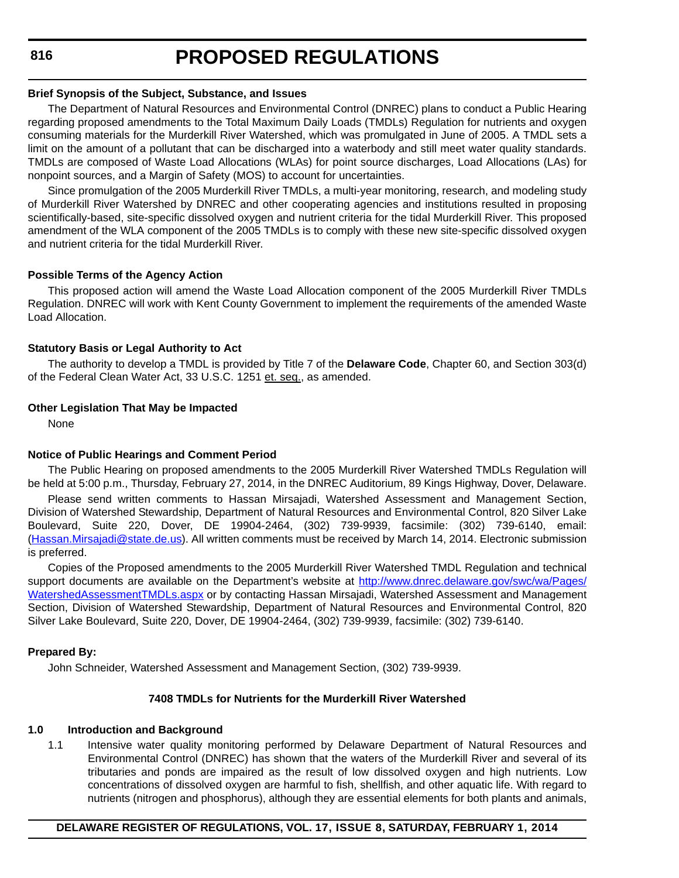### **Brief Synopsis of the Subject, Substance, and Issues**

The Department of Natural Resources and Environmental Control (DNREC) plans to conduct a Public Hearing regarding proposed amendments to the Total Maximum Daily Loads (TMDLs) Regulation for nutrients and oxygen consuming materials for the Murderkill River Watershed, which was promulgated in June of 2005. A TMDL sets a limit on the amount of a pollutant that can be discharged into a waterbody and still meet water quality standards. TMDLs are composed of Waste Load Allocations (WLAs) for point source discharges, Load Allocations (LAs) for nonpoint sources, and a Margin of Safety (MOS) to account for uncertainties.

Since promulgation of the 2005 Murderkill River TMDLs, a multi-year monitoring, research, and modeling study of Murderkill River Watershed by DNREC and other cooperating agencies and institutions resulted in proposing scientifically-based, site-specific dissolved oxygen and nutrient criteria for the tidal Murderkill River. This proposed amendment of the WLA component of the 2005 TMDLs is to comply with these new site-specific dissolved oxygen and nutrient criteria for the tidal Murderkill River.

### **Possible Terms of the Agency Action**

This proposed action will amend the Waste Load Allocation component of the 2005 Murderkill River TMDLs Regulation. DNREC will work with Kent County Government to implement the requirements of the amended Waste Load Allocation.

### **Statutory Basis or Legal Authority to Act**

The authority to develop a TMDL is provided by Title 7 of the **Delaware Code**, Chapter 60, and Section 303(d) of the Federal Clean Water Act, 33 U.S.C. 1251 et. seq., as amended.

### **Other Legislation That May be Impacted**

None

### **Notice of Public Hearings and Comment Period**

The Public Hearing on proposed amendments to the 2005 Murderkill River Watershed TMDLs Regulation will be held at 5:00 p.m., Thursday, February 27, 2014, in the DNREC Auditorium, 89 Kings Highway, Dover, Delaware.

Please send written comments to Hassan Mirsajadi, Watershed Assessment and Management Section, Division of Watershed Stewardship, Department of Natural Resources and Environmental Control, 820 Silver Lake Boulevard, Suite 220, Dover, DE 19904-2464, (302) 739-9939, facsimile: (302) 739-6140, email: (Hassan.Mirsajadi@state.de.us). All written comments must be received by March 14, 2014. Electronic submission is preferred.

Copies of the Proposed amendments to the 2005 Murderkill River Watershed TMDL Regulation and technical support documents are available on the Department's website at [http://www.dnrec.delaware.gov/swc/wa/Pages/](http://www.dnrec.delaware.gov/swc/wa/Pages/WatershedAssessmentTMDLs.aspx) [WatershedAssessmentTMDLs.aspx](http://www.dnrec.delaware.gov/swc/wa/Pages/WatershedAssessmentTMDLs.aspx) or by contacting Hassan Mirsajadi, Watershed Assessment and Management Section, Division of Watershed Stewardship, Department of Natural Resources and Environmental Control, 820 Silver Lake Boulevard, Suite 220, Dover, DE 19904-2464, (302) 739-9939, facsimile: (302) 739-6140.

### **Prepared By:**

John Schneider, Watershed Assessment and Management Section, (302) 739-9939.

### **7408 TMDLs for Nutrients for the Murderkill River Watershed**

### **1.0 Introduction and Background**

1.1 Intensive water quality monitoring performed by Delaware Department of Natural Resources and Environmental Control (DNREC) has shown that the waters of the Murderkill River and several of its tributaries and ponds are impaired as the result of low dissolved oxygen and high nutrients. Low concentrations of dissolved oxygen are harmful to fish, shellfish, and other aquatic life. With regard to nutrients (nitrogen and phosphorus), although they are essential elements for both plants and animals,

### **DELAWARE REGISTER OF REGULATIONS, VOL. 17, ISSUE 8, SATURDAY, FEBRUARY 1, 2014**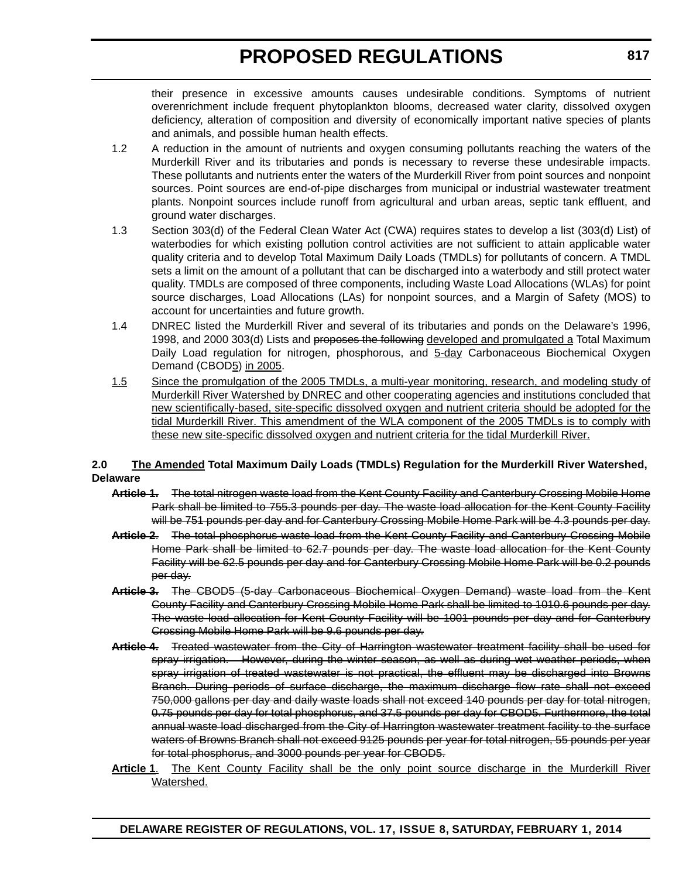their presence in excessive amounts causes undesirable conditions. Symptoms of nutrient overenrichment include frequent phytoplankton blooms, decreased water clarity, dissolved oxygen deficiency, alteration of composition and diversity of economically important native species of plants and animals, and possible human health effects.

- 1.2 A reduction in the amount of nutrients and oxygen consuming pollutants reaching the waters of the Murderkill River and its tributaries and ponds is necessary to reverse these undesirable impacts. These pollutants and nutrients enter the waters of the Murderkill River from point sources and nonpoint sources. Point sources are end-of-pipe discharges from municipal or industrial wastewater treatment plants. Nonpoint sources include runoff from agricultural and urban areas, septic tank effluent, and ground water discharges.
- 1.3 Section 303(d) of the Federal Clean Water Act (CWA) requires states to develop a list (303(d) List) of waterbodies for which existing pollution control activities are not sufficient to attain applicable water quality criteria and to develop Total Maximum Daily Loads (TMDLs) for pollutants of concern. A TMDL sets a limit on the amount of a pollutant that can be discharged into a waterbody and still protect water quality. TMDLs are composed of three components, including Waste Load Allocations (WLAs) for point source discharges, Load Allocations (LAs) for nonpoint sources, and a Margin of Safety (MOS) to account for uncertainties and future growth.
- 1.4 DNREC listed the Murderkill River and several of its tributaries and ponds on the Delaware's 1996, 1998, and 2000 303(d) Lists and proposes the following developed and promulgated a Total Maximum Daily Load regulation for nitrogen, phosphorous, and  $5$ -day Carbonaceous Biochemical Oxygen Demand (CBOD<sub>5</sub>) in 2005.
- 1.5 Since the promulgation of the 2005 TMDLs, a multi-year monitoring, research, and modeling study of Murderkill River Watershed by DNREC and other cooperating agencies and institutions concluded that new scientifically-based, site-specific dissolved oxygen and nutrient criteria should be adopted for the tidal Murderkill River. This amendment of the WLA component of the 2005 TMDLs is to comply with these new site-specific dissolved oxygen and nutrient criteria for the tidal Murderkill River.

#### **2.0 The Amended Total Maximum Daily Loads (TMDLs) Regulation for the Murderkill River Watershed, Delaware**

- **Article 1.** The total nitrogen waste load from the Kent County Facility and Canterbury Crossing Mobile Home Park shall be limited to 755.3 pounds per day. The waste load allocation for the Kent County Facility will be 751 pounds per day and for Canterbury Crossing Mobile Home Park will be 4.3 pounds per day.
- **Article 2**. The total phosphorus waste load from the Kent County Facility and Canterbury Crossing Mobile Home Park shall be limited to 62.7 pounds per day. The waste load allocation for the Kent County Facility will be 62.5 pounds per day and for Canterbury Crossing Mobile Home Park will be 0.2 pounds per day.
- **Article 3.** The CBOD5 (5-day Carbonaceous Biochemical Oxygen Demand) waste load from the Kent County Facility and Canterbury Crossing Mobile Home Park shall be limited to 1010.6 pounds per day. The waste load allocation for Kent County Facility will be 1001 pounds per day and for Canterbury Crossing Mobile Home Park will be 9.6 pounds per day.
- **Article 4.** Treated wastewater from the City of Harrington wastewater treatment facility shall be used for spray irrigation. However, during the winter season, as well as during wet weather periods, when spray irrigation of treated wastewater is not practical, the effluent may be discharged into Browns Branch. During periods of surface discharge, the maximum discharge flow rate shall not exceed 750,000 gallons per day and daily waste loads shall not exceed 140 pounds per day for total nitrogen, 0.75 pounds per day for total phosphorus, and 37.5 pounds per day for CBOD5. Furthermore, the total annual waste load discharged from the City of Harrington wastewater treatment facility to the surface waters of Browns Branch shall not exceed 9125 pounds per year for total nitrogen, 55 pounds per year for total phosphorus, and 3000 pounds per year for CBOD5.
- Article 1. The Kent County Facility shall be the only point source discharge in the Murderkill River Watershed.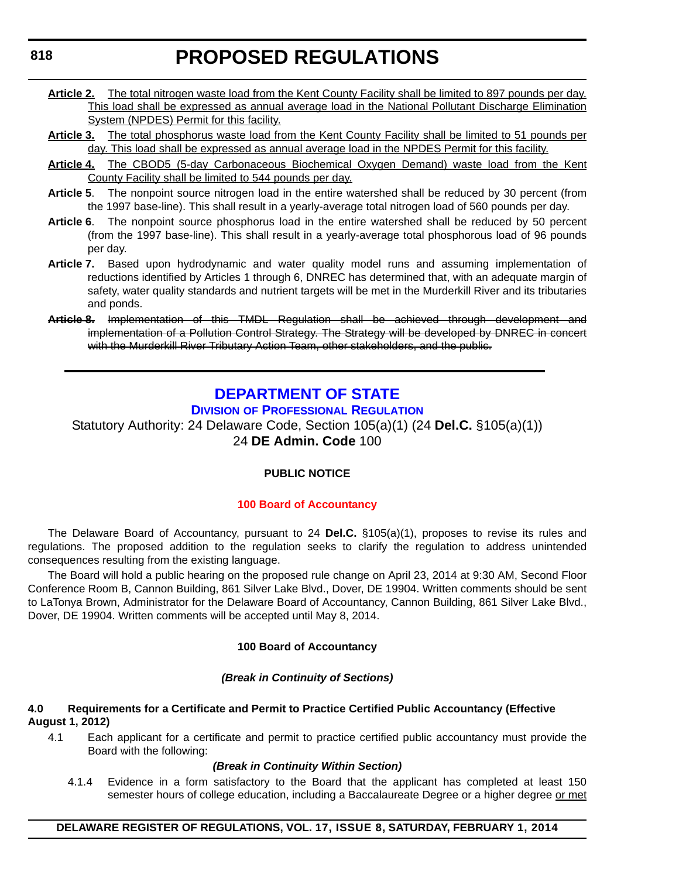- <span id="page-26-0"></span>**Article 2.** The total nitrogen waste load from the Kent County Facility shall be limited to 897 pounds per day. This load shall be expressed as annual average load in the National Pollutant Discharge Elimination System (NPDES) Permit for this facility.
- **Article 3.** The total phosphorus waste load from the Kent County Facility shall be limited to 51 pounds per day. This load shall be expressed as annual average load in the NPDES Permit for this facility.
- **Article 4.** The CBOD5 (5-day Carbonaceous Biochemical Oxygen Demand) waste load from the Kent County Facility shall be limited to 544 pounds per day.
- **Article 5**. The nonpoint source nitrogen load in the entire watershed shall be reduced by 30 percent (from the 1997 base-line). This shall result in a yearly-average total nitrogen load of 560 pounds per day.
- **Article 6**. The nonpoint source phosphorus load in the entire watershed shall be reduced by 50 percent (from the 1997 base-line). This shall result in a yearly-average total phosphorous load of 96 pounds per day.
- **Article 7.** Based upon hydrodynamic and water quality model runs and assuming implementation of reductions identified by Articles 1 through 6, DNREC has determined that, with an adequate margin of safety, water quality standards and nutrient targets will be met in the Murderkill River and its tributaries and ponds.
- **Article 8.** Implementation of this TMDL Regulation shall be achieved through development and implementation of a Pollution Control Strategy. The Strategy will be developed by DNREC in concert with the Murderkill River Tributary Action Team, other stakeholders, and the public.

### **[DEPARTMENT OF STATE](http://dpr.delaware.gov/)**

**DIVISION OF PROFESSIONAL REGULATION**

Statutory Authority: 24 Delaware Code, Section 105(a)(1) (24 **Del.C.** §105(a)(1)) 24 **DE Admin. Code** 100

#### **PUBLIC NOTICE**

#### **[100 Board of Accountancy](#page-3-0)**

The Delaware Board of Accountancy, pursuant to 24 **Del.C.** §105(a)(1), proposes to revise its rules and regulations. The proposed addition to the regulation seeks to clarify the regulation to address unintended consequences resulting from the existing language.

The Board will hold a public hearing on the proposed rule change on April 23, 2014 at 9:30 AM, Second Floor Conference Room B, Cannon Building, 861 Silver Lake Blvd., Dover, DE 19904. Written comments should be sent to LaTonya Brown, Administrator for the Delaware Board of Accountancy, Cannon Building, 861 Silver Lake Blvd., Dover, DE 19904. Written comments will be accepted until May 8, 2014.

#### **100 Board of Accountancy**

#### *(Break in Continuity of Sections)*

#### **4.0 Requirements for a Certificate and Permit to Practice Certified Public Accountancy (Effective August 1, 2012)**

4.1 Each applicant for a certificate and permit to practice certified public accountancy must provide the Board with the following:

#### *(Break in Continuity Within Section)*

4.1.4 Evidence in a form satisfactory to the Board that the applicant has completed at least 150 semester hours of college education, including a Baccalaureate Degree or a higher degree or met

#### **DELAWARE REGISTER OF REGULATIONS, VOL. 17, ISSUE 8, SATURDAY, FEBRUARY 1, 2014**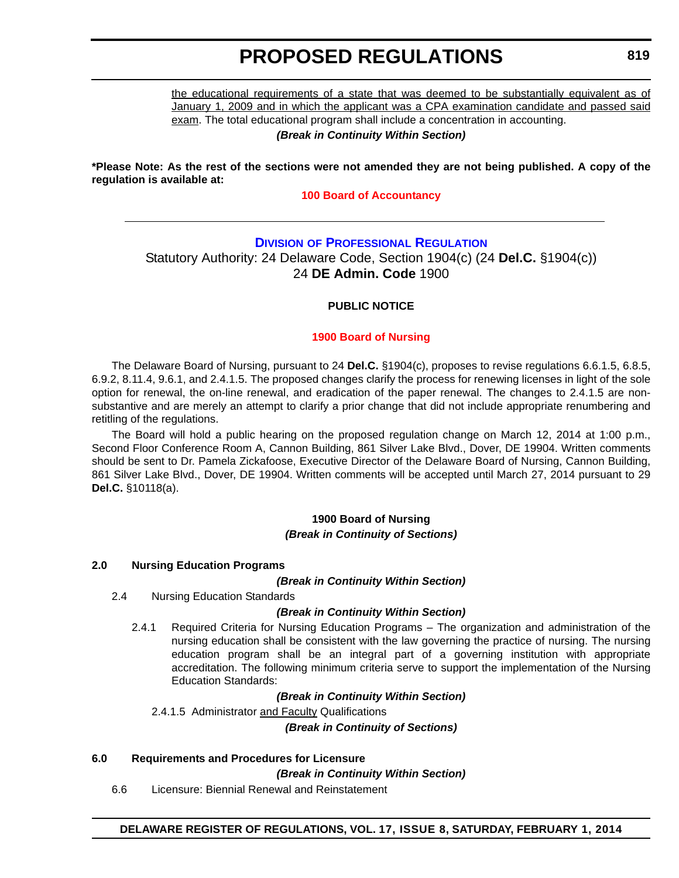<span id="page-27-0"></span>the educational requirements of a state that was deemed to be substantially equivalent as of January 1, 2009 and in which the applicant was a CPA examination candidate and passed said exam. The total educational program shall include a concentration in accounting.

*(Break in Continuity Within Section)*

**\*Please Note: As the rest of the sections were not amended they are not being published. A copy of the regulation is available at:**

**[100 Board of Accountancy](http://regulations.delaware.gov/register/february2014/proposed/17 DE Reg 818 02-01-14.htm)**

### **DIVISION [OF PROFESSIONAL REGULATION](http://dpr.delaware.gov/)** Statutory Authority: 24 Delaware Code, Section 1904(c) (24 **Del.C.** §1904(c)) 24 **DE Admin. Code** 1900

#### **PUBLIC NOTICE**

#### **[1900 Board of Nursing](#page-3-0)**

The Delaware Board of Nursing, pursuant to 24 **Del.C.** §1904(c), proposes to revise regulations 6.6.1.5, 6.8.5, 6.9.2, 8.11.4, 9.6.1, and 2.4.1.5. The proposed changes clarify the process for renewing licenses in light of the sole option for renewal, the on-line renewal, and eradication of the paper renewal. The changes to 2.4.1.5 are nonsubstantive and are merely an attempt to clarify a prior change that did not include appropriate renumbering and retitling of the regulations.

The Board will hold a public hearing on the proposed regulation change on March 12, 2014 at 1:00 p.m., Second Floor Conference Room A, Cannon Building, 861 Silver Lake Blvd., Dover, DE 19904. Written comments should be sent to Dr. Pamela Zickafoose, Executive Director of the Delaware Board of Nursing, Cannon Building, 861 Silver Lake Blvd., Dover, DE 19904. Written comments will be accepted until March 27, 2014 pursuant to 29 **Del.C.** §10118(a).

#### **1900 Board of Nursing** *(Break in Continuity of Sections)*

#### **2.0 Nursing Education Programs**

*(Break in Continuity Within Section)*

2.4 Nursing Education Standards

#### *(Break in Continuity Within Section)*

2.4.1 Required Criteria for Nursing Education Programs – The organization and administration of the nursing education shall be consistent with the law governing the practice of nursing. The nursing education program shall be an integral part of a governing institution with appropriate accreditation. The following minimum criteria serve to support the implementation of the Nursing Education Standards:

#### *(Break in Continuity Within Section)*

2.4.1.5 Administrator and Faculty Qualifications

*(Break in Continuity of Sections)*

#### **6.0 Requirements and Procedures for Licensure**

*(Break in Continuity Within Section)*

6.6 Licensure: Biennial Renewal and Reinstatement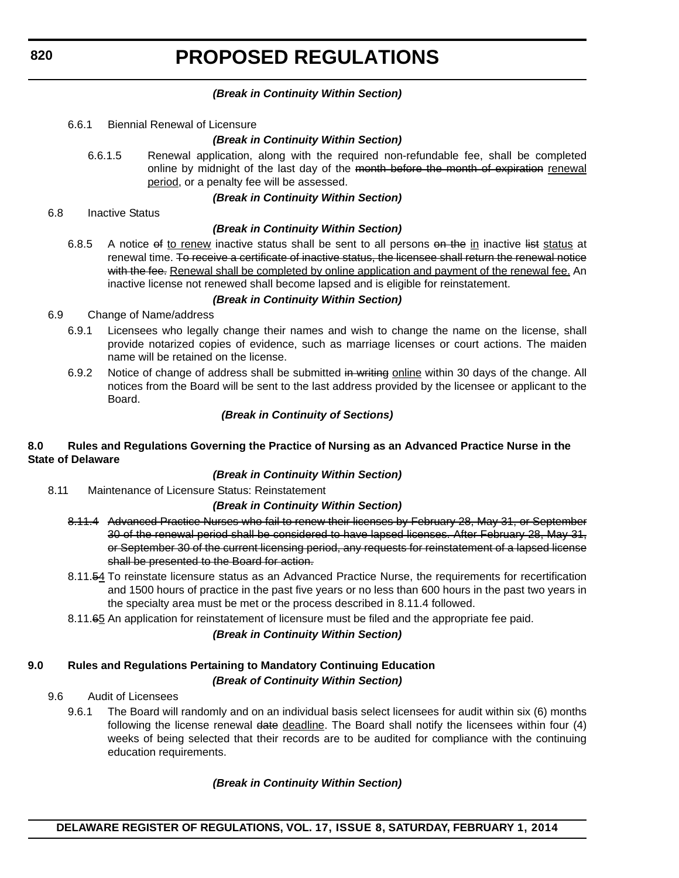#### *(Break in Continuity Within Section)*

6.6.1 Biennial Renewal of Licensure

#### *(Break in Continuity Within Section)*

6.6.1.5 Renewal application, along with the required non-refundable fee, shall be completed online by midnight of the last day of the month before the month of expiration renewal period, or a penalty fee will be assessed.

#### *(Break in Continuity Within Section)*

6.8 Inactive Status

#### *(Break in Continuity Within Section)*

6.8.5 A notice of to renew inactive status shall be sent to all persons on the in inactive list status at renewal time. To receive a certificate of inactive status, the licensee shall return the renewal notice with the fee. Renewal shall be completed by online application and payment of the renewal fee. An inactive license not renewed shall become lapsed and is eligible for reinstatement.

#### *(Break in Continuity Within Section)*

- 6.9 Change of Name/address
	- 6.9.1 Licensees who legally change their names and wish to change the name on the license, shall provide notarized copies of evidence, such as marriage licenses or court actions. The maiden name will be retained on the license.
	- 6.9.2 Notice of change of address shall be submitted in writing online within 30 days of the change. All notices from the Board will be sent to the last address provided by the licensee or applicant to the Board.

#### *(Break in Continuity of Sections)*

#### **8.0 Rules and Regulations Governing the Practice of Nursing as an Advanced Practice Nurse in the State of Delaware**

#### *(Break in Continuity Within Section)*

8.11 Maintenance of Licensure Status: Reinstatement

#### *(Break in Continuity Within Section)*

- 8.11.4 Advanced Practice Nurses who fail to renew their licenses by February 28, May 31, or September 30 of the renewal period shall be considered to have lapsed licenses. After February 28, May 31, or September 30 of the current licensing period, any requests for reinstatement of a lapsed license shall be presented to the Board for action.
- 8.11.54 To reinstate licensure status as an Advanced Practice Nurse, the requirements for recertification and 1500 hours of practice in the past five years or no less than 600 hours in the past two years in the specialty area must be met or the process described in 8.11.4 followed.
- 8.11.65 An application for reinstatement of licensure must be filed and the appropriate fee paid.

#### *(Break in Continuity Within Section)*

### **9.0 Rules and Regulations Pertaining to Mandatory Continuing Education** *(Break of Continuity Within Section)*

#### 9.6 Audit of Licensees

9.6.1 The Board will randomly and on an individual basis select licensees for audit within six (6) months following the license renewal date deadline. The Board shall notify the licensees within four (4) weeks of being selected that their records are to be audited for compliance with the continuing education requirements.

#### *(Break in Continuity Within Section)*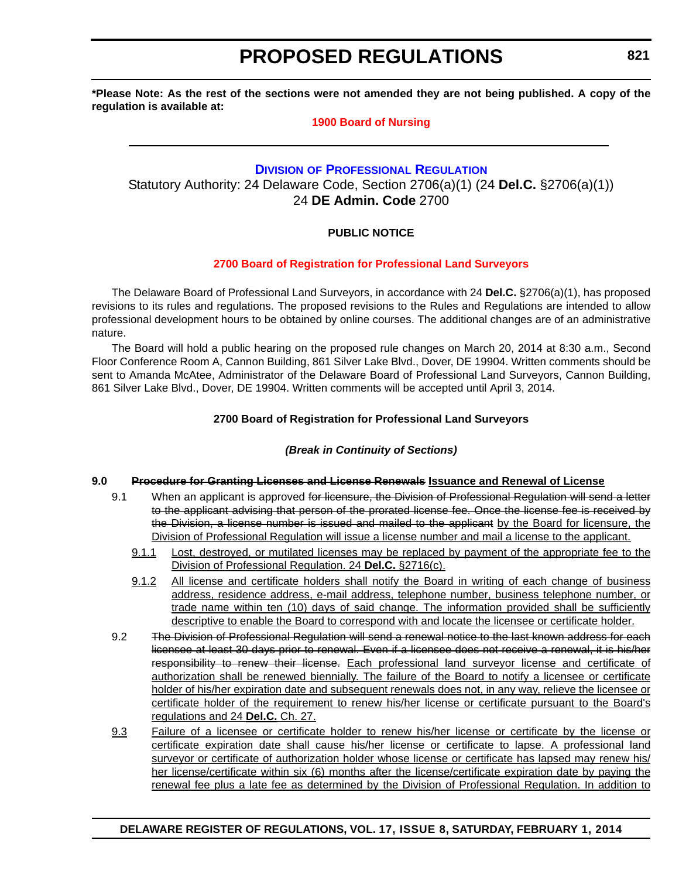<span id="page-29-0"></span>**\*Please Note: As the rest of the sections were not amended they are not being published. A copy of the regulation is available at:**

#### **[1900 Board of Nursing](http://regulations.delaware.gov/register/february2014/proposed/17 DE Reg 819 02-01-14.htm)**

### **DIVISION [OF PROFESSIONAL REGULATION](http://dpr.delaware.gov/)** Statutory Authority: 24 Delaware Code, Section 2706(a)(1) (24 **Del.C.** §2706(a)(1)) 24 **DE Admin. Code** 2700

### **PUBLIC NOTICE**

#### **[2700 Board of Registration for Professional Land Surveyors](#page-3-0)**

The Delaware Board of Professional Land Surveyors, in accordance with 24 **Del.C.** §2706(a)(1), has proposed revisions to its rules and regulations. The proposed revisions to the Rules and Regulations are intended to allow professional development hours to be obtained by online courses. The additional changes are of an administrative nature.

The Board will hold a public hearing on the proposed rule changes on March 20, 2014 at 8:30 a.m., Second Floor Conference Room A, Cannon Building, 861 Silver Lake Blvd., Dover, DE 19904. Written comments should be sent to Amanda McAtee, Administrator of the Delaware Board of Professional Land Surveyors, Cannon Building, 861 Silver Lake Blvd., Dover, DE 19904. Written comments will be accepted until April 3, 2014.

#### **2700 Board of Registration for Professional Land Surveyors**

#### *(Break in Continuity of Sections)*

#### **9.0 Procedure for Granting Licenses and License Renewals Issuance and Renewal of License**

- 9.1 When an applicant is approved for licensure, the Division of Professional Regulation will send a letter to the applicant advising that person of the prorated license fee. Once the license fee is received by the Division, a license number is issued and mailed to the applicant by the Board for licensure, the Division of Professional Regulation will issue a license number and mail a license to the applicant.
	- 9.1.1 Lost, destroyed, or mutilated licenses may be replaced by payment of the appropriate fee to the Division of Professional Regulation. 24 **Del.C.** §2716(c).
	- 9.1.2 All license and certificate holders shall notify the Board in writing of each change of business address, residence address, e-mail address, telephone number, business telephone number, or trade name within ten (10) days of said change. The information provided shall be sufficiently descriptive to enable the Board to correspond with and locate the licensee or certificate holder.
- 9.2 The Division of Professional Regulation will send a renewal notice to the last known address for each licensee at least 30 days prior to renewal. Even if a licensee does not receive a renewal, it is his/her responsibility to renew their license. Each professional land surveyor license and certificate of authorization shall be renewed biennially. The failure of the Board to notify a licensee or certificate holder of his/her expiration date and subsequent renewals does not, in any way, relieve the licensee or certificate holder of the requirement to renew his/her license or certificate pursuant to the Board's regulations and 24 **Del.C.** Ch. 27.
- 9.3 Failure of a licensee or certificate holder to renew his/her license or certificate by the license or certificate expiration date shall cause his/her license or certificate to lapse. A professional land surveyor or certificate of authorization holder whose license or certificate has lapsed may renew his/ her license/certificate within six (6) months after the license/certificate expiration date by paying the renewal fee plus a late fee as determined by the Division of Professional Regulation. In addition to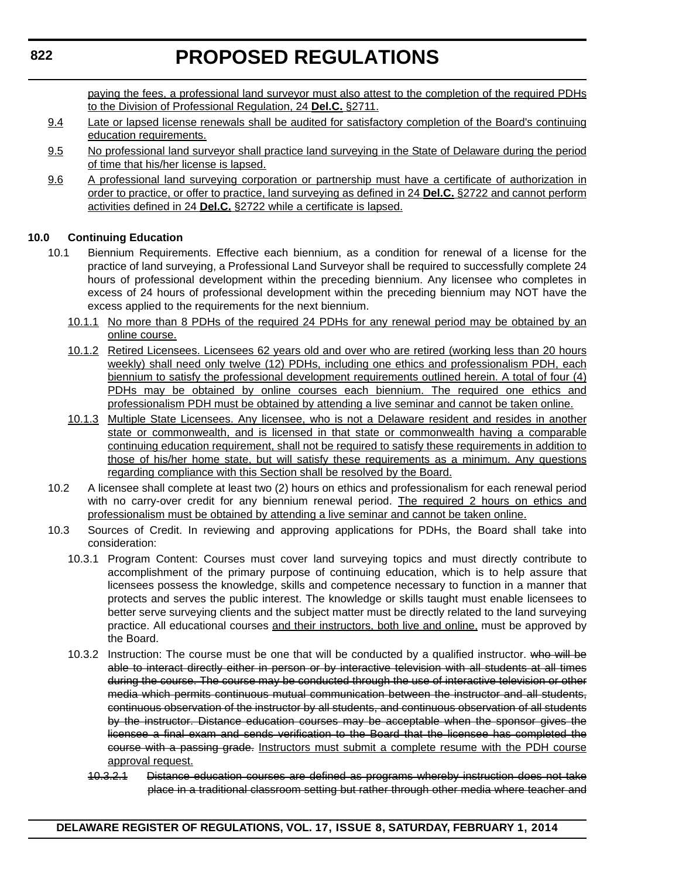paying the fees, a professional land surveyor must also attest to the completion of the required PDHs to the Division of Professional Regulation, 24 **Del.C.** §2711.

- 9.4 Late or lapsed license renewals shall be audited for satisfactory completion of the Board's continuing education requirements.
- 9.5 No professional land surveyor shall practice land surveying in the State of Delaware during the period of time that his/her license is lapsed.
- 9.6 A professional land surveying corporation or partnership must have a certificate of authorization in order to practice, or offer to practice, land surveying as defined in 24 **Del.C.** §2722 and cannot perform activities defined in 24 **Del.C.** §2722 while a certificate is lapsed.

#### **10.0 Continuing Education**

- 10.1 Biennium Requirements. Effective each biennium, as a condition for renewal of a license for the practice of land surveying, a Professional Land Surveyor shall be required to successfully complete 24 hours of professional development within the preceding biennium. Any licensee who completes in excess of 24 hours of professional development within the preceding biennium may NOT have the excess applied to the requirements for the next biennium.
	- 10.1.1 No more than 8 PDHs of the required 24 PDHs for any renewal period may be obtained by an online course.
	- 10.1.2 Retired Licensees. Licensees 62 years old and over who are retired (working less than 20 hours weekly) shall need only twelve (12) PDHs, including one ethics and professionalism PDH, each biennium to satisfy the professional development requirements outlined herein. A total of four (4) PDHs may be obtained by online courses each biennium. The required one ethics and professionalism PDH must be obtained by attending a live seminar and cannot be taken online.
	- 10.1.3 Multiple State Licensees. Any licensee, who is not a Delaware resident and resides in another state or commonwealth, and is licensed in that state or commonwealth having a comparable continuing education requirement, shall not be required to satisfy these requirements in addition to those of his/her home state, but will satisfy these requirements as a minimum. Any questions regarding compliance with this Section shall be resolved by the Board.
- 10.2 A licensee shall complete at least two (2) hours on ethics and professionalism for each renewal period with no carry-over credit for any biennium renewal period. The required 2 hours on ethics and professionalism must be obtained by attending a live seminar and cannot be taken online.
- 10.3 Sources of Credit. In reviewing and approving applications for PDHs, the Board shall take into consideration:
	- 10.3.1 Program Content: Courses must cover land surveying topics and must directly contribute to accomplishment of the primary purpose of continuing education, which is to help assure that licensees possess the knowledge, skills and competence necessary to function in a manner that protects and serves the public interest. The knowledge or skills taught must enable licensees to better serve surveying clients and the subject matter must be directly related to the land surveying practice. All educational courses and their instructors, both live and online, must be approved by the Board.
	- 10.3.2 Instruction: The course must be one that will be conducted by a qualified instructor. who will be able to interact directly either in person or by interactive television with all students at all times during the course. The course may be conducted through the use of interactive television or other media which permits continuous mutual communication between the instructor and all students, continuous observation of the instructor by all students, and continuous observation of all students by the instructor. Distance education courses may be acceptable when the sponsor gives the licensee a final exam and sends verification to the Board that the licensee has completed the course with a passing grade. Instructors must submit a complete resume with the PDH course approval request.
		- 10.3.2.1 Distance education courses are defined as programs whereby instruction does not take place in a traditional classroom setting but rather through other media where teacher and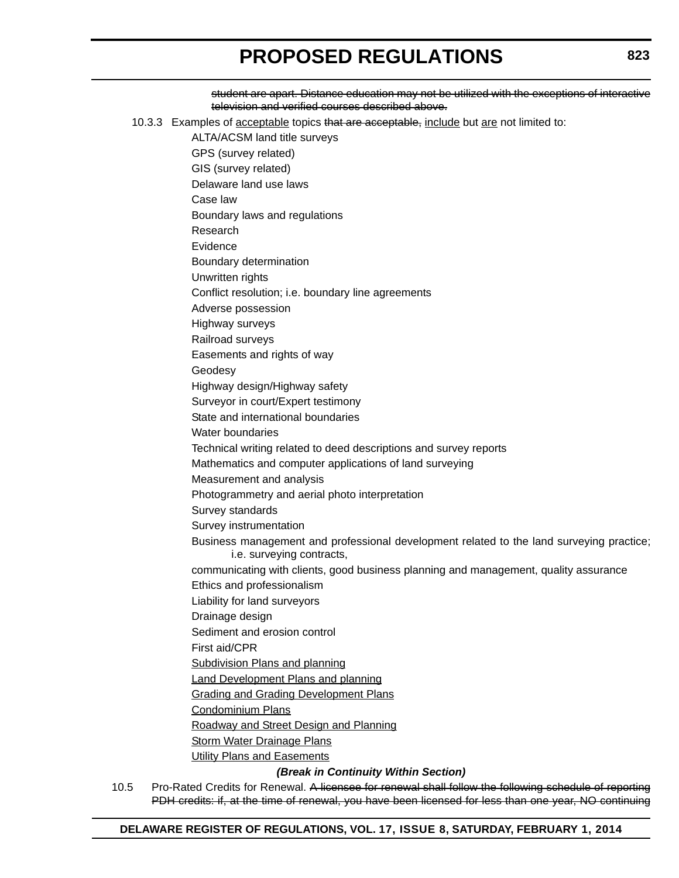student are apart. Distance education may not be utilized with the exceptions of interactive television and verified courses described above. 10.3.3 Examples of acceptable topics that are acceptable, include but are not limited to: ALTA/ACSM land title surveys GPS (survey related) GIS (survey related) Delaware land use laws Case law Boundary laws and regulations Research **Evidence** Boundary determination Unwritten rights Conflict resolution; i.e. boundary line agreements Adverse possession Highway surveys Railroad surveys Easements and rights of way Geodesy Highway design/Highway safety Surveyor in court/Expert testimony State and international boundaries Water boundaries Technical writing related to deed descriptions and survey reports Mathematics and computer applications of land surveying Measurement and analysis Photogrammetry and aerial photo interpretation Survey standards Survey instrumentation Business management and professional development related to the land surveying practice; i.e. surveying contracts, communicating with clients, good business planning and management, quality assurance Ethics and professionalism Liability for land surveyors Drainage design Sediment and erosion control First aid/CPR Subdivision Plans and planning Land Development Plans and planning **Grading and Grading Development Plans** Condominium Plans Roadway and Street Design and Planning **Storm Water Drainage Plans Utility Plans and Easements** *(Break in Continuity Within Section)*

10.5 Pro-Rated Credits for Renewal. A licensee for renewal shall follow the following schedule of reporting PDH credits: if, at the time of renewal, you have been licensed for less than one year, NO continuing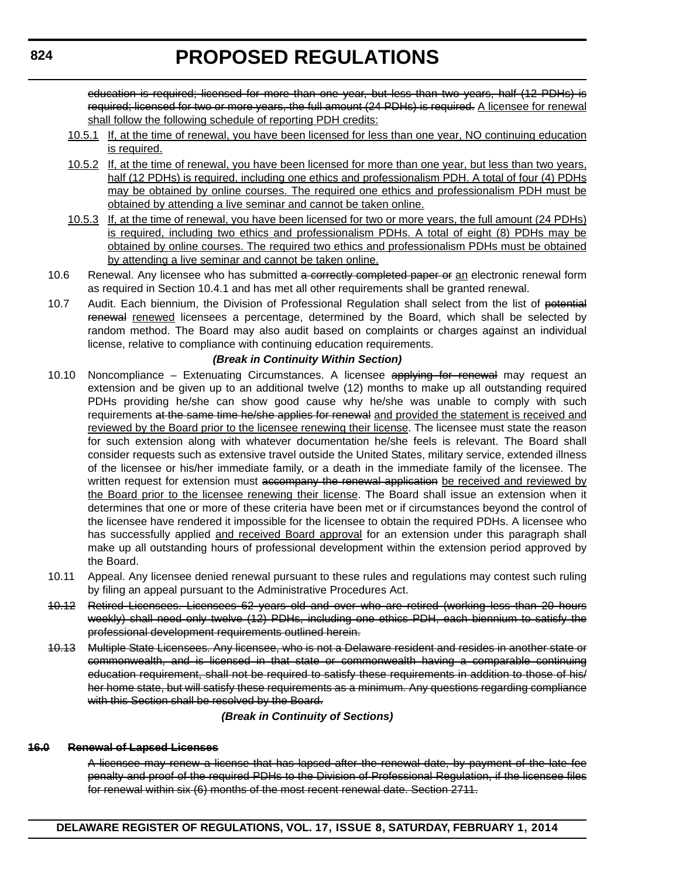education is required; licensed for more than one year, but less than two years, half (12 PDHs) is required; licensed for two or more years, the full amount (24 PDHs) is required. A licensee for renewal shall follow the following schedule of reporting PDH credits:

- 10.5.1 If, at the time of renewal, you have been licensed for less than one year, NO continuing education is required.
- 10.5.2 If, at the time of renewal, you have been licensed for more than one year, but less than two years, half (12 PDHs) is required, including one ethics and professionalism PDH. A total of four (4) PDHs may be obtained by online courses. The required one ethics and professionalism PDH must be obtained by attending a live seminar and cannot be taken online.
- 10.5.3 If, at the time of renewal, you have been licensed for two or more years, the full amount (24 PDHs) is required, including two ethics and professionalism PDHs. A total of eight (8) PDHs may be obtained by online courses. The required two ethics and professionalism PDHs must be obtained by attending a live seminar and cannot be taken online.
- 10.6 Renewal. Any licensee who has submitted a correctly completed paper or an electronic renewal form as required in Section 10.4.1 and has met all other requirements shall be granted renewal.
- 10.7 Audit. Each biennium, the Division of Professional Regulation shall select from the list of potential renewal renewed licensees a percentage, determined by the Board, which shall be selected by random method. The Board may also audit based on complaints or charges against an individual license, relative to compliance with continuing education requirements.

#### *(Break in Continuity Within Section)*

- 10.10 Noncompliance Extenuating Circumstances. A licensee applying for renewal may request an extension and be given up to an additional twelve (12) months to make up all outstanding required PDHs providing he/she can show good cause why he/she was unable to comply with such requirements at the same time he/she applies for renewal and provided the statement is received and reviewed by the Board prior to the licensee renewing their license. The licensee must state the reason for such extension along with whatever documentation he/she feels is relevant. The Board shall consider requests such as extensive travel outside the United States, military service, extended illness of the licensee or his/her immediate family, or a death in the immediate family of the licensee. The written request for extension must accompany the renewal application be received and reviewed by the Board prior to the licensee renewing their license. The Board shall issue an extension when it determines that one or more of these criteria have been met or if circumstances beyond the control of the licensee have rendered it impossible for the licensee to obtain the required PDHs. A licensee who has successfully applied and received Board approval for an extension under this paragraph shall make up all outstanding hours of professional development within the extension period approved by the Board.
- 10.11 Appeal. Any licensee denied renewal pursuant to these rules and regulations may contest such ruling by filing an appeal pursuant to the Administrative Procedures Act.
- 10.12 Retired Licensees. Licensees 62 years old and over who are retired (working less than 20 hours weekly) shall need only twelve (12) PDHs, including one ethics PDH, each biennium to satisfy the professional development requirements outlined herein.
- 10.13 Multiple State Licensees. Any licensee, who is not a Delaware resident and resides in another state or commonwealth, and is licensed in that state or commonwealth having a comparable continuing education requirement, shall not be required to satisfy these requirements in addition to those of his/ her home state, but will satisfy these requirements as a minimum. Any questions regarding compliance with this Section shall be resolved by the Board.

#### *(Break in Continuity of Sections)*

#### **16.0 Renewal of Lapsed Licenses**

A licensee may renew a license that has lapsed after the renewal date, by payment of the late fee penalty and proof of the required PDHs to the Division of Professional Regulation, if the licensee files for renewal within six (6) months of the most recent renewal date. Section 2711.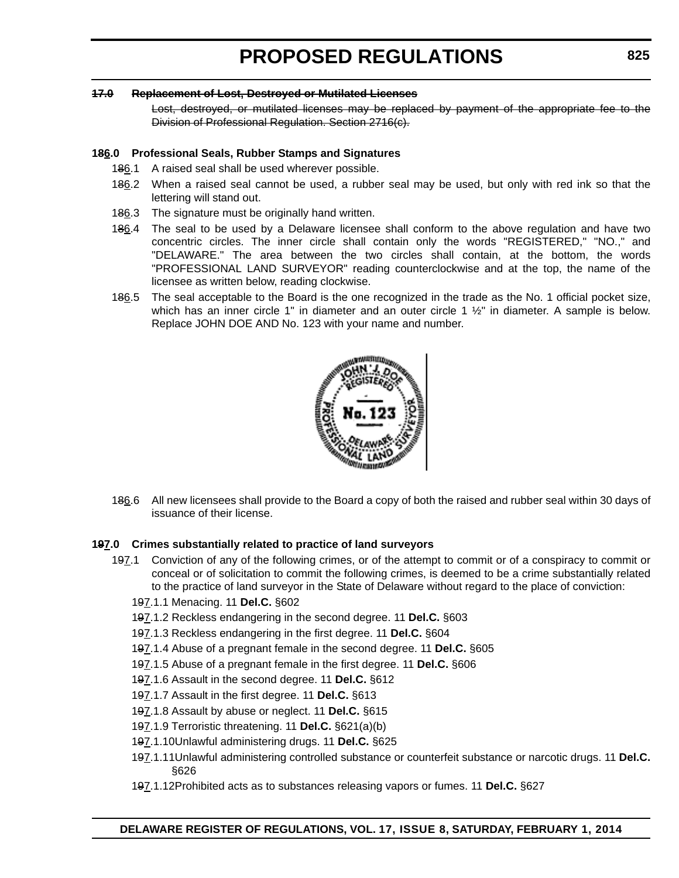#### **17.0 Replacement of Lost, Destroyed or Mutilated Licenses**

Lost, destroyed, or mutilated licenses may be replaced by payment of the appropriate fee to the Division of Professional Regulation. Section 2716(c).

#### **186.0 Professional Seals, Rubber Stamps and Signatures**

- 186.1 A raised seal shall be used wherever possible.
- 186.2 When a raised seal cannot be used, a rubber seal may be used, but only with red ink so that the lettering will stand out.
- 186.3 The signature must be originally hand written.
- 186.4 The seal to be used by a Delaware licensee shall conform to the above regulation and have two concentric circles. The inner circle shall contain only the words "REGISTERED," "NO.," and "DELAWARE." The area between the two circles shall contain, at the bottom, the words "PROFESSIONAL LAND SURVEYOR" reading counterclockwise and at the top, the name of the licensee as written below, reading clockwise.
- 186.5 The seal acceptable to the Board is the one recognized in the trade as the No. 1 official pocket size, which has an inner circle 1" in diameter and an outer circle 1  $\frac{1}{2}$ " in diameter. A sample is below. Replace JOHN DOE AND No. 123 with your name and number.



186.6 All new licensees shall provide to the Board a copy of both the raised and rubber seal within 30 days of issuance of their license.

#### **197.0 Crimes substantially related to practice of land surveyors**

- 197.1 Conviction of any of the following crimes, or of the attempt to commit or of a conspiracy to commit or conceal or of solicitation to commit the following crimes, is deemed to be a crime substantially related to the practice of land surveyor in the State of Delaware without regard to the place of conviction:
	- 197.1.1 Menacing. 11 **Del.C.** §602
	- 197.1.2 Reckless endangering in the second degree. 11 **Del.C.** §603
	- 197.1.3 Reckless endangering in the first degree. 11 **Del.C.** §604
	- 197.1.4 Abuse of a pregnant female in the second degree. 11 **Del.C.** §605
	- 197.1.5 Abuse of a pregnant female in the first degree. 11 **Del.C.** §606
	- 197.1.6 Assault in the second degree. 11 **Del.C.** §612
	- 197.1.7 Assault in the first degree. 11 **Del.C.** §613
	- 197.1.8 Assault by abuse or neglect. 11 **Del.C.** §615
	- 197.1.9 Terroristic threatening. 11 **Del.C.** §621(a)(b)
	- 197.1.10Unlawful administering drugs. 11 **Del.C.** §625
	- 197.1.11Unlawful administering controlled substance or counterfeit substance or narcotic drugs. 11 **Del.C.** §626
	- 197.1.12Prohibited acts as to substances releasing vapors or fumes. 11 **Del.C.** §627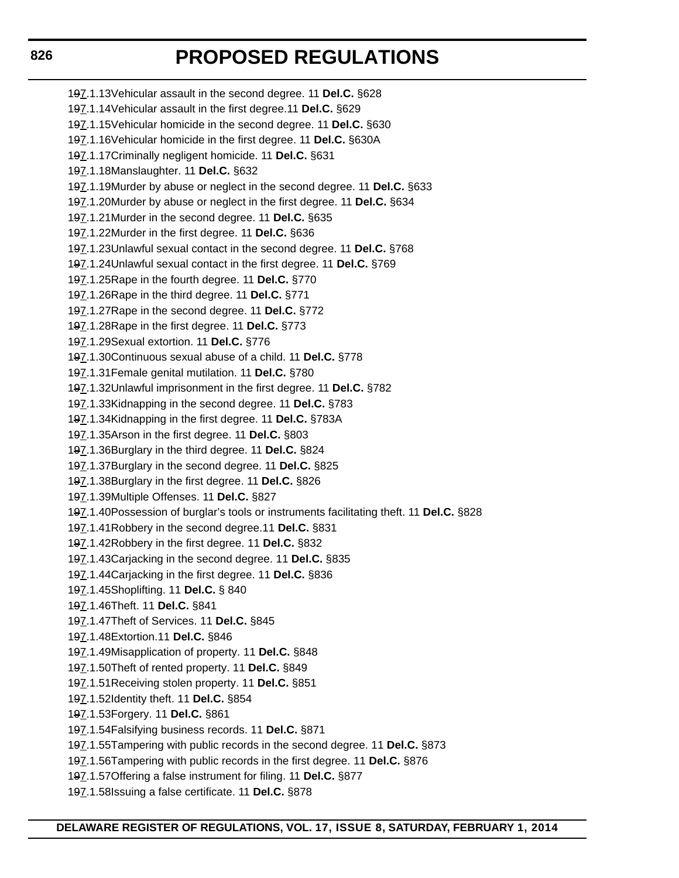197.1.13Vehicular assault in the second degree. 11 **Del.C.** §628 197.1.14Vehicular assault in the first degree.11 **Del.C.** §629 197.1.15Vehicular homicide in the second degree. 11 **Del.C.** §630 197.1.16Vehicular homicide in the first degree. 11 **Del.C.** §630A 197.1.17Criminally negligent homicide. 11 **Del.C.** §631 197.1.18Manslaughter. 11 **Del.C.** §632 197.1.19Murder by abuse or neglect in the second degree. 11 **Del.C.** §633 197.1.20Murder by abuse or neglect in the first degree. 11 **Del.C.** §634 197.1.21Murder in the second degree. 11 **Del.C.** §635 197.1.22Murder in the first degree. 11 **Del.C.** §636 197.1.23Unlawful sexual contact in the second degree. 11 **Del.C.** §768 197.1.24Unlawful sexual contact in the first degree. 11 **Del.C.** §769 197.1.25Rape in the fourth degree. 11 **Del.C.** §770 197.1.26Rape in the third degree. 11 **Del.C.** §771 197.1.27Rape in the second degree. 11 **Del.C.** §772 197.1.28Rape in the first degree. 11 **Del.C.** §773 197.1.29Sexual extortion. 11 **Del.C.** §776 197.1.30Continuous sexual abuse of a child. 11 **Del.C.** §778 197.1.31Female genital mutilation. 11 **Del.C.** §780 197.1.32Unlawful imprisonment in the first degree. 11 **Del.C.** §782 197.1.33Kidnapping in the second degree. 11 **Del.C.** §783 197.1.34Kidnapping in the first degree. 11 **Del.C.** §783A 197.1.35Arson in the first degree. 11 **Del.C.** §803 197.1.36Burglary in the third degree. 11 **Del.C.** §824 197.1.37Burglary in the second degree. 11 **Del.C.** §825 197.1.38Burglary in the first degree. 11 **Del.C.** §826 197.1.39Multiple Offenses. 11 **Del.C.** §827 197.1.40Possession of burglar's tools or instruments facilitating theft. 11 **Del.C.** §828 197.1.41Robbery in the second degree.11 **Del.C.** §831 197.1.42Robbery in the first degree. 11 **Del.C.** §832 197.1.43Carjacking in the second degree. 11 **Del.C.** §835 197.1.44Carjacking in the first degree. 11 **Del.C.** §836 197.1.45Shoplifting. 11 **Del.C.** § 840 197.1.46Theft. 11 **Del.C.** §841 197.1.47Theft of Services. 11 **Del.C.** §845 197.1.48Extortion.11 **Del.C.** §846 197.1.49Misapplication of property. 11 **Del.C.** §848 197.1.50Theft of rented property. 11 **Del.C.** §849 197.1.51Receiving stolen property. 11 **Del.C.** §851 197.1.52Identity theft. 11 **Del.C.** §854 197.1.53Forgery. 11 **Del.C.** §861 197.1.54Falsifying business records. 11 **Del.C.** §871 197.1.55Tampering with public records in the second degree. 11 **Del.C.** §873 197.1.56Tampering with public records in the first degree. 11 **Del.C.** §876 197.1.57Offering a false instrument for filing. 11 **Del.C.** §877

197.1.58Issuing a false certificate. 11 **Del.C.** §878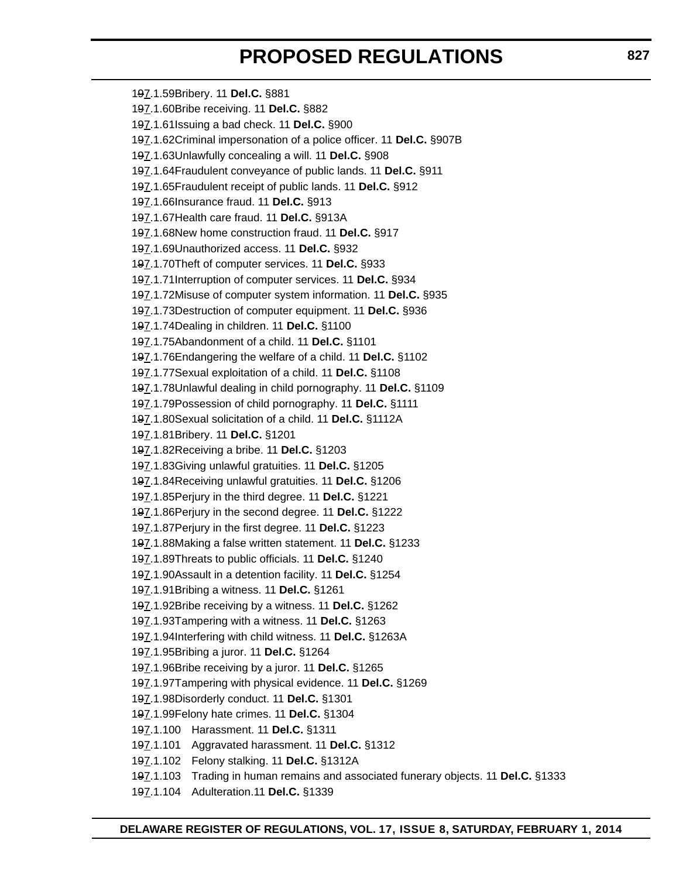197.1.59Bribery. 11 **Del.C.** §881 197.1.60Bribe receiving. 11 **Del.C.** §882 197.1.61Issuing a bad check. 11 **Del.C.** §900 197.1.62Criminal impersonation of a police officer. 11 **Del.C.** §907B 197.1.63Unlawfully concealing a will. 11 **Del.C.** §908 197.1.64Fraudulent conveyance of public lands. 11 **Del.C.** §911 197.1.65Fraudulent receipt of public lands. 11 **Del.C.** §912 197.1.66Insurance fraud. 11 **Del.C.** §913 197.1.67Health care fraud. 11 **Del.C.** §913A 197.1.68New home construction fraud. 11 **Del.C.** §917 197.1.69Unauthorized access. 11 **Del.C.** §932 197.1.70Theft of computer services. 11 **Del.C.** §933 197.1.71Interruption of computer services. 11 **Del.C.** §934 197.1.72Misuse of computer system information. 11 **Del.C.** §935 197.1.73Destruction of computer equipment. 11 **Del.C.** §936 197.1.74Dealing in children. 11 **Del.C.** §1100 197.1.75Abandonment of a child. 11 **Del.C.** §1101 197.1.76Endangering the welfare of a child. 11 **Del.C.** §1102 197.1.77Sexual exploitation of a child. 11 **Del.C.** §1108 197.1.78Unlawful dealing in child pornography. 11 **Del.C.** §1109 197.1.79Possession of child pornography. 11 **Del.C.** §1111 197.1.80Sexual solicitation of a child. 11 **Del.C.** §1112A 197.1.81Bribery. 11 **Del.C.** §1201 197.1.82Receiving a bribe. 11 **Del.C.** §1203 197.1.83Giving unlawful gratuities. 11 **Del.C.** §1205 197.1.84Receiving unlawful gratuities. 11 **Del.C.** §1206 197.1.85Perjury in the third degree. 11 **Del.C.** §1221 197.1.86Perjury in the second degree. 11 **Del.C.** §1222 197.1.87Perjury in the first degree. 11 **Del.C.** §1223 197.1.88Making a false written statement. 11 **Del.C.** §1233 197.1.89Threats to public officials. 11 **Del.C.** §1240 197.1.90Assault in a detention facility. 11 **Del.C.** §1254 197.1.91Bribing a witness. 11 **Del.C.** §1261 197.1.92Bribe receiving by a witness. 11 **Del.C.** §1262 197.1.93Tampering with a witness. 11 **Del.C.** §1263 197.1.94Interfering with child witness. 11 **Del.C.** §1263A 197.1.95Bribing a juror. 11 **Del.C.** §1264 197.1.96Bribe receiving by a juror. 11 **Del.C.** §1265 197.1.97Tampering with physical evidence. 11 **Del.C.** §1269 197.1.98Disorderly conduct. 11 **Del.C.** §1301 197.1.99Felony hate crimes. 11 **Del.C.** §1304 197.1.100 Harassment. 11 **Del.C.** §1311 197.1.101 Aggravated harassment. 11 **Del.C.** §1312 197.1.102 Felony stalking. 11 **Del.C.** §1312A 197.1.103 Trading in human remains and associated funerary objects. 11 **Del.C.** §1333 197.1.104 Adulteration.11 **Del.C.** §1339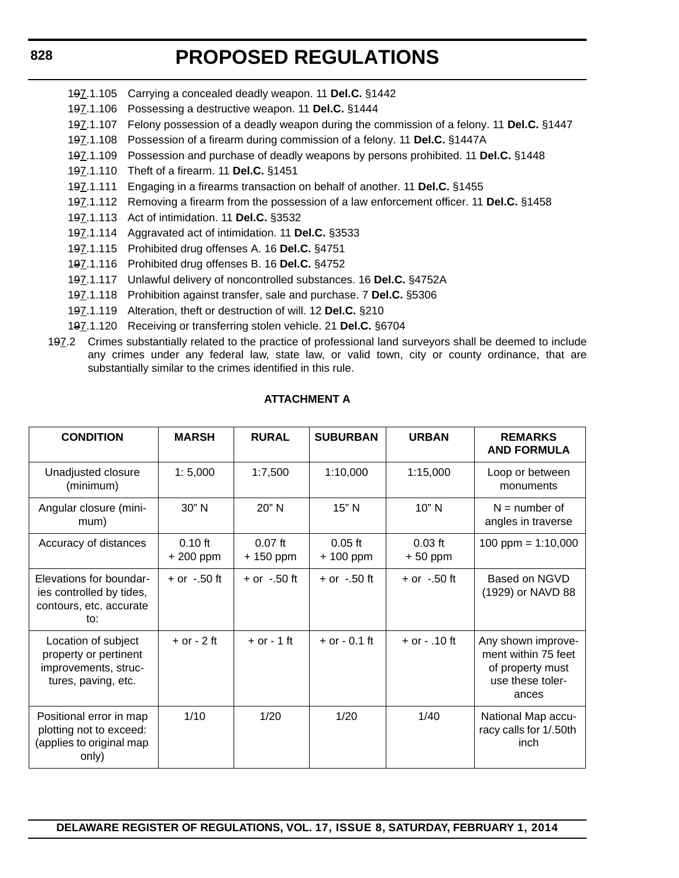# **PROPOSED REGULATIONS**

- 197.1.105 Carrying a concealed deadly weapon. 11 **Del.C.** §1442
- 197.1.106 Possessing a destructive weapon. 11 **Del.C.** §1444
- 197.1.107 Felony possession of a deadly weapon during the commission of a felony. 11 **Del.C.** §1447
- 197.1.108 Possession of a firearm during commission of a felony. 11 **Del.C.** §1447A
- 197.1.109 Possession and purchase of deadly weapons by persons prohibited. 11 **Del.C.** §1448
- 197.1.110 Theft of a firearm. 11 **Del.C.** §1451
- 197.1.111 Engaging in a firearms transaction on behalf of another. 11 **Del.C.** §1455
- 197.1.112 Removing a firearm from the possession of a law enforcement officer. 11 **Del.C.** §1458
- 197.1.113 Act of intimidation. 11 **Del.C.** §3532
- 197.1.114 Aggravated act of intimidation. 11 **Del.C.** §3533
- 197.1.115 Prohibited drug offenses A. 16 **Del.C.** §4751
- 197.1.116 Prohibited drug offenses B. 16 **Del.C.** §4752
- 197.1.117 Unlawful delivery of noncontrolled substances. 16 **Del.C.** §4752A
- 197.1.118 Prohibition against transfer, sale and purchase. 7 **Del.C.** §5306
- 197.1.119 Alteration, theft or destruction of will. 12 **Del.C.** §210
- 197.1.120 Receiving or transferring stolen vehicle. 21 **Del.C.** §6704
- 197.2 Crimes substantially related to the practice of professional land surveyors shall be deemed to include any crimes under any federal law, state law, or valid town, city or county ordinance, that are substantially similar to the crimes identified in this rule.

## **ATTACHMENT A**

| <b>CONDITION</b>                                                                            | <b>MARSH</b>           | <b>RURAL</b>            | <b>SUBURBAN</b>         | <b>URBAN</b>           | <b>REMARKS</b><br><b>AND FORMULA</b>                                                       |
|---------------------------------------------------------------------------------------------|------------------------|-------------------------|-------------------------|------------------------|--------------------------------------------------------------------------------------------|
| Unadjusted closure<br>(minimum)                                                             | 1:5,000                | 1:7,500                 | 1:10,000                | 1:15,000               | Loop or between<br>monuments                                                               |
| Angular closure (mini-<br>mum)                                                              | 30" N                  | 20" N                   | 15" N                   | $10"$ N                | $N =$ number of<br>angles in traverse                                                      |
| Accuracy of distances                                                                       | $0.10$ ft<br>+ 200 ppm | $0.07$ ft<br>$+150$ ppm | $0.05$ ft<br>$+100$ ppm | $0.03$ ft<br>$+50$ ppm | 100 ppm = $1:10,000$                                                                       |
| Elevations for boundar-<br>ies controlled by tides,<br>contours, etc. accurate<br>to:       | $+$ or $-.50$ ft       | $+$ or $-.50$ ft        | $+$ or $-.50$ ft        | $+$ or $-.50$ ft       | Based on NGVD<br>(1929) or NAVD 88                                                         |
| Location of subject<br>property or pertinent<br>improvements, struc-<br>tures, paving, etc. | $+$ or $-$ 2 ft        | $+$ or $-1$ ft          | $+$ or $-$ 0.1 ft       | $+$ or $-$ .10 ft      | Any shown improve-<br>ment within 75 feet<br>of property must<br>use these toler-<br>ances |
| Positional error in map<br>plotting not to exceed:<br>(applies to original map<br>only)     | 1/10                   | 1/20                    | 1/20                    | 1/40                   | National Map accu-<br>racy calls for 1/.50th<br>inch                                       |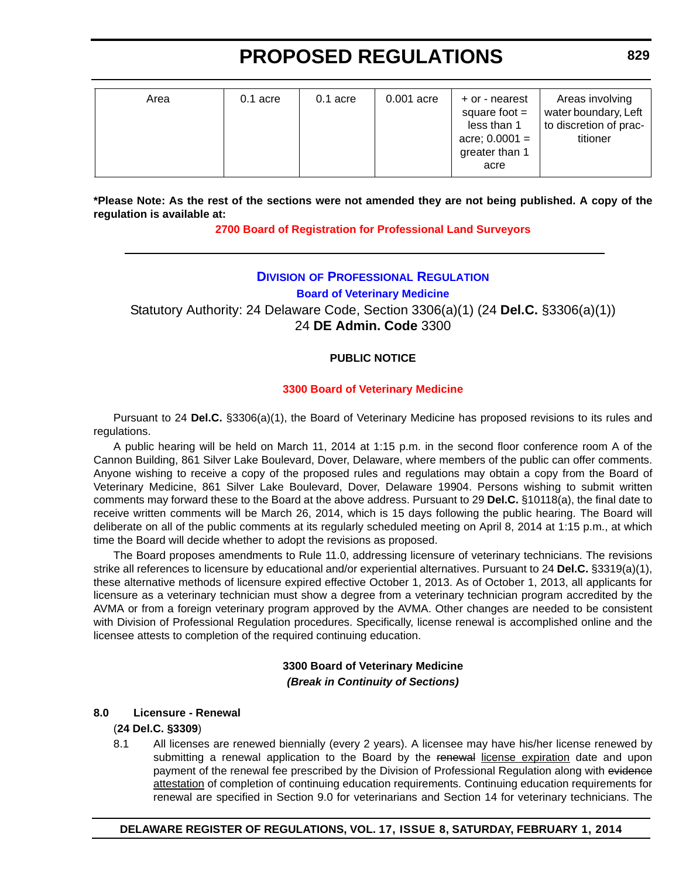| Area | $0.1$ acre | $0.1$ acre | 0.001 acre | + or - nearest<br>square foot $=$<br>less than 1<br>acre; $0.0001 =$<br>greater than 1<br>acre | Areas involving<br>water boundary, Left<br>to discretion of prac-<br>titioner |
|------|------------|------------|------------|------------------------------------------------------------------------------------------------|-------------------------------------------------------------------------------|
|      |            |            |            |                                                                                                |                                                                               |

**\*Please Note: As the rest of the sections were not amended they are not being published. A copy of the regulation is available at:**

**[2700 Board of Registration for Professional Land Surveyors](http://regulations.delaware.gov/register/february2014/proposed/17 DE Reg 821 02-01-14.htm)**

## **DIVISION [OF PROFESSIONAL REGULATION](http://dpr.delaware.gov/) Board of Veterinary Medicine**

Statutory Authority: 24 Delaware Code, Section 3306(a)(1) (24 **Del.C.** §3306(a)(1)) 24 **DE Admin. Code** 3300

## **PUBLIC NOTICE**

## **[3300 Board of Veterinary Medicine](#page-3-0)**

Pursuant to 24 **Del.C.** §3306(a)(1), the Board of Veterinary Medicine has proposed revisions to its rules and regulations.

A public hearing will be held on March 11, 2014 at 1:15 p.m. in the second floor conference room A of the Cannon Building, 861 Silver Lake Boulevard, Dover, Delaware, where members of the public can offer comments. Anyone wishing to receive a copy of the proposed rules and regulations may obtain a copy from the Board of Veterinary Medicine, 861 Silver Lake Boulevard, Dover, Delaware 19904. Persons wishing to submit written comments may forward these to the Board at the above address. Pursuant to 29 **Del.C.** §10118(a), the final date to receive written comments will be March 26, 2014, which is 15 days following the public hearing. The Board will deliberate on all of the public comments at its regularly scheduled meeting on April 8, 2014 at 1:15 p.m., at which time the Board will decide whether to adopt the revisions as proposed.

The Board proposes amendments to Rule 11.0, addressing licensure of veterinary technicians. The revisions strike all references to licensure by educational and/or experiential alternatives. Pursuant to 24 **Del.C.** §3319(a)(1), these alternative methods of licensure expired effective October 1, 2013. As of October 1, 2013, all applicants for licensure as a veterinary technician must show a degree from a veterinary technician program accredited by the AVMA or from a foreign veterinary program approved by the AVMA. Other changes are needed to be consistent with Division of Professional Regulation procedures. Specifically, license renewal is accomplished online and the licensee attests to completion of the required continuing education.

## **3300 Board of Veterinary Medicine** *(Break in Continuity of Sections)*

## **8.0 Licensure - Renewal**

## (**24 Del.C. §3309**)

8.1 All licenses are renewed biennially (every 2 years). A licensee may have his/her license renewed by submitting a renewal application to the Board by the renewal license expiration date and upon payment of the renewal fee prescribed by the Division of Professional Regulation along with evidence attestation of completion of continuing education requirements. Continuing education requirements for renewal are specified in Section 9.0 for veterinarians and Section 14 for veterinary technicians. The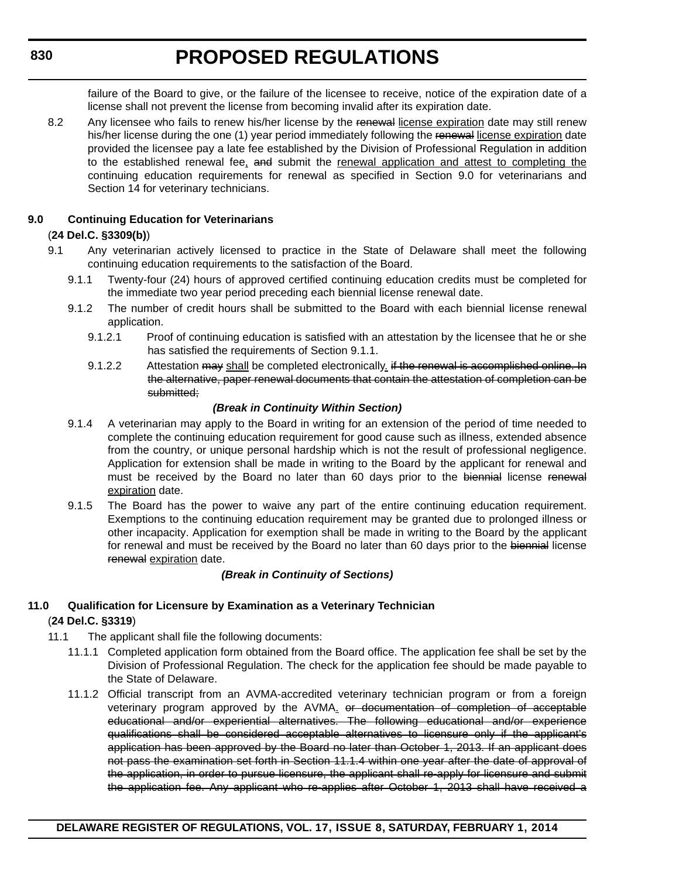failure of the Board to give, or the failure of the licensee to receive, notice of the expiration date of a license shall not prevent the license from becoming invalid after its expiration date.

8.2 Any licensee who fails to renew his/her license by the renewal license expiration date may still renew his/her license during the one (1) year period immediately following the renewal license expiration date provided the licensee pay a late fee established by the Division of Professional Regulation in addition to the established renewal fee, and submit the renewal application and attest to completing the continuing education requirements for renewal as specified in Section 9.0 for veterinarians and Section 14 for veterinary technicians.

## **9.0 Continuing Education for Veterinarians**

## (**24 Del.C. §3309(b)**)

- 9.1 Any veterinarian actively licensed to practice in the State of Delaware shall meet the following continuing education requirements to the satisfaction of the Board.
	- 9.1.1 Twenty-four (24) hours of approved certified continuing education credits must be completed for the immediate two year period preceding each biennial license renewal date.
	- 9.1.2 The number of credit hours shall be submitted to the Board with each biennial license renewal application.
		- 9.1.2.1 Proof of continuing education is satisfied with an attestation by the licensee that he or she has satisfied the requirements of Section 9.1.1.
		- 9.1.2.2 Attestation may shall be completed electronically if the renewal is accomplished online. In the alternative, paper renewal documents that contain the attestation of completion can be submitted;

## *(Break in Continuity Within Section)*

- 9.1.4 A veterinarian may apply to the Board in writing for an extension of the period of time needed to complete the continuing education requirement for good cause such as illness, extended absence from the country, or unique personal hardship which is not the result of professional negligence. Application for extension shall be made in writing to the Board by the applicant for renewal and must be received by the Board no later than 60 days prior to the biennial license renewal expiration date.
- 9.1.5 The Board has the power to waive any part of the entire continuing education requirement. Exemptions to the continuing education requirement may be granted due to prolonged illness or other incapacity. Application for exemption shall be made in writing to the Board by the applicant for renewal and must be received by the Board no later than 60 days prior to the biennial license renewal expiration date.

## *(Break in Continuity of Sections)*

## **11.0 Qualification for Licensure by Examination as a Veterinary Technician** (**24 Del.C. §3319**)

- 11.1 The applicant shall file the following documents:
	- 11.1.1 Completed application form obtained from the Board office. The application fee shall be set by the Division of Professional Regulation. The check for the application fee should be made payable to the State of Delaware.
	- 11.1.2 Official transcript from an AVMA-accredited veterinary technician program or from a foreign veterinary program approved by the AVMA. or documentation of completion of acceptable educational and/or experiential alternatives. The following educational and/or experience qualifications shall be considered acceptable alternatives to licensure only if the applicant's application has been approved by the Board no later than October 1, 2013. If an applicant does not pass the examination set forth in Section 11.1.4 within one year after the date of approval of the application, in order to pursue licensure, the applicant shall re-apply for licensure and submit the application fee. Any applicant who re-applies after October 1, 2013 shall have received a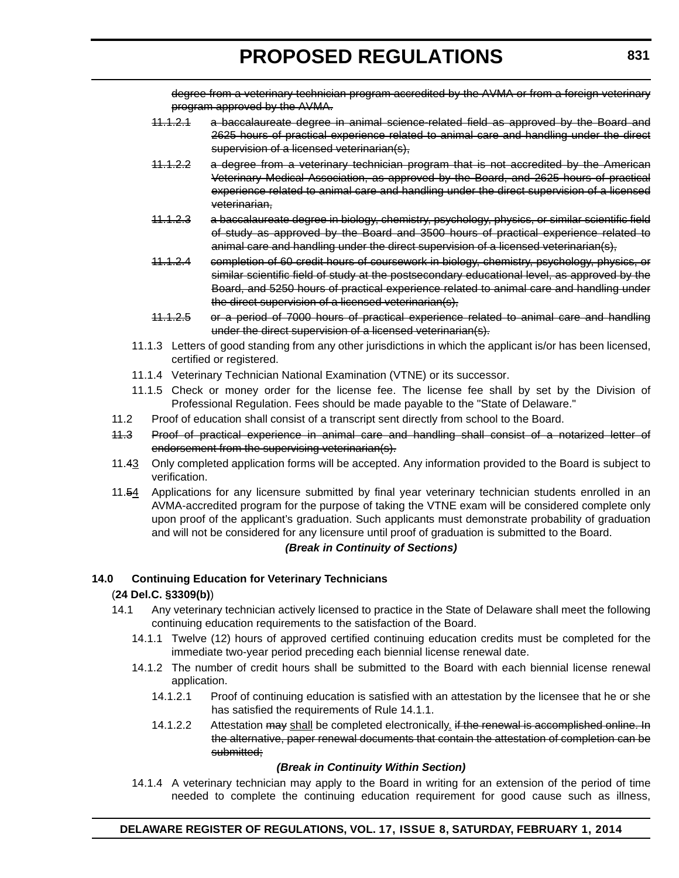degree from a veterinary technician program accredited by the AVMA or from a foreign veterinary program approved by the AVMA.

- 11.1.2.1 a baccalaureate degree in animal science-related field as approved by the Board and 2625 hours of practical experience related to animal care and handling under the direct supervision of a licensed veterinarian(s),
- 11.1.2.2 a degree from a veterinary technician program that is not accredited by the American Veterinary Medical Association, as approved by the Board, and 2625 hours of practical experience related to animal care and handling under the direct supervision of a licensed veterinarian,
- 11.1.2.3 a baccalaureate degree in biology, chemistry, psychology, physics, or similar scientific field of study as approved by the Board and 3500 hours of practical experience related to animal care and handling under the direct supervision of a licensed veterinarian(s),
- 11.1.2.4 completion of 60 credit hours of coursework in biology, chemistry, psychology, physics, or similar scientific field of study at the postsecondary educational level, as approved by the Board, and 5250 hours of practical experience related to animal care and handling under the direct supervision of a licensed veterinarian(s),
- 11.1.2.5 or a period of 7000 hours of practical experience related to animal care and handling under the direct supervision of a licensed veterinarian(s).
- 11.1.3 Letters of good standing from any other jurisdictions in which the applicant is/or has been licensed, certified or registered.
- 11.1.4 Veterinary Technician National Examination (VTNE) or its successor.
- 11.1.5 Check or money order for the license fee. The license fee shall by set by the Division of Professional Regulation. Fees should be made payable to the "State of Delaware."
- 11.2 Proof of education shall consist of a transcript sent directly from school to the Board.
- 11.3 Proof of practical experience in animal care and handling shall consist of a notarized letter of endorsement from the supervising veterinarian(s).
- 11.43 Only completed application forms will be accepted. Any information provided to the Board is subject to verification.
- 11.54 Applications for any licensure submitted by final year veterinary technician students enrolled in an AVMA-accredited program for the purpose of taking the VTNE exam will be considered complete only upon proof of the applicant's graduation. Such applicants must demonstrate probability of graduation and will not be considered for any licensure until proof of graduation is submitted to the Board.

## *(Break in Continuity of Sections)*

## **14.0 Continuing Education for Veterinary Technicians**

## (**24 Del.C. §3309(b)**)

- 14.1 Any veterinary technician actively licensed to practice in the State of Delaware shall meet the following continuing education requirements to the satisfaction of the Board.
	- 14.1.1 Twelve (12) hours of approved certified continuing education credits must be completed for the immediate two-year period preceding each biennial license renewal date.
	- 14.1.2 The number of credit hours shall be submitted to the Board with each biennial license renewal application.
		- 14.1.2.1 Proof of continuing education is satisfied with an attestation by the licensee that he or she has satisfied the requirements of Rule 14.1.1.
		- 14.1.2.2 Attestation may shall be completed electronically. if the renewal is accomplished online. In the alternative, paper renewal documents that contain the attestation of completion can be submitted:

## *(Break in Continuity Within Section)*

14.1.4 A veterinary technician may apply to the Board in writing for an extension of the period of time needed to complete the continuing education requirement for good cause such as illness,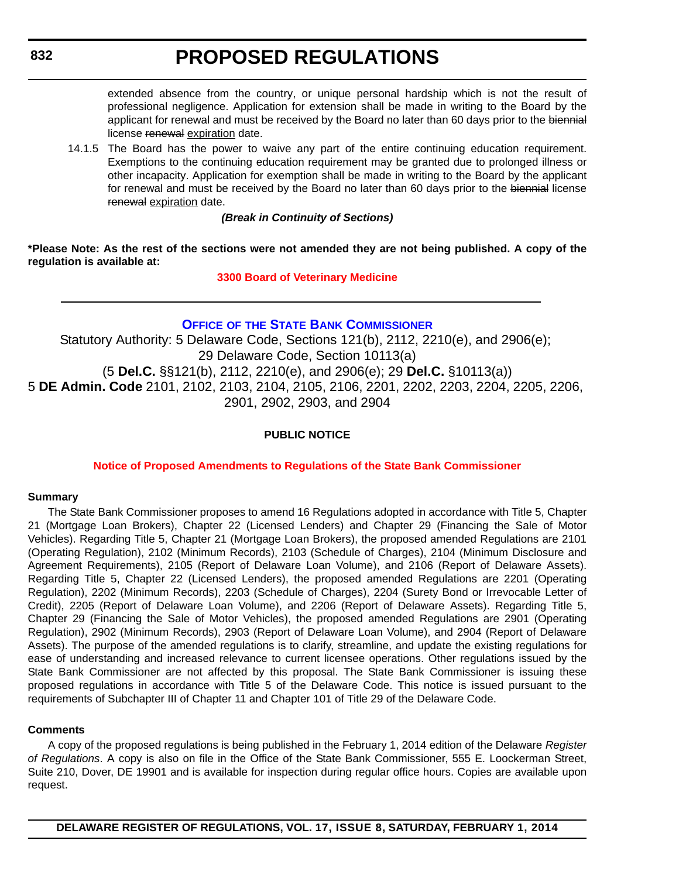extended absence from the country, or unique personal hardship which is not the result of professional negligence. Application for extension shall be made in writing to the Board by the applicant for renewal and must be received by the Board no later than 60 days prior to the biennial license renewal expiration date.

14.1.5 The Board has the power to waive any part of the entire continuing education requirement. Exemptions to the continuing education requirement may be granted due to prolonged illness or other incapacity. Application for exemption shall be made in writing to the Board by the applicant for renewal and must be received by the Board no later than 60 days prior to the biennial license renewal expiration date.

## *(Break in Continuity of Sections)*

**\*Please Note: As the rest of the sections were not amended they are not being published. A copy of the regulation is available at:**

**[3300 Board of Veterinary Medicine](http://regulations.delaware.gov/register/february2014/proposed/17 DE Reg 829 02-01-14.htm)**

## **OFFICE OF [THE STATE BANK COMMISSIONER](http://banking.delaware.gov/)**

Statutory Authority: 5 Delaware Code, Sections 121(b), 2112, 2210(e), and 2906(e); 29 Delaware Code, Section 10113(a) (5 **Del.C.** §§121(b), 2112, 2210(e), and 2906(e); 29 **Del.C.** §10113(a)) 5 **DE Admin. Code** 2101, 2102, 2103, 2104, 2105, 2106, 2201, 2202, 2203, 2204, 2205, 2206, 2901, 2902, 2903, and 2904

## **PUBLIC NOTICE**

## **[Notice of Proposed Amendments to Regulations of the State Bank Commissioner](#page-3-0)**

## **Summary**

The State Bank Commissioner proposes to amend 16 Regulations adopted in accordance with Title 5, Chapter 21 (Mortgage Loan Brokers), Chapter 22 (Licensed Lenders) and Chapter 29 (Financing the Sale of Motor Vehicles). Regarding Title 5, Chapter 21 (Mortgage Loan Brokers), the proposed amended Regulations are 2101 (Operating Regulation), 2102 (Minimum Records), 2103 (Schedule of Charges), 2104 (Minimum Disclosure and Agreement Requirements), 2105 (Report of Delaware Loan Volume), and 2106 (Report of Delaware Assets). Regarding Title 5, Chapter 22 (Licensed Lenders), the proposed amended Regulations are 2201 (Operating Regulation), 2202 (Minimum Records), 2203 (Schedule of Charges), 2204 (Surety Bond or Irrevocable Letter of Credit), 2205 (Report of Delaware Loan Volume), and 2206 (Report of Delaware Assets). Regarding Title 5, Chapter 29 (Financing the Sale of Motor Vehicles), the proposed amended Regulations are 2901 (Operating Regulation), 2902 (Minimum Records), 2903 (Report of Delaware Loan Volume), and 2904 (Report of Delaware Assets). The purpose of the amended regulations is to clarify, streamline, and update the existing regulations for ease of understanding and increased relevance to current licensee operations. Other regulations issued by the State Bank Commissioner are not affected by this proposal. The State Bank Commissioner is issuing these proposed regulations in accordance with Title 5 of the Delaware Code. This notice is issued pursuant to the requirements of Subchapter III of Chapter 11 and Chapter 101 of Title 29 of the Delaware Code.

## **Comments**

A copy of the proposed regulations is being published in the February 1, 2014 edition of the Delaware *Register of Regulations*. A copy is also on file in the Office of the State Bank Commissioner, 555 E. Loockerman Street, Suite 210, Dover, DE 19901 and is available for inspection during regular office hours. Copies are available upon request.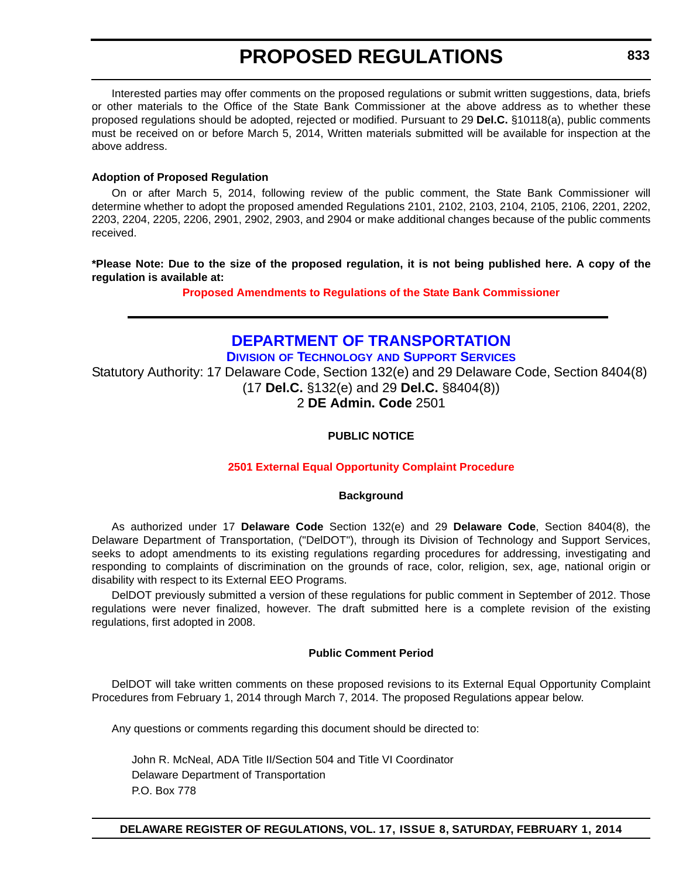Interested parties may offer comments on the proposed regulations or submit written suggestions, data, briefs or other materials to the Office of the State Bank Commissioner at the above address as to whether these proposed regulations should be adopted, rejected or modified. Pursuant to 29 **Del.C.** §10118(a), public comments must be received on or before March 5, 2014, Written materials submitted will be available for inspection at the above address.

#### **Adoption of Proposed Regulation**

On or after March 5, 2014, following review of the public comment, the State Bank Commissioner will determine whether to adopt the proposed amended Regulations 2101, 2102, 2103, 2104, 2105, 2106, 2201, 2202, 2203, 2204, 2205, 2206, 2901, 2902, 2903, and 2904 or make additional changes because of the public comments received.

**\*Please Note: Due to the size of the proposed regulation, it is not being published here. A copy of the regulation is available at:**

**[Proposed Amendments to Regulations of the State Bank Commissioner](http://regulations.delaware.gov/register/february2014/proposed/17 DE Reg 832 02-01-14.htm)**

## **[DEPARTMENT OF TRANSPORTATION](http://www.deldot.gov/index.shtml)**

**DIVISION OF TECHNOLOGY AND SUPPORT SERVICES**

Statutory Authority: 17 Delaware Code, Section 132(e) and 29 Delaware Code, Section 8404(8) (17 **Del.C.** §132(e) and 29 **Del.C.** §8404(8)) 2 **DE Admin. Code** 2501

## **PUBLIC NOTICE**

## **[2501 External Equal Opportunity Complaint Procedure](#page-3-0)**

#### **Background**

As authorized under 17 **Delaware Code** Section 132(e) and 29 **Delaware Code**, Section 8404(8), the Delaware Department of Transportation, ("DelDOT"), through its Division of Technology and Support Services, seeks to adopt amendments to its existing regulations regarding procedures for addressing, investigating and responding to complaints of discrimination on the grounds of race, color, religion, sex, age, national origin or disability with respect to its External EEO Programs.

DelDOT previously submitted a version of these regulations for public comment in September of 2012. Those regulations were never finalized, however. The draft submitted here is a complete revision of the existing regulations, first adopted in 2008.

## **Public Comment Period**

DelDOT will take written comments on these proposed revisions to its External Equal Opportunity Complaint Procedures from February 1, 2014 through March 7, 2014. The proposed Regulations appear below.

Any questions or comments regarding this document should be directed to:

John R. McNeal, ADA Title II/Section 504 and Title VI Coordinator Delaware Department of Transportation P.O. Box 778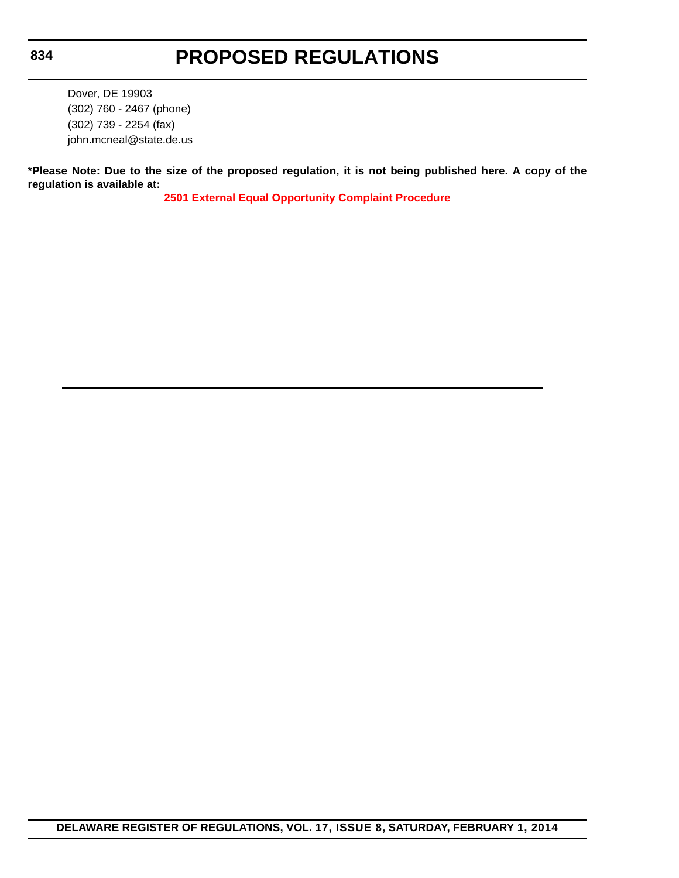Dover, DE 19903 (302) 760 - 2467 (phone) (302) 739 - 2254 (fax) john.mcneal@state.de.us

**\*Please Note: Due to the size of the proposed regulation, it is not being published here. A copy of the regulation is available at:**

**[2501 External Equal Opportunity Complaint Procedure](http://regulations.delaware.gov/register/february2014/proposed/17 DE Reg 833 02-01-14.htm)**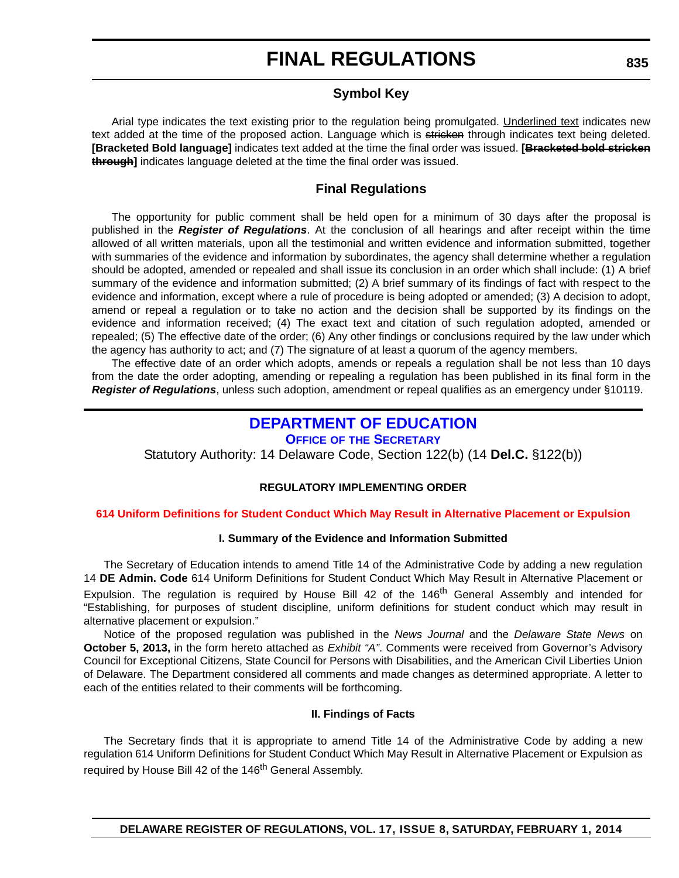## **Symbol Key**

Arial type indicates the text existing prior to the regulation being promulgated. Underlined text indicates new text added at the time of the proposed action. Language which is stricken through indicates text being deleted. **[Bracketed Bold language]** indicates text added at the time the final order was issued. **[Bracketed bold stricken through]** indicates language deleted at the time the final order was issued.

## **Final Regulations**

The opportunity for public comment shall be held open for a minimum of 30 days after the proposal is published in the *Register of Regulations*. At the conclusion of all hearings and after receipt within the time allowed of all written materials, upon all the testimonial and written evidence and information submitted, together with summaries of the evidence and information by subordinates, the agency shall determine whether a regulation should be adopted, amended or repealed and shall issue its conclusion in an order which shall include: (1) A brief summary of the evidence and information submitted; (2) A brief summary of its findings of fact with respect to the evidence and information, except where a rule of procedure is being adopted or amended; (3) A decision to adopt, amend or repeal a regulation or to take no action and the decision shall be supported by its findings on the evidence and information received; (4) The exact text and citation of such regulation adopted, amended or repealed; (5) The effective date of the order; (6) Any other findings or conclusions required by the law under which the agency has authority to act; and (7) The signature of at least a quorum of the agency members.

The effective date of an order which adopts, amends or repeals a regulation shall be not less than 10 days from the date the order adopting, amending or repealing a regulation has been published in its final form in the *Register of Regulations*, unless such adoption, amendment or repeal qualifies as an emergency under §10119.

## **[DEPARTMENT OF EDUCATION](http://www.doe.k12.de.us/)**

## **OFFICE OF THE SECRETARY**

Statutory Authority: 14 Delaware Code, Section 122(b) (14 **Del.C.** §122(b))

## **REGULATORY IMPLEMENTING ORDER**

#### **[614 Uniform Definitions for Student Conduct Which May Result in Alternative Placement or Expulsion](#page-3-0)**

## **I. Summary of the Evidence and Information Submitted**

The Secretary of Education intends to amend Title 14 of the Administrative Code by adding a new regulation 14 **DE Admin. Code** 614 Uniform Definitions for Student Conduct Which May Result in Alternative Placement or Expulsion. The regulation is required by House Bill 42 of the 146<sup>th</sup> General Assembly and intended for "Establishing, for purposes of student discipline, uniform definitions for student conduct which may result in alternative placement or expulsion."

Notice of the proposed regulation was published in the *News Journal* and the *Delaware State News* on **October 5, 2013,** in the form hereto attached as *Exhibit "A"*. Comments were received from Governor's Advisory Council for Exceptional Citizens, State Council for Persons with Disabilities, and the American Civil Liberties Union of Delaware. The Department considered all comments and made changes as determined appropriate. A letter to each of the entities related to their comments will be forthcoming.

#### **II. Findings of Facts**

The Secretary finds that it is appropriate to amend Title 14 of the Administrative Code by adding a new regulation 614 Uniform Definitions for Student Conduct Which May Result in Alternative Placement or Expulsion as required by House Bill 42 of the 146<sup>th</sup> General Assembly.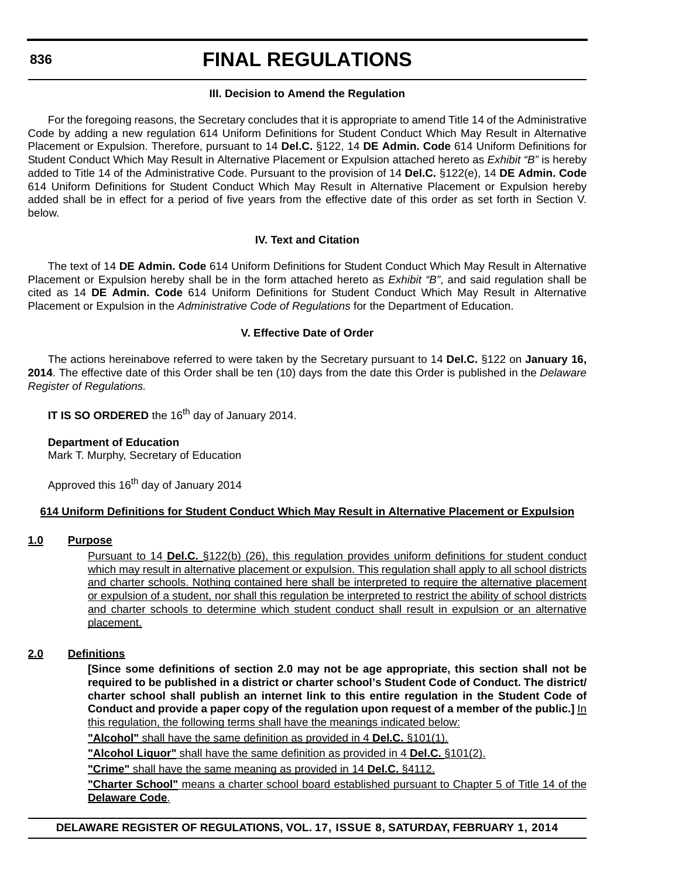# **FINAL REGULATIONS**

#### **III. Decision to Amend the Regulation**

For the foregoing reasons, the Secretary concludes that it is appropriate to amend Title 14 of the Administrative Code by adding a new regulation 614 Uniform Definitions for Student Conduct Which May Result in Alternative Placement or Expulsion. Therefore, pursuant to 14 **Del.C.** §122, 14 **DE Admin. Code** 614 Uniform Definitions for Student Conduct Which May Result in Alternative Placement or Expulsion attached hereto as *Exhibit "B"* is hereby added to Title 14 of the Administrative Code. Pursuant to the provision of 14 **Del.C.** §122(e), 14 **DE Admin. Code** 614 Uniform Definitions for Student Conduct Which May Result in Alternative Placement or Expulsion hereby added shall be in effect for a period of five years from the effective date of this order as set forth in Section V. below.

## **IV. Text and Citation**

The text of 14 **DE Admin. Code** 614 Uniform Definitions for Student Conduct Which May Result in Alternative Placement or Expulsion hereby shall be in the form attached hereto as *Exhibit "B"*, and said regulation shall be cited as 14 **DE Admin. Code** 614 Uniform Definitions for Student Conduct Which May Result in Alternative Placement or Expulsion in the *Administrative Code of Regulations* for the Department of Education.

## **V. Effective Date of Order**

The actions hereinabove referred to were taken by the Secretary pursuant to 14 **Del.C.** §122 on **January 16, 2014**. The effective date of this Order shall be ten (10) days from the date this Order is published in the *Delaware Register of Regulations.*

**IT IS SO ORDERED** the 16<sup>th</sup> day of January 2014.

## **Department of Education**

Mark T. Murphy, Secretary of Education

Approved this 16<sup>th</sup> day of January 2014

## **614 Uniform Definitions for Student Conduct Which May Result in Alternative Placement or Expulsion**

## **1.0 Purpose**

Pursuant to 14 **Del.C.** §122(b) (26), this regulation provides uniform definitions for student conduct which may result in alternative placement or expulsion. This regulation shall apply to all school districts and charter schools. Nothing contained here shall be interpreted to require the alternative placement or expulsion of a student, nor shall this regulation be interpreted to restrict the ability of school districts and charter schools to determine which student conduct shall result in expulsion or an alternative placement.

## **2.0 Definitions**

**[Since some definitions of section 2.0 may not be age appropriate, this section shall not be required to be published in a district or charter school's Student Code of Conduct. The district/ charter school shall publish an internet link to this entire regulation in the Student Code of Conduct and provide a paper copy of the regulation upon request of a member of the public.]** In this regulation, the following terms shall have the meanings indicated below:

**"Alcohol"** shall have the same definition as provided in 4 **Del.C.** §101(1).

**"Alcohol Liquor"** shall have the same definition as provided in 4 **Del.C.** §101(2).

**"Crime"** shall have the same meaning as provided in 14 **Del.C.** §4112.

**"Charter School"** means a charter school board established pursuant to Chapter 5 of Title 14 of the **Delaware Code**.

**DELAWARE REGISTER OF REGULATIONS, VOL. 17, ISSUE 8, SATURDAY, FEBRUARY 1, 2014**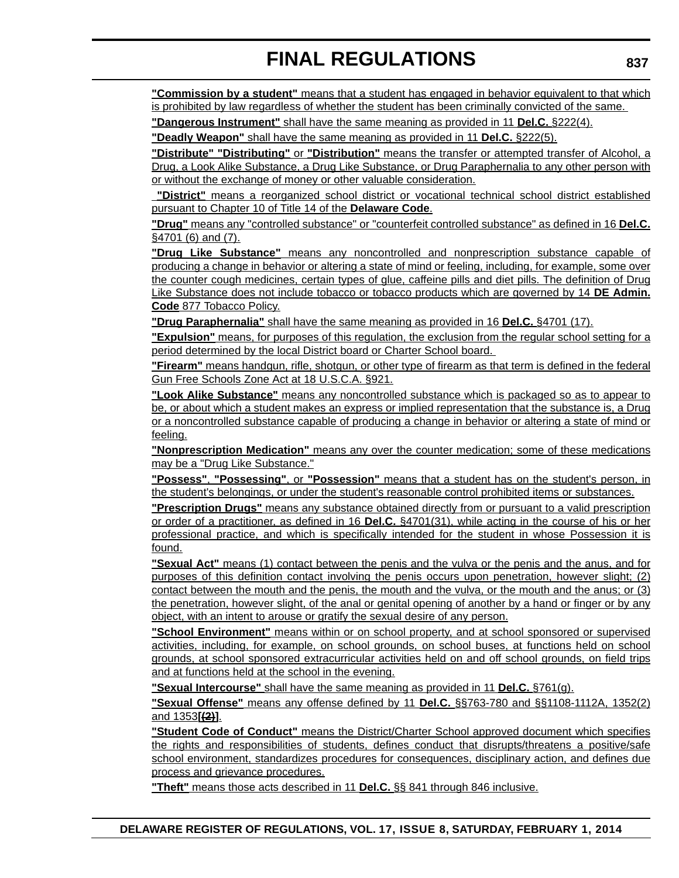**"Commission by a student"** means that a student has engaged in behavior equivalent to that which is prohibited by law regardless of whether the student has been criminally convicted of the same.

**"Dangerous Instrument"** shall have the same meaning as provided in 11 **Del.C.** §222(4).

**"Deadly Weapon"** shall have the same meaning as provided in 11 **Del.C.** §222(5).

**"Distribute" "Distributing"** or **"Distribution"** means the transfer or attempted transfer of Alcohol, a Drug, a Look Alike Substance, a Drug Like Substance, or Drug Paraphernalia to any other person with or without the exchange of money or other valuable consideration.

**"District"** means a reorganized school district or vocational technical school district established pursuant to Chapter 10 of Title 14 of the **Delaware Code**.

**"Drug"** means any "controlled substance" or "counterfeit controlled substance" as defined in 16 **Del.C.** §4701 (6) and (7).

**"Drug Like Substance"** means any noncontrolled and nonprescription substance capable of producing a change in behavior or altering a state of mind or feeling, including, for example, some over the counter cough medicines, certain types of glue, caffeine pills and diet pills. The definition of Drug Like Substance does not include tobacco or tobacco products which are governed by 14 **DE Admin. Code** 877 Tobacco Policy.

**"Drug Paraphernalia"** shall have the same meaning as provided in 16 **Del.C.** §4701 (17).

**"Expulsion"** means, for purposes of this regulation, the exclusion from the regular school setting for a period determined by the local District board or Charter School board.

**"Firearm"** means handgun, rifle, shotgun, or other type of firearm as that term is defined in the federal Gun Free Schools Zone Act at 18 U.S.C.A. §921.

**"Look Alike Substance"** means any noncontrolled substance which is packaged so as to appear to be, or about which a student makes an express or implied representation that the substance is, a Drug or a noncontrolled substance capable of producing a change in behavior or altering a state of mind or feeling.

**"Nonprescription Medication"** means any over the counter medication; some of these medications may be a "Drug Like Substance."

**"Possess"**, **"Possessing"**, or **"Possession"** means that a student has on the student's person, in the student's belongings, or under the student's reasonable control prohibited items or substances.

**"Prescription Drugs"** means any substance obtained directly from or pursuant to a valid prescription or order of a practitioner, as defined in 16 **Del.C.** §4701(31), while acting in the course of his or her professional practice, and which is specifically intended for the student in whose Possession it is found.

**"Sexual Act"** means (1) contact between the penis and the vulva or the penis and the anus, and for purposes of this definition contact involving the penis occurs upon penetration, however slight; (2) contact between the mouth and the penis, the mouth and the vulva, or the mouth and the anus; or (3) the penetration, however slight, of the anal or genital opening of another by a hand or finger or by any object, with an intent to arouse or gratify the sexual desire of any person.

**"School Environment"** means within or on school property, and at school sponsored or supervised activities, including, for example, on school grounds, on school buses, at functions held on school grounds, at school sponsored extracurricular activities held on and off school grounds, on field trips and at functions held at the school in the evening.

**"Sexual Intercourse"** shall have the same meaning as provided in 11 **Del.C.** §761(g).

**"Sexual Offense"** means any offense defined by 11 **Del.C.** §§763-780 and §§1108-1112A, 1352(2) and 1353**[(2)]**.

**"Student Code of Conduct"** means the District/Charter School approved document which specifies the rights and responsibilities of students, defines conduct that disrupts/threatens a positive/safe school environment, standardizes procedures for consequences, disciplinary action, and defines due process and grievance procedures.

**"Theft"** means those acts described in 11 **Del.C.** §§ 841 through 846 inclusive.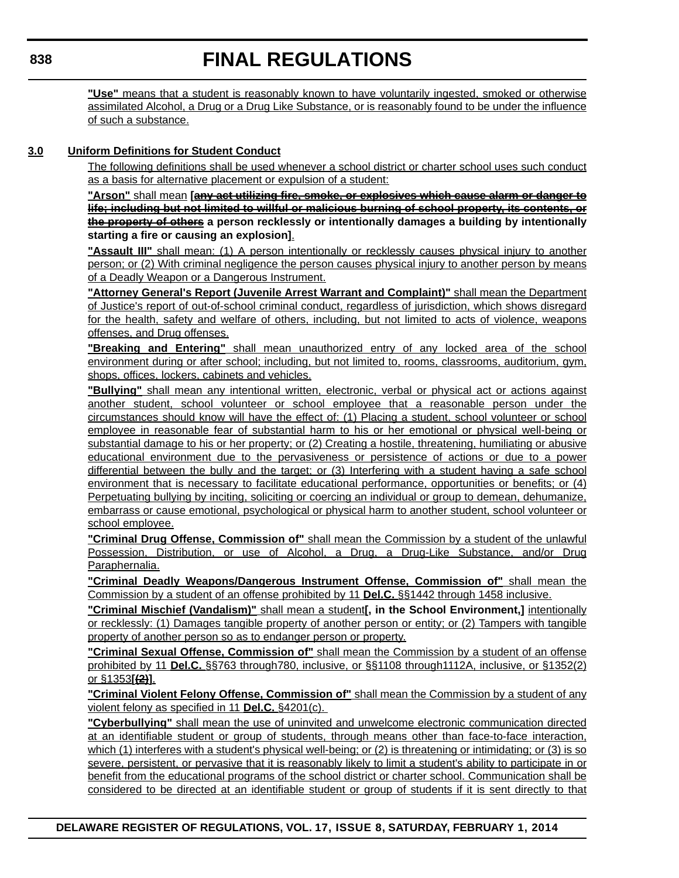**"Use"** means that a student is reasonably known to have voluntarily ingested, smoked or otherwise assimilated Alcohol, a Drug or a Drug Like Substance, or is reasonably found to be under the influence of such a substance.

## **3.0 Uniform Definitions for Student Conduct**

The following definitions shall be used whenever a school district or charter school uses such conduct as a basis for alternative placement or expulsion of a student:

**"Arson"** shall mean **[any act utilizing fire, smoke, or explosives which cause alarm or danger to life; including but not limited to willful or malicious burning of school property, its contents, or the property of others a person recklessly or intentionally damages a building by intentionally starting a fire or causing an explosion]**.

**"Assault III"** shall mean: (1) A person intentionally or recklessly causes physical injury to another person; or (2) With criminal negligence the person causes physical injury to another person by means of a Deadly Weapon or a Dangerous Instrument.

**"Attorney General's Report (Juvenile Arrest Warrant and Complaint)"** shall mean the Department of Justice's report of out-of-school criminal conduct, regardless of jurisdiction, which shows disregard for the health, safety and welfare of others, including, but not limited to acts of violence, weapons offenses, and Drug offenses.

**"Breaking and Entering"** shall mean unauthorized entry of any locked area of the school environment during or after school; including, but not limited to, rooms, classrooms, auditorium, gym, shops, offices, lockers, cabinets and vehicles.

**"Bullying"** shall mean any intentional written, electronic, verbal or physical act or actions against another student, school volunteer or school employee that a reasonable person under the circumstances should know will have the effect of: (1) Placing a student, school volunteer or school employee in reasonable fear of substantial harm to his or her emotional or physical well-being or substantial damage to his or her property; or (2) Creating a hostile, threatening, humiliating or abusive educational environment due to the pervasiveness or persistence of actions or due to a power differential between the bully and the target; or (3) Interfering with a student having a safe school environment that is necessary to facilitate educational performance, opportunities or benefits; or (4) Perpetuating bullying by inciting, soliciting or coercing an individual or group to demean, dehumanize, embarrass or cause emotional, psychological or physical harm to another student, school volunteer or school employee.

**"Criminal Drug Offense, Commission of"** shall mean the Commission by a student of the unlawful Possession, Distribution, or use of Alcohol, a Drug, a Drug-Like Substance, and/or Drug Paraphernalia.

**"Criminal Deadly Weapons/Dangerous Instrument Offense, Commission of"** shall mean the Commission by a student of an offense prohibited by 11 **Del.C.** §§1442 through 1458 inclusive.

**"Criminal Mischief (Vandalism)"** shall mean a student**[, in the School Environment,]** intentionally or recklessly: (1) Damages tangible property of another person or entity; or (2) Tampers with tangible property of another person so as to endanger person or property.

**"Criminal Sexual Offense, Commission of"** shall mean the Commission by a student of an offense prohibited by 11 **Del.C.** §§763 through780, inclusive, or §§1108 through1112A, inclusive, or §1352(2) or §1353**[(2)]**.

**"Criminal Violent Felony Offense, Commission of"** shall mean the Commission by a student of any violent felony as specified in 11 **Del.C.** §4201(c).

**"Cyberbullying"** shall mean the use of uninvited and unwelcome electronic communication directed at an identifiable student or group of students, through means other than face-to-face interaction, which (1) interferes with a student's physical well-being; or (2) is threatening or intimidating; or (3) is so severe, persistent, or pervasive that it is reasonably likely to limit a student's ability to participate in or benefit from the educational programs of the school district or charter school. Communication shall be considered to be directed at an identifiable student or group of students if it is sent directly to that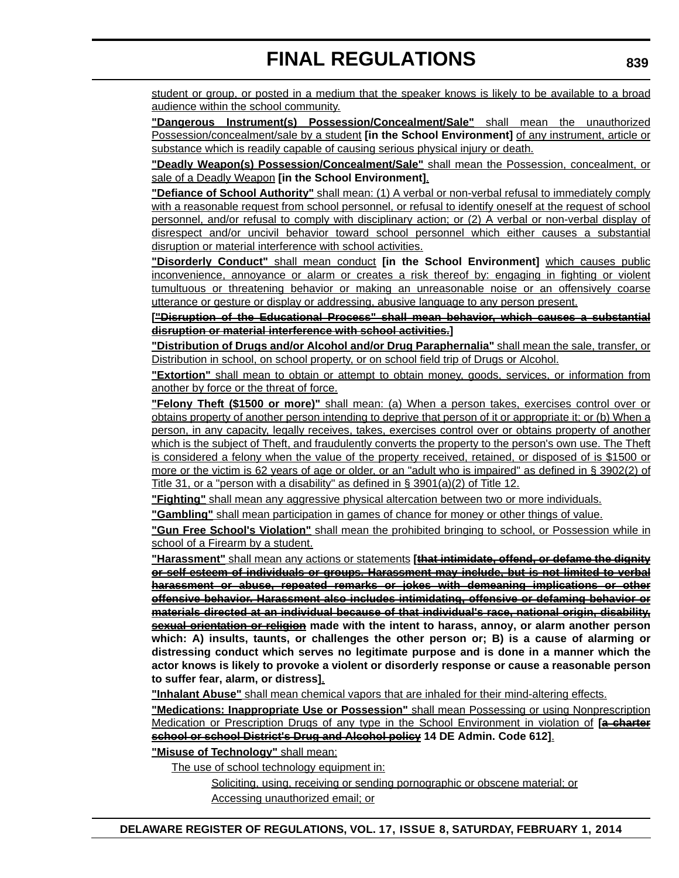student or group, or posted in a medium that the speaker knows is likely to be available to a broad audience within the school community.

**"Dangerous Instrument(s) Possession/Concealment/Sale"** shall mean the unauthorized Possession/concealment/sale by a student **[in the School Environment]** of any instrument, article or substance which is readily capable of causing serious physical injury or death.

**"Deadly Weapon(s) Possession/Concealment/Sale"** shall mean the Possession, concealment, or sale of a Deadly Weapon **[in the School Environment]**.

**"Defiance of School Authority"** shall mean: (1) A verbal or non-verbal refusal to immediately comply with a reasonable request from school personnel, or refusal to identify oneself at the request of school personnel, and/or refusal to comply with disciplinary action; or (2) A verbal or non-verbal display of disrespect and/or uncivil behavior toward school personnel which either causes a substantial disruption or material interference with school activities.

**"Disorderly Conduct"** shall mean conduct **[in the School Environment]** which causes public inconvenience, annoyance or alarm or creates a risk thereof by: engaging in fighting or violent tumultuous or threatening behavior or making an unreasonable noise or an offensively coarse utterance or gesture or display or addressing, abusive language to any person present.

**["Disruption of the Educational Process" shall mean behavior, which causes a substantial disruption or material interference with school activities.]**

**"Distribution of Drugs and/or Alcohol and/or Drug Paraphernalia"** shall mean the sale, transfer, or Distribution in school, on school property, or on school field trip of Drugs or Alcohol.

**"Extortion"** shall mean to obtain or attempt to obtain money, goods, services, or information from another by force or the threat of force.

**"Felony Theft (\$1500 or more)"** shall mean: (a) When a person takes, exercises control over or obtains property of another person intending to deprive that person of it or appropriate it; or (b) When a person, in any capacity, legally receives, takes, exercises control over or obtains property of another which is the subject of Theft, and fraudulently converts the property to the person's own use. The Theft is considered a felony when the value of the property received, retained, or disposed of is \$1500 or more or the victim is 62 years of age or older, or an "adult who is impaired" as defined in § 3902(2) of Title 31, or a "person with a disability" as defined in § 3901(a)(2) of Title 12.

**"Fighting"** shall mean any aggressive physical altercation between two or more individuals.

**"Gambling"** shall mean participation in games of chance for money or other things of value.

**"Gun Free School's Violation"** shall mean the prohibited bringing to school, or Possession while in school of a Firearm by a student.

**"Harassment"** shall mean any actions or statements **[that intimidate, offend, or defame the dignity or self-esteem of individuals or groups. Harassment may include, but is not limited to verbal harassment or abuse, repeated remarks or jokes with demeaning implications or other offensive behavior. Harassment also includes intimidating, offensive or defaming behavior or materials directed at an individual because of that individual's race, national origin, disability, sexual orientation or religion made with the intent to harass, annoy, or alarm another person which: A) insults, taunts, or challenges the other person or; B) is a cause of alarming or distressing conduct which serves no legitimate purpose and is done in a manner which the actor knows is likely to provoke a violent or disorderly response or cause a reasonable person to suffer fear, alarm, or distress]**.

**"Inhalant Abuse"** shall mean chemical vapors that are inhaled for their mind-altering effects.

**"Medications: Inappropriate Use or Possession"** shall mean Possessing or using Nonprescription Medication or Prescription Drugs of any type in the School Environment in violation of **[a charter school or school District's Drug and Alcohol policy 14 DE Admin. Code 612]**.

**"Misuse of Technology"** shall mean:

The use of school technology equipment in:

Soliciting, using, receiving or sending pornographic or obscene material; or Accessing unauthorized email; or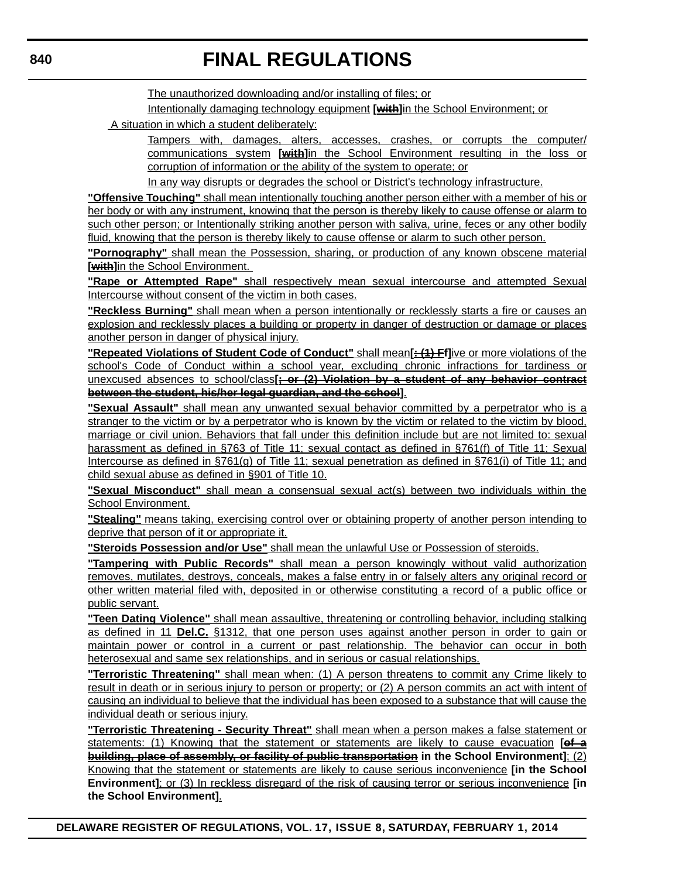The unauthorized downloading and/or installing of files; or

Intentionally damaging technology equipment **[with]**in the School Environment; or

A situation in which a student deliberately:

Tampers with, damages, alters, accesses, crashes, or corrupts the computer/ communications system **[with]**in the School Environment resulting in the loss or corruption of information or the ability of the system to operate; or

In any way disrupts or degrades the school or District's technology infrastructure.

**"Offensive Touching"** shall mean intentionally touching another person either with a member of his or her body or with any instrument, knowing that the person is thereby likely to cause offense or alarm to such other person; or Intentionally striking another person with saliva, urine, feces or any other bodily fluid, knowing that the person is thereby likely to cause offense or alarm to such other person.

**"Pornography"** shall mean the Possession, sharing, or production of any known obscene material **[with]**in the School Environment.

**"Rape or Attempted Rape"** shall respectively mean sexual intercourse and attempted Sexual Intercourse without consent of the victim in both cases.

**"Reckless Burning"** shall mean when a person intentionally or recklessly starts a fire or causes an explosion and recklessly places a building or property in danger of destruction or damage or places another person in danger of physical injury.

**"Repeated Violations of Student Code of Conduct"** shall mean**[: (1) Ff]**ive or more violations of the school's Code of Conduct within a school year, excluding chronic infractions for tardiness or unexcused absences to school/class**[; or (2) Violation by a student of any behavior contract between the student, his/her legal guardian, and the school]**.

**"Sexual Assault"** shall mean any unwanted sexual behavior committed by a perpetrator who is a stranger to the victim or by a perpetrator who is known by the victim or related to the victim by blood, marriage or civil union. Behaviors that fall under this definition include but are not limited to: sexual harassment as defined in §763 of Title 11; sexual contact as defined in §761(f) of Title 11; Sexual Intercourse as defined in §761(g) of Title 11; sexual penetration as defined in §761(i) of Title 11; and child sexual abuse as defined in §901 of Title 10.

**"Sexual Misconduct"** shall mean a consensual sexual act(s) between two individuals within the School Environment.

**"Stealing"** means taking, exercising control over or obtaining property of another person intending to deprive that person of it or appropriate it.

**"Steroids Possession and/or Use"** shall mean the unlawful Use or Possession of steroids.

**"Tampering with Public Records"** shall mean a person knowingly without valid authorization removes, mutilates, destroys, conceals, makes a false entry in or falsely alters any original record or other written material filed with, deposited in or otherwise constituting a record of a public office or public servant.

**"Teen Dating Violence"** shall mean assaultive, threatening or controlling behavior, including stalking as defined in 11 **Del.C.** §1312, that one person uses against another person in order to gain or maintain power or control in a current or past relationship. The behavior can occur in both heterosexual and same sex relationships, and in serious or casual relationships.

**"Terroristic Threatening"** shall mean when: (1) A person threatens to commit any Crime likely to result in death or in serious injury to person or property; or (2) A person commits an act with intent of causing an individual to believe that the individual has been exposed to a substance that will cause the individual death or serious injury.

**"Terroristic Threatening - Security Threat"** shall mean when a person makes a false statement or statements: (1) Knowing that the statement or statements are likely to cause evacuation **[of a building, place of assembly, or facility of public transportation** in the School Environment]; (2) Knowing that the statement or statements are likely to cause serious inconvenience **[in the School Environment]**; or (3) In reckless disregard of the risk of causing terror or serious inconvenience **[in the School Environment]**.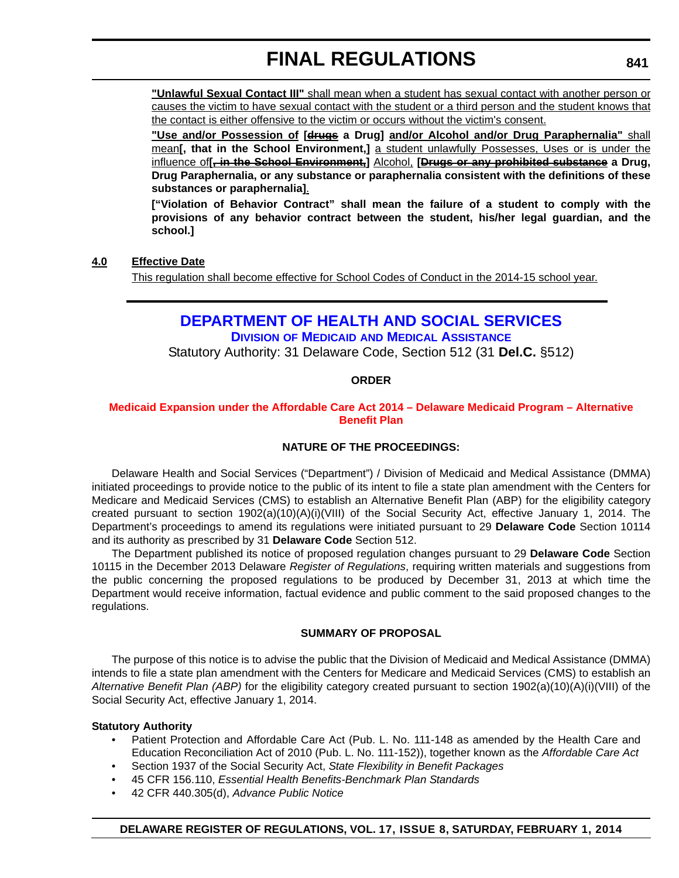**"Unlawful Sexual Contact III"** shall mean when a student has sexual contact with another person or causes the victim to have sexual contact with the student or a third person and the student knows that the contact is either offensive to the victim or occurs without the victim's consent.

**"Use and/or Possession of [drugs a Drug] and/or Alcohol and/or Drug Paraphernalia"** shall mean**[, that in the School Environment,]** a student unlawfully Possesses, Uses or is under the influence of**[, in the School Environment,]** Alcohol, **[Drugs or any prohibited substance a Drug, Drug Paraphernalia, or any substance or paraphernalia consistent with the definitions of these substances or paraphernalia]**.

**["Violation of Behavior Contract" shall mean the failure of a student to comply with the provisions of any behavior contract between the student, his/her legal guardian, and the school.]**

## **4.0 Effective Date**

This regulation shall become effective for School Codes of Conduct in the 2014-15 school year.

## **[DEPARTMENT OF HEALTH AND SOCIAL SERVICES](http://www.dhss.delaware.gov/dhss/dmma/)**

**DIVISION OF MEDICAID AND MEDICAL ASSISTANCE**

Statutory Authority: 31 Delaware Code, Section 512 (31 **Del.C.** §512)

## **ORDER**

#### **[Medicaid Expansion under the Affordable Care Act 2014 – Delaware Medicaid Program – Alternative](#page-4-0)  Benefit Plan**

## **NATURE OF THE PROCEEDINGS:**

Delaware Health and Social Services ("Department") / Division of Medicaid and Medical Assistance (DMMA) initiated proceedings to provide notice to the public of its intent to file a state plan amendment with the Centers for Medicare and Medicaid Services (CMS) to establish an Alternative Benefit Plan (ABP) for the eligibility category created pursuant to section 1902(a)(10)(A)(i)(VIII) of the Social Security Act, effective January 1, 2014. The Department's proceedings to amend its regulations were initiated pursuant to 29 **Delaware Code** Section 10114 and its authority as prescribed by 31 **Delaware Code** Section 512.

The Department published its notice of proposed regulation changes pursuant to 29 **Delaware Code** Section 10115 in the December 2013 Delaware *Register of Regulations*, requiring written materials and suggestions from the public concerning the proposed regulations to be produced by December 31, 2013 at which time the Department would receive information, factual evidence and public comment to the said proposed changes to the regulations.

#### **SUMMARY OF PROPOSAL**

The purpose of this notice is to advise the public that the Division of Medicaid and Medical Assistance (DMMA) intends to file a state plan amendment with the Centers for Medicare and Medicaid Services (CMS) to establish an *Alternative Benefit Plan (ABP)* for the eligibility category created pursuant to section 1902(a)(10)(A)(i)(VIII) of the Social Security Act, effective January 1, 2014.

## **Statutory Authority**

- Patient Protection and Affordable Care Act (Pub. L. No. 111-148 as amended by the Health Care and Education Reconciliation Act of 2010 (Pub. L. No. 111-152)), together known as the *Affordable Care Act*
- Section 1937 of the Social Security Act, *State Flexibility in Benefit Packages*
- 45 CFR 156.110, *Essential Health Benefits-Benchmark Plan Standards*
- 42 CFR 440.305(d), *Advance Public Notice*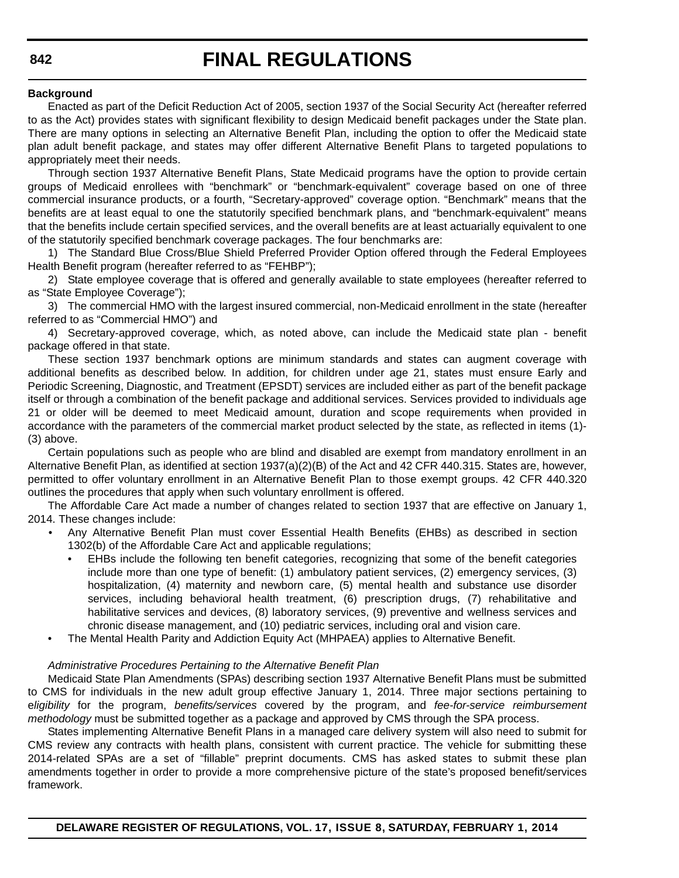#### **Background**

Enacted as part of the Deficit Reduction Act of 2005, section 1937 of the Social Security Act (hereafter referred to as the Act) provides states with significant flexibility to design Medicaid benefit packages under the State plan. There are many options in selecting an Alternative Benefit Plan, including the option to offer the Medicaid state plan adult benefit package, and states may offer different Alternative Benefit Plans to targeted populations to appropriately meet their needs.

Through section 1937 Alternative Benefit Plans, State Medicaid programs have the option to provide certain groups of Medicaid enrollees with "benchmark" or "benchmark-equivalent" coverage based on one of three commercial insurance products, or a fourth, "Secretary-approved" coverage option. "Benchmark" means that the benefits are at least equal to one the statutorily specified benchmark plans, and "benchmark-equivalent" means that the benefits include certain specified services, and the overall benefits are at least actuarially equivalent to one of the statutorily specified benchmark coverage packages. The four benchmarks are:

1) The Standard Blue Cross/Blue Shield Preferred Provider Option offered through the Federal Employees Health Benefit program (hereafter referred to as "FEHBP");

2) State employee coverage that is offered and generally available to state employees (hereafter referred to as "State Employee Coverage");

3) The commercial HMO with the largest insured commercial, non-Medicaid enrollment in the state (hereafter referred to as "Commercial HMO") and

4) Secretary-approved coverage, which, as noted above, can include the Medicaid state plan - benefit package offered in that state.

These section 1937 benchmark options are minimum standards and states can augment coverage with additional benefits as described below. In addition, for children under age 21, states must ensure Early and Periodic Screening, Diagnostic, and Treatment (EPSDT) services are included either as part of the benefit package itself or through a combination of the benefit package and additional services. Services provided to individuals age 21 or older will be deemed to meet Medicaid amount, duration and scope requirements when provided in accordance with the parameters of the commercial market product selected by the state, as reflected in items (1)- (3) above.

Certain populations such as people who are blind and disabled are exempt from mandatory enrollment in an Alternative Benefit Plan, as identified at section 1937(a)(2)(B) of the Act and 42 CFR 440.315. States are, however, permitted to offer voluntary enrollment in an Alternative Benefit Plan to those exempt groups. 42 CFR 440.320 outlines the procedures that apply when such voluntary enrollment is offered.

The Affordable Care Act made a number of changes related to section 1937 that are effective on January 1, 2014. These changes include:

- Any Alternative Benefit Plan must cover Essential Health Benefits (EHBs) as described in section 1302(b) of the Affordable Care Act and applicable regulations;
	- EHBs include the following ten benefit categories, recognizing that some of the benefit categories include more than one type of benefit: (1) ambulatory patient services, (2) emergency services, (3) hospitalization, (4) maternity and newborn care, (5) mental health and substance use disorder services, including behavioral health treatment, (6) prescription drugs, (7) rehabilitative and habilitative services and devices, (8) laboratory services, (9) preventive and wellness services and chronic disease management, and (10) pediatric services, including oral and vision care.
- The Mental Health Parity and Addiction Equity Act (MHPAEA) applies to Alternative Benefit.

#### *Administrative Procedures Pertaining to the Alternative Benefit Plan*

Medicaid State Plan Amendments (SPAs) describing section 1937 Alternative Benefit Plans must be submitted to CMS for individuals in the new adult group effective January 1, 2014. Three major sections pertaining to e*ligibility* for the program, *benefits/services* covered by the program, and *fee-for-service reimbursement methodology* must be submitted together as a package and approved by CMS through the SPA process.

States implementing Alternative Benefit Plans in a managed care delivery system will also need to submit for CMS review any contracts with health plans, consistent with current practice. The vehicle for submitting these 2014-related SPAs are a set of "fillable" preprint documents. CMS has asked states to submit these plan amendments together in order to provide a more comprehensive picture of the state's proposed benefit/services framework.

**DELAWARE REGISTER OF REGULATIONS, VOL. 17, ISSUE 8, SATURDAY, FEBRUARY 1, 2014**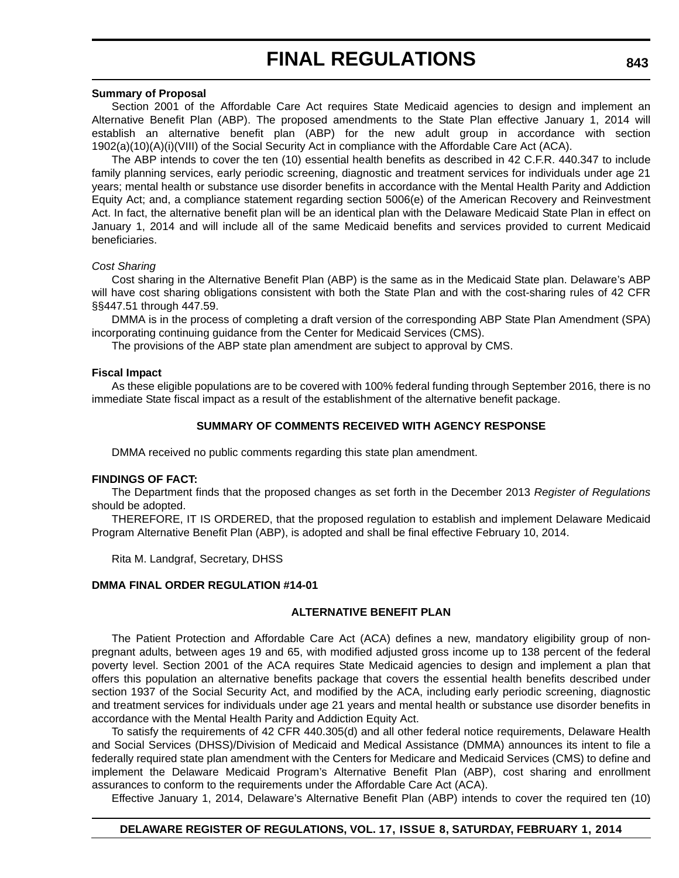#### **Summary of Proposal**

Section 2001 of the Affordable Care Act requires State Medicaid agencies to design and implement an Alternative Benefit Plan (ABP). The proposed amendments to the State Plan effective January 1, 2014 will establish an alternative benefit plan (ABP) for the new adult group in accordance with section 1902(a)(10)(A)(i)(VIII) of the Social Security Act in compliance with the Affordable Care Act (ACA).

The ABP intends to cover the ten (10) essential health benefits as described in 42 C.F.R. 440.347 to include family planning services, early periodic screening, diagnostic and treatment services for individuals under age 21 years; mental health or substance use disorder benefits in accordance with the Mental Health Parity and Addiction Equity Act; and, a compliance statement regarding section 5006(e) of the American Recovery and Reinvestment Act. In fact, the alternative benefit plan will be an identical plan with the Delaware Medicaid State Plan in effect on January 1, 2014 and will include all of the same Medicaid benefits and services provided to current Medicaid beneficiaries.

#### *Cost Sharing*

Cost sharing in the Alternative Benefit Plan (ABP) is the same as in the Medicaid State plan. Delaware's ABP will have cost sharing obligations consistent with both the State Plan and with the cost-sharing rules of 42 CFR §§447.51 through 447.59.

DMMA is in the process of completing a draft version of the corresponding ABP State Plan Amendment (SPA) incorporating continuing guidance from the Center for Medicaid Services (CMS).

The provisions of the ABP state plan amendment are subject to approval by CMS.

#### **Fiscal Impact**

As these eligible populations are to be covered with 100% federal funding through September 2016, there is no immediate State fiscal impact as a result of the establishment of the alternative benefit package.

#### **SUMMARY OF COMMENTS RECEIVED WITH AGENCY RESPONSE**

DMMA received no public comments regarding this state plan amendment.

#### **FINDINGS OF FACT:**

The Department finds that the proposed changes as set forth in the December 2013 *Register of Regulations* should be adopted.

THEREFORE, IT IS ORDERED, that the proposed regulation to establish and implement Delaware Medicaid Program Alternative Benefit Plan (ABP), is adopted and shall be final effective February 10, 2014.

Rita M. Landgraf, Secretary, DHSS

#### **DMMA FINAL ORDER REGULATION #14-01**

#### **ALTERNATIVE BENEFIT PLAN**

The Patient Protection and Affordable Care Act (ACA) defines a new, mandatory eligibility group of nonpregnant adults, between ages 19 and 65, with modified adjusted gross income up to 138 percent of the federal poverty level. Section 2001 of the ACA requires State Medicaid agencies to design and implement a plan that offers this population an alternative benefits package that covers the essential health benefits described under section 1937 of the Social Security Act, and modified by the ACA, including early periodic screening, diagnostic and treatment services for individuals under age 21 years and mental health or substance use disorder benefits in accordance with the Mental Health Parity and Addiction Equity Act.

To satisfy the requirements of 42 CFR 440.305(d) and all other federal notice requirements, Delaware Health and Social Services (DHSS)/Division of Medicaid and Medical Assistance (DMMA) announces its intent to file a federally required state plan amendment with the Centers for Medicare and Medicaid Services (CMS) to define and implement the Delaware Medicaid Program's Alternative Benefit Plan (ABP), cost sharing and enrollment assurances to conform to the requirements under the Affordable Care Act (ACA).

Effective January 1, 2014, Delaware's Alternative Benefit Plan (ABP) intends to cover the required ten (10)

#### **DELAWARE REGISTER OF REGULATIONS, VOL. 17, ISSUE 8, SATURDAY, FEBRUARY 1, 2014**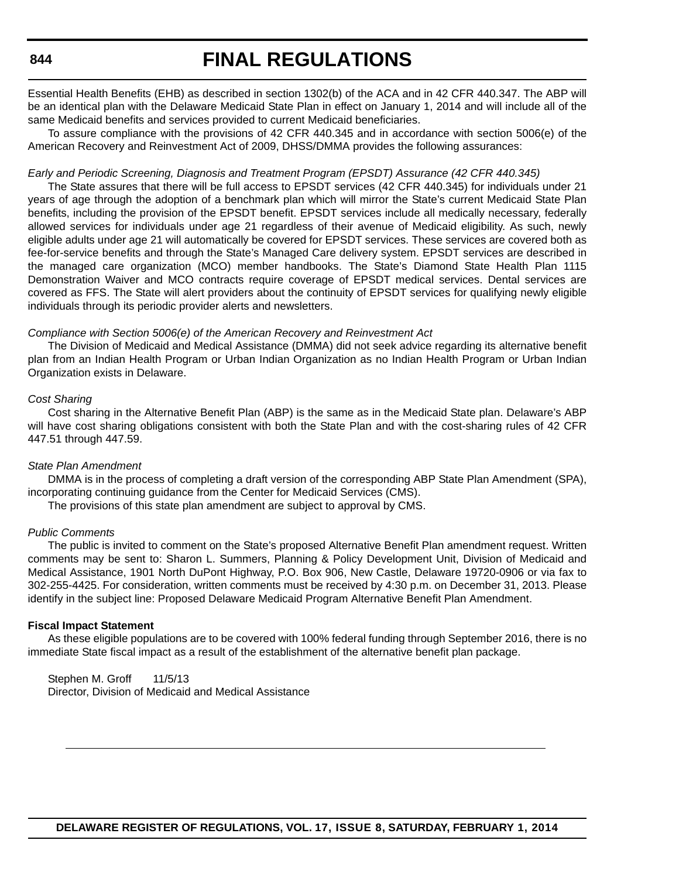## **FINAL REGULATIONS**

Essential Health Benefits (EHB) as described in section 1302(b) of the ACA and in 42 CFR 440.347. The ABP will be an identical plan with the Delaware Medicaid State Plan in effect on January 1, 2014 and will include all of the same Medicaid benefits and services provided to current Medicaid beneficiaries.

To assure compliance with the provisions of 42 CFR 440.345 and in accordance with section 5006(e) of the American Recovery and Reinvestment Act of 2009, DHSS/DMMA provides the following assurances:

#### *Early and Periodic Screening, Diagnosis and Treatment Program (EPSDT) Assurance (42 CFR 440.345)*

The State assures that there will be full access to EPSDT services (42 CFR 440.345) for individuals under 21 years of age through the adoption of a benchmark plan which will mirror the State's current Medicaid State Plan benefits, including the provision of the EPSDT benefit. EPSDT services include all medically necessary, federally allowed services for individuals under age 21 regardless of their avenue of Medicaid eligibility. As such, newly eligible adults under age 21 will automatically be covered for EPSDT services. These services are covered both as fee-for-service benefits and through the State's Managed Care delivery system. EPSDT services are described in the managed care organization (MCO) member handbooks. The State's Diamond State Health Plan 1115 Demonstration Waiver and MCO contracts require coverage of EPSDT medical services. Dental services are covered as FFS. The State will alert providers about the continuity of EPSDT services for qualifying newly eligible individuals through its periodic provider alerts and newsletters.

#### *Compliance with Section 5006(e) of the American Recovery and Reinvestment Act*

The Division of Medicaid and Medical Assistance (DMMA) did not seek advice regarding its alternative benefit plan from an Indian Health Program or Urban Indian Organization as no Indian Health Program or Urban Indian Organization exists in Delaware.

#### *Cost Sharing*

Cost sharing in the Alternative Benefit Plan (ABP) is the same as in the Medicaid State plan. Delaware's ABP will have cost sharing obligations consistent with both the State Plan and with the cost-sharing rules of 42 CFR 447.51 through 447.59.

#### *State Plan Amendment*

DMMA is in the process of completing a draft version of the corresponding ABP State Plan Amendment (SPA), incorporating continuing guidance from the Center for Medicaid Services (CMS).

The provisions of this state plan amendment are subject to approval by CMS.

#### *Public Comments*

The public is invited to comment on the State's proposed Alternative Benefit Plan amendment request. Written comments may be sent to: Sharon L. Summers, Planning & Policy Development Unit, Division of Medicaid and Medical Assistance, 1901 North DuPont Highway, P.O. Box 906, New Castle, Delaware 19720-0906 or via fax to 302-255-4425. For consideration, written comments must be received by 4:30 p.m. on December 31, 2013. Please identify in the subject line: Proposed Delaware Medicaid Program Alternative Benefit Plan Amendment.

#### **Fiscal Impact Statement**

As these eligible populations are to be covered with 100% federal funding through September 2016, there is no immediate State fiscal impact as a result of the establishment of the alternative benefit plan package.

Stephen M. Groff 11/5/13 Director, Division of Medicaid and Medical Assistance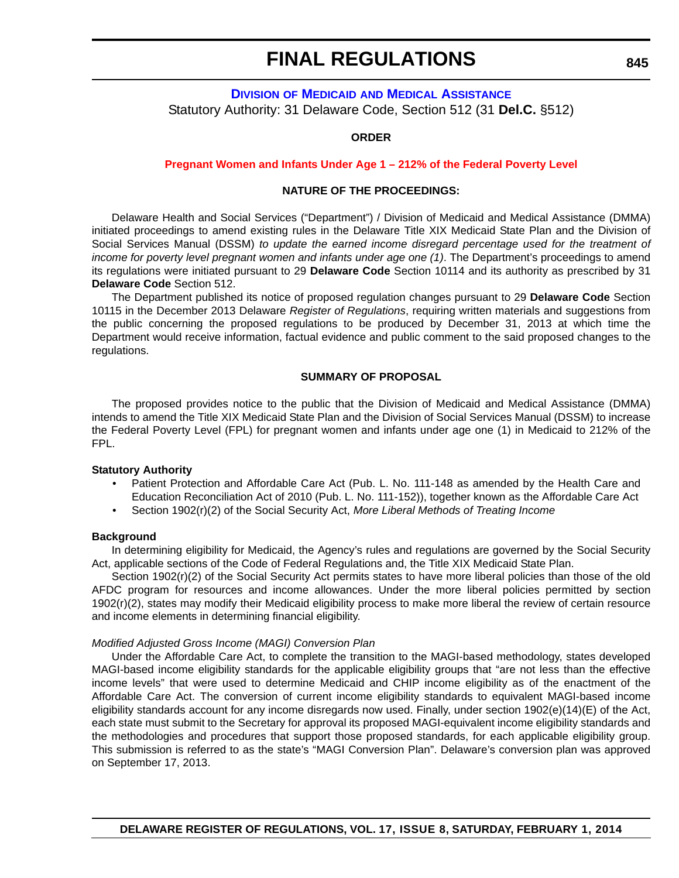## **DIVISION OF MEDICAID [AND MEDICAL ASSISTANCE](http://www.dhss.delaware.gov/dhss/dmma/)** Statutory Authority: 31 Delaware Code, Section 512 (31 **Del.C.** §512)

#### **ORDER**

#### **[Pregnant Women and Infants Under Age 1 – 212% of the Federal Poverty Level](#page-4-0)**

#### **NATURE OF THE PROCEEDINGS:**

Delaware Health and Social Services ("Department") / Division of Medicaid and Medical Assistance (DMMA) initiated proceedings to amend existing rules in the Delaware Title XIX Medicaid State Plan and the Division of Social Services Manual (DSSM) *to update the earned income disregard percentage used for the treatment of income for poverty level pregnant women and infants under age one (1)*. The Department's proceedings to amend its regulations were initiated pursuant to 29 **Delaware Code** Section 10114 and its authority as prescribed by 31 **Delaware Code** Section 512.

The Department published its notice of proposed regulation changes pursuant to 29 **Delaware Code** Section 10115 in the December 2013 Delaware *Register of Regulations*, requiring written materials and suggestions from the public concerning the proposed regulations to be produced by December 31, 2013 at which time the Department would receive information, factual evidence and public comment to the said proposed changes to the regulations.

#### **SUMMARY OF PROPOSAL**

The proposed provides notice to the public that the Division of Medicaid and Medical Assistance (DMMA) intends to amend the Title XIX Medicaid State Plan and the Division of Social Services Manual (DSSM) to increase the Federal Poverty Level (FPL) for pregnant women and infants under age one (1) in Medicaid to 212% of the FPL.

#### **Statutory Authority**

- Patient Protection and Affordable Care Act (Pub. L. No. 111-148 as amended by the Health Care and Education Reconciliation Act of 2010 (Pub. L. No. 111-152)), together known as the Affordable Care Act
- Section 1902(r)(2) of the Social Security Act, *More Liberal Methods of Treating Income*

#### **Background**

In determining eligibility for Medicaid, the Agency's rules and regulations are governed by the Social Security Act, applicable sections of the Code of Federal Regulations and, the Title XIX Medicaid State Plan.

Section 1902(r)(2) of the Social Security Act permits states to have more liberal policies than those of the old AFDC program for resources and income allowances. Under the more liberal policies permitted by section 1902(r)(2), states may modify their Medicaid eligibility process to make more liberal the review of certain resource and income elements in determining financial eligibility.

#### *Modified Adjusted Gross Income (MAGI) Conversion Plan*

Under the Affordable Care Act, to complete the transition to the MAGI-based methodology, states developed MAGI-based income eligibility standards for the applicable eligibility groups that "are not less than the effective income levels" that were used to determine Medicaid and CHIP income eligibility as of the enactment of the Affordable Care Act. The conversion of current income eligibility standards to equivalent MAGI-based income eligibility standards account for any income disregards now used. Finally, under section 1902(e)(14)(E) of the Act, each state must submit to the Secretary for approval its proposed MAGI-equivalent income eligibility standards and the methodologies and procedures that support those proposed standards, for each applicable eligibility group. This submission is referred to as the state's "MAGI Conversion Plan". Delaware's conversion plan was approved on September 17, 2013.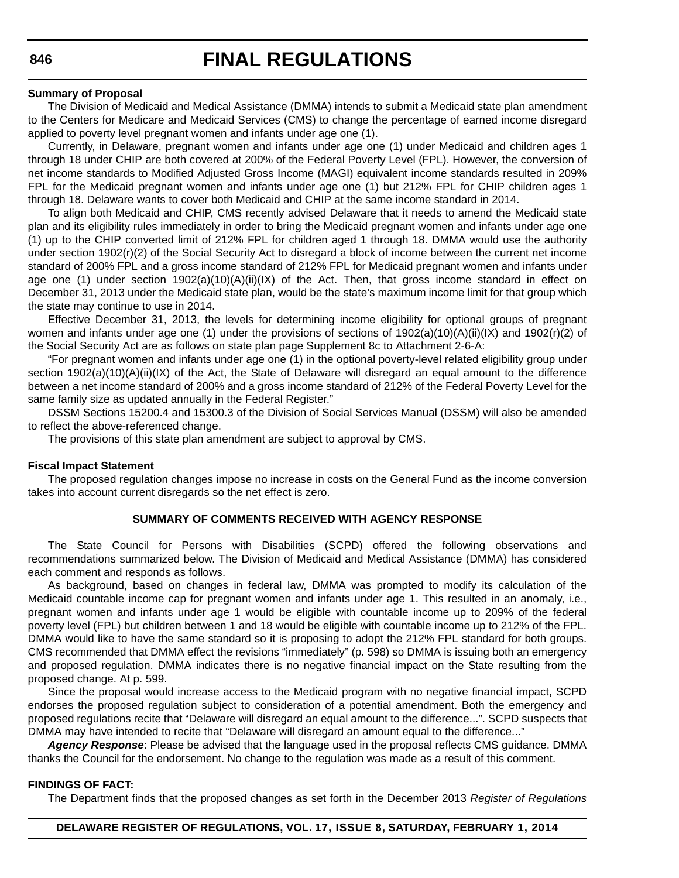#### **Summary of Proposal**

The Division of Medicaid and Medical Assistance (DMMA) intends to submit a Medicaid state plan amendment to the Centers for Medicare and Medicaid Services (CMS) to change the percentage of earned income disregard applied to poverty level pregnant women and infants under age one (1).

Currently, in Delaware, pregnant women and infants under age one (1) under Medicaid and children ages 1 through 18 under CHIP are both covered at 200% of the Federal Poverty Level (FPL). However, the conversion of net income standards to Modified Adjusted Gross Income (MAGI) equivalent income standards resulted in 209% FPL for the Medicaid pregnant women and infants under age one (1) but 212% FPL for CHIP children ages 1 through 18. Delaware wants to cover both Medicaid and CHIP at the same income standard in 2014.

To align both Medicaid and CHIP, CMS recently advised Delaware that it needs to amend the Medicaid state plan and its eligibility rules immediately in order to bring the Medicaid pregnant women and infants under age one (1) up to the CHIP converted limit of 212% FPL for children aged 1 through 18. DMMA would use the authority under section 1902(r)(2) of the Social Security Act to disregard a block of income between the current net income standard of 200% FPL and a gross income standard of 212% FPL for Medicaid pregnant women and infants under age one (1) under section 1902(a)(10)(A)(ii)(IX) of the Act. Then, that gross income standard in effect on December 31, 2013 under the Medicaid state plan, would be the state's maximum income limit for that group which the state may continue to use in 2014.

Effective December 31, 2013, the levels for determining income eligibility for optional groups of pregnant women and infants under age one (1) under the provisions of sections of  $1902(a)(10)(A)(ii)(IX)$  and  $1902(r)(2)$  of the Social Security Act are as follows on state plan page Supplement 8c to Attachment 2-6-A:

"For pregnant women and infants under age one (1) in the optional poverty-level related eligibility group under section 1902(a)(10)(A)(ii)(IX) of the Act, the State of Delaware will disregard an equal amount to the difference between a net income standard of 200% and a gross income standard of 212% of the Federal Poverty Level for the same family size as updated annually in the Federal Register."

DSSM Sections 15200.4 and 15300.3 of the Division of Social Services Manual (DSSM) will also be amended to reflect the above-referenced change.

The provisions of this state plan amendment are subject to approval by CMS.

#### **Fiscal Impact Statement**

The proposed regulation changes impose no increase in costs on the General Fund as the income conversion takes into account current disregards so the net effect is zero.

#### **SUMMARY OF COMMENTS RECEIVED WITH AGENCY RESPONSE**

The State Council for Persons with Disabilities (SCPD) offered the following observations and recommendations summarized below. The Division of Medicaid and Medical Assistance (DMMA) has considered each comment and responds as follows.

As background, based on changes in federal law, DMMA was prompted to modify its calculation of the Medicaid countable income cap for pregnant women and infants under age 1. This resulted in an anomaly, i.e., pregnant women and infants under age 1 would be eligible with countable income up to 209% of the federal poverty level (FPL) but children between 1 and 18 would be eligible with countable income up to 212% of the FPL. DMMA would like to have the same standard so it is proposing to adopt the 212% FPL standard for both groups. CMS recommended that DMMA effect the revisions "immediately" (p. 598) so DMMA is issuing both an emergency and proposed regulation. DMMA indicates there is no negative financial impact on the State resulting from the proposed change. At p. 599.

Since the proposal would increase access to the Medicaid program with no negative financial impact, SCPD endorses the proposed regulation subject to consideration of a potential amendment. Both the emergency and proposed regulations recite that "Delaware will disregard an equal amount to the difference...". SCPD suspects that DMMA may have intended to recite that "Delaware will disregard an amount equal to the difference..."

*Agency Response*: Please be advised that the language used in the proposal reflects CMS guidance. DMMA thanks the Council for the endorsement. No change to the regulation was made as a result of this comment.

#### **FINDINGS OF FACT:**

The Department finds that the proposed changes as set forth in the December 2013 *Register of Regulations*

#### **DELAWARE REGISTER OF REGULATIONS, VOL. 17, ISSUE 8, SATURDAY, FEBRUARY 1, 2014**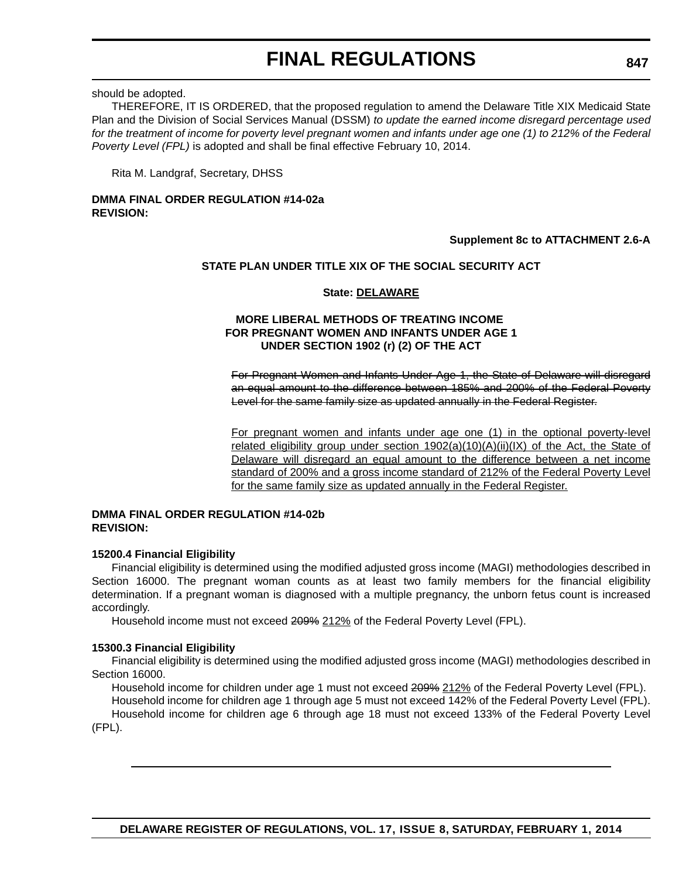should be adopted.

THEREFORE, IT IS ORDERED, that the proposed regulation to amend the Delaware Title XIX Medicaid State Plan and the Division of Social Services Manual (DSSM) *to update the earned income disregard percentage used for the treatment of income for poverty level pregnant women and infants under age one (1) to 212% of the Federal Poverty Level (FPL)* is adopted and shall be final effective February 10, 2014.

Rita M. Landgraf, Secretary, DHSS

## **DMMA FINAL ORDER REGULATION #14-02a REVISION:**

## **Supplement 8c to ATTACHMENT 2.6-A**

## **STATE PLAN UNDER TITLE XIX OF THE SOCIAL SECURITY ACT**

#### **State: DELAWARE**

### **MORE LIBERAL METHODS OF TREATING INCOME FOR PREGNANT WOMEN AND INFANTS UNDER AGE 1 UNDER SECTION 1902 (r) (2) OF THE ACT**

For Pregnant Women and Infants Under Age 1, the State of Delaware will disregard an equal amount to the difference between 185% and 200% of the Federal Poverty Level for the same family size as updated annually in the Federal Register.

For pregnant women and infants under age one (1) in the optional poverty-level related eligibility group under section  $1902(a)(10)(A)(ii)(IX)$  of the Act, the State of Delaware will disregard an equal amount to the difference between a net income standard of 200% and a gross income standard of 212% of the Federal Poverty Level for the same family size as updated annually in the Federal Register.

#### **DMMA FINAL ORDER REGULATION #14-02b REVISION:**

## **15200.4 Financial Eligibility**

Financial eligibility is determined using the modified adjusted gross income (MAGI) methodologies described in Section 16000. The pregnant woman counts as at least two family members for the financial eligibility determination. If a pregnant woman is diagnosed with a multiple pregnancy, the unborn fetus count is increased accordingly.

Household income must not exceed 209% 212% of the Federal Poverty Level (FPL).

#### **15300.3 Financial Eligibility**

Financial eligibility is determined using the modified adjusted gross income (MAGI) methodologies described in Section 16000.

Household income for children under age 1 must not exceed 209% 212% of the Federal Poverty Level (FPL).

Household income for children age 1 through age 5 must not exceed 142% of the Federal Poverty Level (FPL). Household income for children age 6 through age 18 must not exceed 133% of the Federal Poverty Level

(FPL).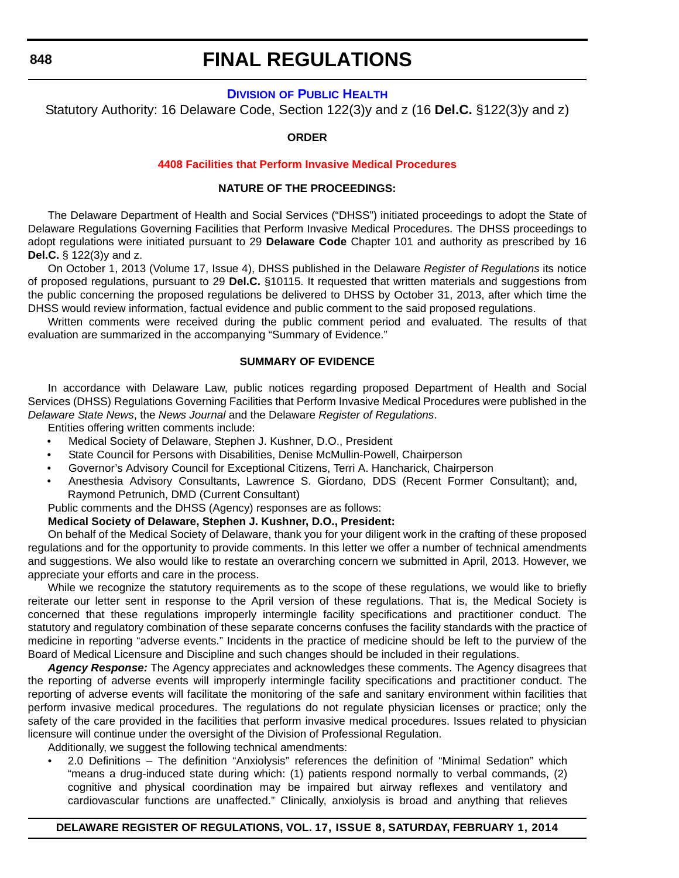## **FINAL REGULATIONS**

## **DIVISION [OF PUBLIC HEALTH](http://www.dhss.delaware.gov/dhss/dph/index.html)**

Statutory Authority: 16 Delaware Code, Section 122(3)y and z (16 **Del.C.** §122(3)y and z)

#### **ORDER**

#### **[4408 Facilities that Perform Invasive Medical Procedures](#page-4-0)**

## **NATURE OF THE PROCEEDINGS:**

The Delaware Department of Health and Social Services ("DHSS") initiated proceedings to adopt the State of Delaware Regulations Governing Facilities that Perform Invasive Medical Procedures. The DHSS proceedings to adopt regulations were initiated pursuant to 29 **Delaware Code** Chapter 101 and authority as prescribed by 16 **Del.C.** § 122(3)y and z.

On October 1, 2013 (Volume 17, Issue 4), DHSS published in the Delaware *Register of Regulations* its notice of proposed regulations, pursuant to 29 **Del.C.** §10115. It requested that written materials and suggestions from the public concerning the proposed regulations be delivered to DHSS by October 31, 2013, after which time the DHSS would review information, factual evidence and public comment to the said proposed regulations.

Written comments were received during the public comment period and evaluated. The results of that evaluation are summarized in the accompanying "Summary of Evidence."

## **SUMMARY OF EVIDENCE**

In accordance with Delaware Law, public notices regarding proposed Department of Health and Social Services (DHSS) Regulations Governing Facilities that Perform Invasive Medical Procedures were published in the *Delaware State News*, the *News Journal* and the Delaware *Register of Regulations*.

Entities offering written comments include:

- Medical Society of Delaware, Stephen J. Kushner, D.O., President
- State Council for Persons with Disabilities, Denise McMullin-Powell, Chairperson
- Governor's Advisory Council for Exceptional Citizens, Terri A. Hancharick, Chairperson
- Anesthesia Advisory Consultants, Lawrence S. Giordano, DDS (Recent Former Consultant); and, Raymond Petrunich, DMD (Current Consultant)
- Public comments and the DHSS (Agency) responses are as follows:

#### **Medical Society of Delaware, Stephen J. Kushner, D.O., President:**

On behalf of the Medical Society of Delaware, thank you for your diligent work in the crafting of these proposed regulations and for the opportunity to provide comments. In this letter we offer a number of technical amendments and suggestions. We also would like to restate an overarching concern we submitted in April, 2013. However, we appreciate your efforts and care in the process.

While we recognize the statutory requirements as to the scope of these regulations, we would like to briefly reiterate our letter sent in response to the April version of these regulations. That is, the Medical Society is concerned that these regulations improperly intermingle facility specifications and practitioner conduct. The statutory and regulatory combination of these separate concerns confuses the facility standards with the practice of medicine in reporting "adverse events." Incidents in the practice of medicine should be left to the purview of the Board of Medical Licensure and Discipline and such changes should be included in their regulations.

*Agency Response:* The Agency appreciates and acknowledges these comments. The Agency disagrees that the reporting of adverse events will improperly intermingle facility specifications and practitioner conduct. The reporting of adverse events will facilitate the monitoring of the safe and sanitary environment within facilities that perform invasive medical procedures. The regulations do not regulate physician licenses or practice; only the safety of the care provided in the facilities that perform invasive medical procedures. Issues related to physician licensure will continue under the oversight of the Division of Professional Regulation.

Additionally, we suggest the following technical amendments:

• 2.0 Definitions – The definition "Anxiolysis" references the definition of "Minimal Sedation" which "means a drug-induced state during which: (1) patients respond normally to verbal commands, (2) cognitive and physical coordination may be impaired but airway reflexes and ventilatory and cardiovascular functions are unaffected." Clinically, anxiolysis is broad and anything that relieves

#### **DELAWARE REGISTER OF REGULATIONS, VOL. 17, ISSUE 8, SATURDAY, FEBRUARY 1, 2014**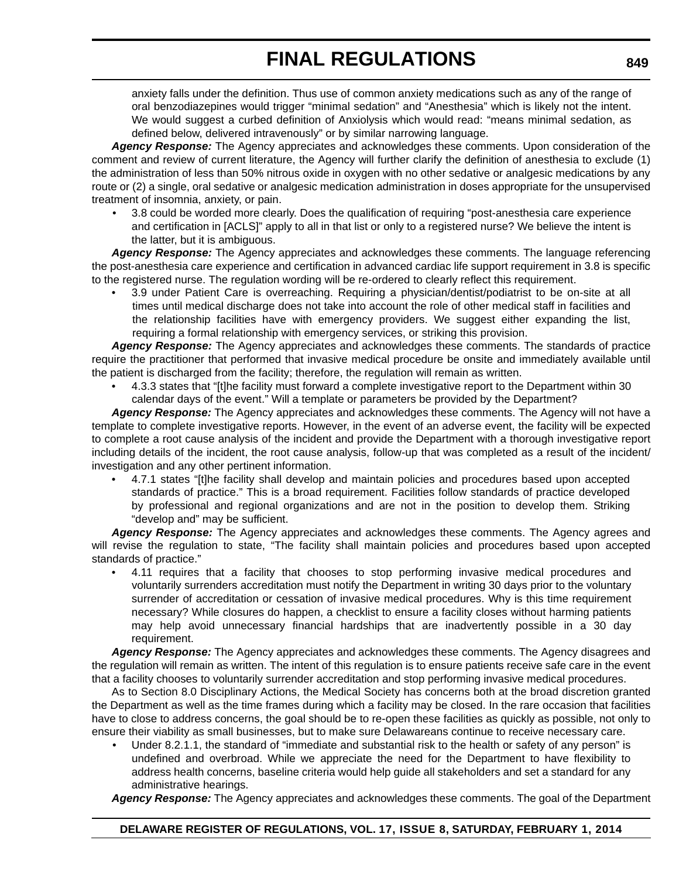anxiety falls under the definition. Thus use of common anxiety medications such as any of the range of oral benzodiazepines would trigger "minimal sedation" and "Anesthesia" which is likely not the intent. We would suggest a curbed definition of Anxiolysis which would read: "means minimal sedation, as defined below, delivered intravenously" or by similar narrowing language.

*Agency Response:* The Agency appreciates and acknowledges these comments. Upon consideration of the comment and review of current literature, the Agency will further clarify the definition of anesthesia to exclude (1) the administration of less than 50% nitrous oxide in oxygen with no other sedative or analgesic medications by any route or (2) a single, oral sedative or analgesic medication administration in doses appropriate for the unsupervised treatment of insomnia, anxiety, or pain.

• 3.8 could be worded more clearly. Does the qualification of requiring "post-anesthesia care experience and certification in [ACLS]" apply to all in that list or only to a registered nurse? We believe the intent is the latter, but it is ambiguous.

*Agency Response:* The Agency appreciates and acknowledges these comments. The language referencing the post-anesthesia care experience and certification in advanced cardiac life support requirement in 3.8 is specific to the registered nurse. The regulation wording will be re-ordered to clearly reflect this requirement.

• 3.9 under Patient Care is overreaching. Requiring a physician/dentist/podiatrist to be on-site at all times until medical discharge does not take into account the role of other medical staff in facilities and the relationship facilities have with emergency providers. We suggest either expanding the list, requiring a formal relationship with emergency services, or striking this provision.

*Agency Response:* The Agency appreciates and acknowledges these comments. The standards of practice require the practitioner that performed that invasive medical procedure be onsite and immediately available until the patient is discharged from the facility; therefore, the regulation will remain as written.

• 4.3.3 states that "[t]he facility must forward a complete investigative report to the Department within 30 calendar days of the event." Will a template or parameters be provided by the Department?

*Agency Response:* The Agency appreciates and acknowledges these comments. The Agency will not have a template to complete investigative reports. However, in the event of an adverse event, the facility will be expected to complete a root cause analysis of the incident and provide the Department with a thorough investigative report including details of the incident, the root cause analysis, follow-up that was completed as a result of the incident/ investigation and any other pertinent information.

• 4.7.1 states "[t]he facility shall develop and maintain policies and procedures based upon accepted standards of practice." This is a broad requirement. Facilities follow standards of practice developed by professional and regional organizations and are not in the position to develop them. Striking "develop and" may be sufficient.

Agency Response: The Agency appreciates and acknowledges these comments. The Agency agrees and will revise the regulation to state, "The facility shall maintain policies and procedures based upon accepted standards of practice."

• 4.11 requires that a facility that chooses to stop performing invasive medical procedures and voluntarily surrenders accreditation must notify the Department in writing 30 days prior to the voluntary surrender of accreditation or cessation of invasive medical procedures. Why is this time requirement necessary? While closures do happen, a checklist to ensure a facility closes without harming patients may help avoid unnecessary financial hardships that are inadvertently possible in a 30 day requirement.

*Agency Response:* The Agency appreciates and acknowledges these comments. The Agency disagrees and the regulation will remain as written. The intent of this regulation is to ensure patients receive safe care in the event that a facility chooses to voluntarily surrender accreditation and stop performing invasive medical procedures.

As to Section 8.0 Disciplinary Actions, the Medical Society has concerns both at the broad discretion granted the Department as well as the time frames during which a facility may be closed. In the rare occasion that facilities have to close to address concerns, the goal should be to re-open these facilities as quickly as possible, not only to ensure their viability as small businesses, but to make sure Delawareans continue to receive necessary care.

• Under 8.2.1.1, the standard of "immediate and substantial risk to the health or safety of any person" is undefined and overbroad. While we appreciate the need for the Department to have flexibility to address health concerns, baseline criteria would help guide all stakeholders and set a standard for any administrative hearings.

*Agency Response:* The Agency appreciates and acknowledges these comments. The goal of the Department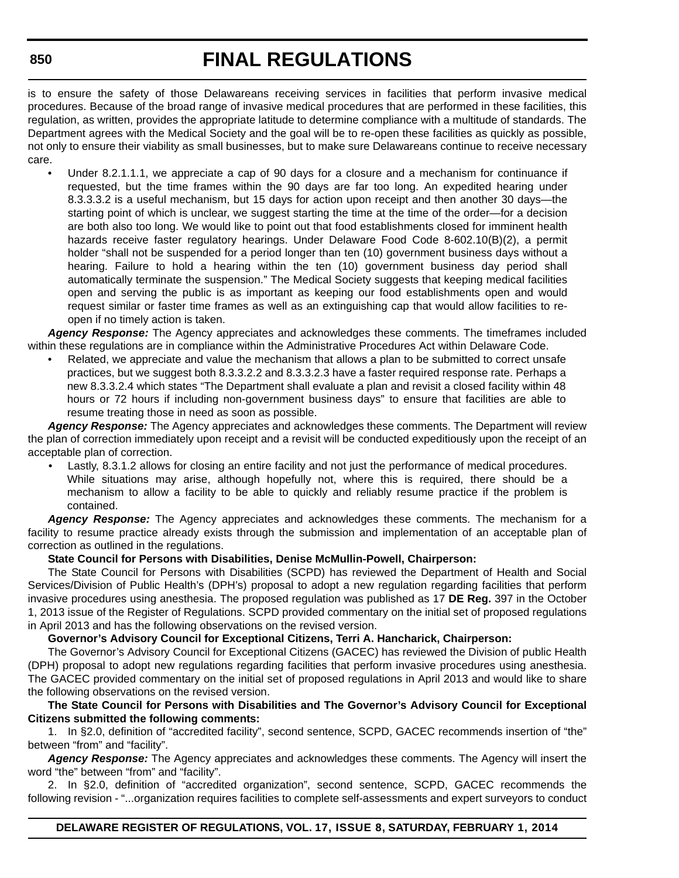# **FINAL REGULATIONS**

is to ensure the safety of those Delawareans receiving services in facilities that perform invasive medical procedures. Because of the broad range of invasive medical procedures that are performed in these facilities, this regulation, as written, provides the appropriate latitude to determine compliance with a multitude of standards. The Department agrees with the Medical Society and the goal will be to re-open these facilities as quickly as possible, not only to ensure their viability as small businesses, but to make sure Delawareans continue to receive necessary care.

Under 8.2.1.1.1, we appreciate a cap of 90 days for a closure and a mechanism for continuance if requested, but the time frames within the 90 days are far too long. An expedited hearing under 8.3.3.3.2 is a useful mechanism, but 15 days for action upon receipt and then another 30 days—the starting point of which is unclear, we suggest starting the time at the time of the order—for a decision are both also too long. We would like to point out that food establishments closed for imminent health hazards receive faster regulatory hearings. Under Delaware Food Code 8-602.10(B)(2), a permit holder "shall not be suspended for a period longer than ten (10) government business days without a hearing. Failure to hold a hearing within the ten (10) government business day period shall automatically terminate the suspension." The Medical Society suggests that keeping medical facilities open and serving the public is as important as keeping our food establishments open and would request similar or faster time frames as well as an extinguishing cap that would allow facilities to reopen if no timely action is taken.

*Agency Response:* The Agency appreciates and acknowledges these comments. The timeframes included within these regulations are in compliance within the Administrative Procedures Act within Delaware Code.

• Related, we appreciate and value the mechanism that allows a plan to be submitted to correct unsafe practices, but we suggest both 8.3.3.2.2 and 8.3.3.2.3 have a faster required response rate. Perhaps a new 8.3.3.2.4 which states "The Department shall evaluate a plan and revisit a closed facility within 48 hours or 72 hours if including non-government business days" to ensure that facilities are able to resume treating those in need as soon as possible.

*Agency Response:* The Agency appreciates and acknowledges these comments. The Department will review the plan of correction immediately upon receipt and a revisit will be conducted expeditiously upon the receipt of an acceptable plan of correction.

Lastly, 8.3.1.2 allows for closing an entire facility and not just the performance of medical procedures. While situations may arise, although hopefully not, where this is required, there should be a mechanism to allow a facility to be able to quickly and reliably resume practice if the problem is contained.

*Agency Response:* The Agency appreciates and acknowledges these comments. The mechanism for a facility to resume practice already exists through the submission and implementation of an acceptable plan of correction as outlined in the regulations.

## **State Council for Persons with Disabilities, Denise McMullin-Powell, Chairperson:**

The State Council for Persons with Disabilities (SCPD) has reviewed the Department of Health and Social Services/Division of Public Health's (DPH's) proposal to adopt a new regulation regarding facilities that perform invasive procedures using anesthesia. The proposed regulation was published as 17 **DE Reg.** 397 in the October 1, 2013 issue of the Register of Regulations. SCPD provided commentary on the initial set of proposed regulations in April 2013 and has the following observations on the revised version.

## **Governor's Advisory Council for Exceptional Citizens, Terri A. Hancharick, Chairperson:**

The Governor's Advisory Council for Exceptional Citizens (GACEC) has reviewed the Division of public Health (DPH) proposal to adopt new regulations regarding facilities that perform invasive procedures using anesthesia. The GACEC provided commentary on the initial set of proposed regulations in April 2013 and would like to share the following observations on the revised version.

#### **The State Council for Persons with Disabilities and The Governor's Advisory Council for Exceptional Citizens submitted the following comments:**

1. In §2.0, definition of "accredited facility", second sentence, SCPD, GACEC recommends insertion of "the" between "from" and "facility".

*Agency Response:* The Agency appreciates and acknowledges these comments. The Agency will insert the word "the" between "from" and "facility".

2. In §2.0, definition of "accredited organization", second sentence, SCPD, GACEC recommends the following revision - "...organization requires facilities to complete self-assessments and expert surveyors to conduct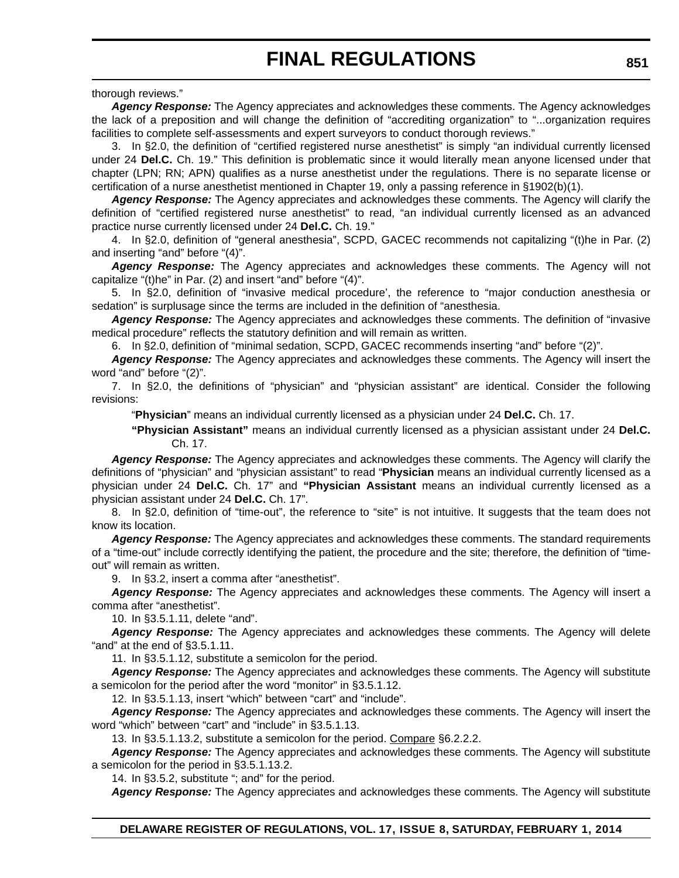thorough reviews."

*Agency Response:* The Agency appreciates and acknowledges these comments. The Agency acknowledges the lack of a preposition and will change the definition of "accrediting organization" to "...organization requires facilities to complete self-assessments and expert surveyors to conduct thorough reviews."

3. In §2.0, the definition of "certified registered nurse anesthetist" is simply "an individual currently licensed under 24 **Del.C.** Ch. 19." This definition is problematic since it would literally mean anyone licensed under that chapter (LPN; RN; APN) qualifies as a nurse anesthetist under the regulations. There is no separate license or certification of a nurse anesthetist mentioned in Chapter 19, only a passing reference in §1902(b)(1).

*Agency Response:* The Agency appreciates and acknowledges these comments. The Agency will clarify the definition of "certified registered nurse anesthetist" to read, "an individual currently licensed as an advanced practice nurse currently licensed under 24 **Del.C.** Ch. 19."

4. In §2.0, definition of "general anesthesia", SCPD, GACEC recommends not capitalizing "(t)he in Par. (2) and inserting "and" before "(4)".

*Agency Response:* The Agency appreciates and acknowledges these comments. The Agency will not capitalize "(t)he" in Par. (2) and insert "and" before "(4)".

5. In §2.0, definition of "invasive medical procedure', the reference to "major conduction anesthesia or sedation" is surplusage since the terms are included in the definition of "anesthesia.

*Agency Response:* The Agency appreciates and acknowledges these comments. The definition of "invasive medical procedure" reflects the statutory definition and will remain as written.

6. In §2.0, definition of "minimal sedation, SCPD, GACEC recommends inserting "and" before "(2)".

*Agency Response:* The Agency appreciates and acknowledges these comments. The Agency will insert the word "and" before "(2)".

7. In §2.0, the definitions of "physician" and "physician assistant" are identical. Consider the following revisions:

"**Physician**" means an individual currently licensed as a physician under 24 **Del.C.** Ch. 17.

**"Physician Assistant"** means an individual currently licensed as a physician assistant under 24 **Del.C.** Ch. 17.

*Agency Response:* The Agency appreciates and acknowledges these comments. The Agency will clarify the definitions of "physician" and "physician assistant" to read "**Physician** means an individual currently licensed as a physician under 24 **Del.C.** Ch. 17" and **"Physician Assistant** means an individual currently licensed as a physician assistant under 24 **Del.C.** Ch. 17".

8. In §2.0, definition of "time-out", the reference to "site" is not intuitive. It suggests that the team does not know its location.

*Agency Response:* The Agency appreciates and acknowledges these comments. The standard requirements of a "time-out" include correctly identifying the patient, the procedure and the site; therefore, the definition of "timeout" will remain as written.

9. In §3.2, insert a comma after "anesthetist".

*Agency Response:* The Agency appreciates and acknowledges these comments. The Agency will insert a comma after "anesthetist".

10. In §3.5.1.11, delete "and".

*Agency Response:* The Agency appreciates and acknowledges these comments. The Agency will delete "and" at the end of §3.5.1.11.

11. In §3.5.1.12, substitute a semicolon for the period.

*Agency Response:* The Agency appreciates and acknowledges these comments. The Agency will substitute a semicolon for the period after the word "monitor" in §3.5.1.12.

12. In §3.5.1.13, insert "which" between "cart" and "include".

*Agency Response:* The Agency appreciates and acknowledges these comments. The Agency will insert the word "which" between "cart" and "include" in §3.5.1.13.

13. In §3.5.1.13.2, substitute a semicolon for the period. Compare §6.2.2.2.

*Agency Response:* The Agency appreciates and acknowledges these comments. The Agency will substitute a semicolon for the period in §3.5.1.13.2.

14. In §3.5.2, substitute "; and" for the period.

*Agency Response:* The Agency appreciates and acknowledges these comments. The Agency will substitute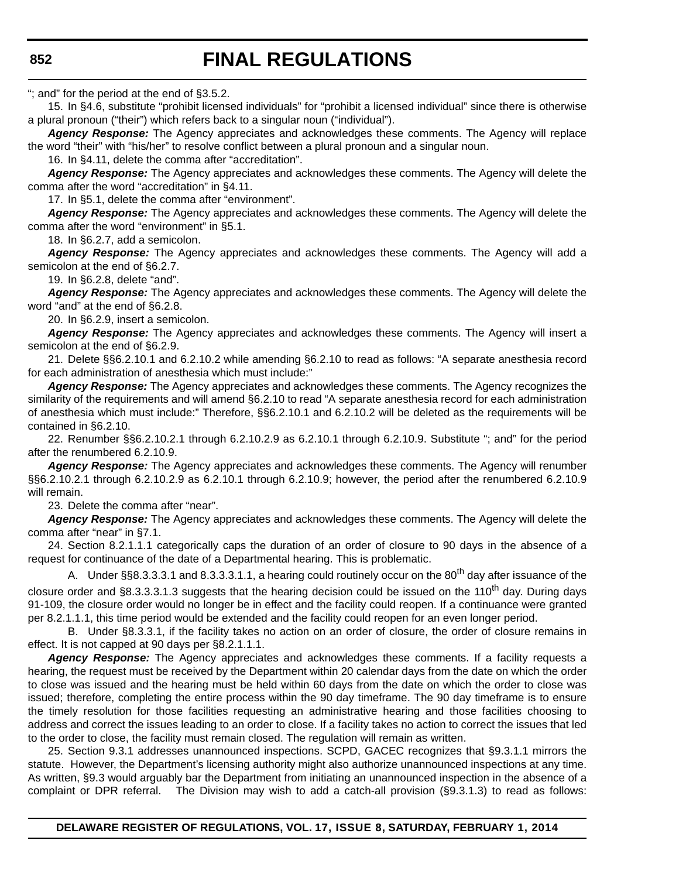# **FINAL REGULATIONS**

"; and" for the period at the end of §3.5.2.

15. In §4.6, substitute "prohibit licensed individuals" for "prohibit a licensed individual" since there is otherwise a plural pronoun ("their") which refers back to a singular noun ("individual").

*Agency Response:* The Agency appreciates and acknowledges these comments. The Agency will replace the word "their" with "his/her" to resolve conflict between a plural pronoun and a singular noun.

16. In §4.11, delete the comma after "accreditation".

*Agency Response:* The Agency appreciates and acknowledges these comments. The Agency will delete the comma after the word "accreditation" in §4.11.

17. In §5.1, delete the comma after "environment".

*Agency Response:* The Agency appreciates and acknowledges these comments. The Agency will delete the comma after the word "environment" in §5.1.

18. In §6.2.7, add a semicolon.

*Agency Response:* The Agency appreciates and acknowledges these comments. The Agency will add a semicolon at the end of §6.2.7.

19. In §6.2.8, delete "and".

*Agency Response:* The Agency appreciates and acknowledges these comments. The Agency will delete the word "and" at the end of §6.2.8.

20. In §6.2.9, insert a semicolon.

*Agency Response:* The Agency appreciates and acknowledges these comments. The Agency will insert a semicolon at the end of §6.2.9.

21. Delete §§6.2.10.1 and 6.2.10.2 while amending §6.2.10 to read as follows: "A separate anesthesia record for each administration of anesthesia which must include:"

*Agency Response:* The Agency appreciates and acknowledges these comments. The Agency recognizes the similarity of the requirements and will amend §6.2.10 to read "A separate anesthesia record for each administration of anesthesia which must include:" Therefore, §§6.2.10.1 and 6.2.10.2 will be deleted as the requirements will be contained in §6.2.10.

22. Renumber §§6.2.10.2.1 through 6.2.10.2.9 as 6.2.10.1 through 6.2.10.9. Substitute "; and" for the period after the renumbered 6.2.10.9.

*Agency Response:* The Agency appreciates and acknowledges these comments. The Agency will renumber §§6.2.10.2.1 through 6.2.10.2.9 as 6.2.10.1 through 6.2.10.9; however, the period after the renumbered 6.2.10.9 will remain.

23. Delete the comma after "near".

*Agency Response:* The Agency appreciates and acknowledges these comments. The Agency will delete the comma after "near" in §7.1.

24. Section 8.2.1.1.1 categorically caps the duration of an order of closure to 90 days in the absence of a request for continuance of the date of a Departmental hearing. This is problematic.

A. Under §§8.3.3.3.1 and 8.3.3.3.1.1, a hearing could routinely occur on the 80<sup>th</sup> day after issuance of the closure order and §8.3.3.3.1.3 suggests that the hearing decision could be issued on the 110<sup>th</sup> day. During days 91-109, the closure order would no longer be in effect and the facility could reopen. If a continuance were granted per 8.2.1.1.1, this time period would be extended and the facility could reopen for an even longer period.

B. Under §8.3.3.1, if the facility takes no action on an order of closure, the order of closure remains in effect. It is not capped at 90 days per §8.2.1.1.1.

*Agency Response:* The Agency appreciates and acknowledges these comments. If a facility requests a hearing, the request must be received by the Department within 20 calendar days from the date on which the order to close was issued and the hearing must be held within 60 days from the date on which the order to close was issued; therefore, completing the entire process within the 90 day timeframe. The 90 day timeframe is to ensure the timely resolution for those facilities requesting an administrative hearing and those facilities choosing to address and correct the issues leading to an order to close. If a facility takes no action to correct the issues that led to the order to close, the facility must remain closed. The regulation will remain as written.

25. Section 9.3.1 addresses unannounced inspections. SCPD, GACEC recognizes that §9.3.1.1 mirrors the statute. However, the Department's licensing authority might also authorize unannounced inspections at any time. As written, §9.3 would arguably bar the Department from initiating an unannounced inspection in the absence of a complaint or DPR referral. The Division may wish to add a catch-all provision (§9.3.1.3) to read as follows: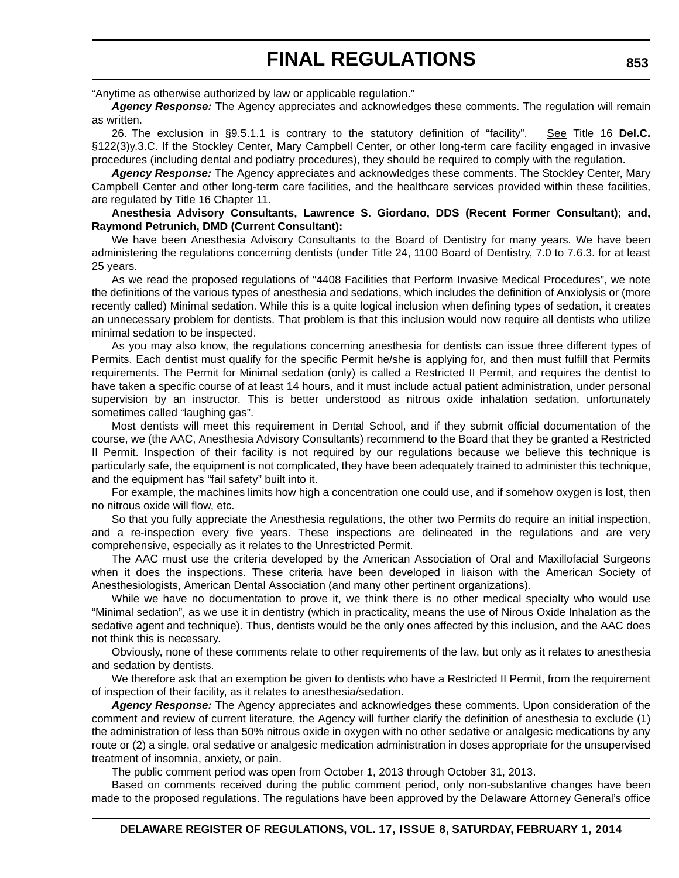"Anytime as otherwise authorized by law or applicable regulation."

*Agency Response:* The Agency appreciates and acknowledges these comments. The regulation will remain as written.

26. The exclusion in §9.5.1.1 is contrary to the statutory definition of "facility". See Title 16 Del.C. §122(3)y.3.C. If the Stockley Center, Mary Campbell Center, or other long-term care facility engaged in invasive procedures (including dental and podiatry procedures), they should be required to comply with the regulation.

*Agency Response:* The Agency appreciates and acknowledges these comments. The Stockley Center, Mary Campbell Center and other long-term care facilities, and the healthcare services provided within these facilities, are regulated by Title 16 Chapter 11.

#### **Anesthesia Advisory Consultants, Lawrence S. Giordano, DDS (Recent Former Consultant); and, Raymond Petrunich, DMD (Current Consultant):**

We have been Anesthesia Advisory Consultants to the Board of Dentistry for many years. We have been administering the regulations concerning dentists (under Title 24, 1100 Board of Dentistry, 7.0 to 7.6.3. for at least 25 years.

As we read the proposed regulations of "4408 Facilities that Perform Invasive Medical Procedures", we note the definitions of the various types of anesthesia and sedations, which includes the definition of Anxiolysis or (more recently called) Minimal sedation. While this is a quite logical inclusion when defining types of sedation, it creates an unnecessary problem for dentists. That problem is that this inclusion would now require all dentists who utilize minimal sedation to be inspected.

As you may also know, the regulations concerning anesthesia for dentists can issue three different types of Permits. Each dentist must qualify for the specific Permit he/she is applying for, and then must fulfill that Permits requirements. The Permit for Minimal sedation (only) is called a Restricted II Permit, and requires the dentist to have taken a specific course of at least 14 hours, and it must include actual patient administration, under personal supervision by an instructor. This is better understood as nitrous oxide inhalation sedation, unfortunately sometimes called "laughing gas".

Most dentists will meet this requirement in Dental School, and if they submit official documentation of the course, we (the AAC, Anesthesia Advisory Consultants) recommend to the Board that they be granted a Restricted II Permit. Inspection of their facility is not required by our regulations because we believe this technique is particularly safe, the equipment is not complicated, they have been adequately trained to administer this technique, and the equipment has "fail safety" built into it.

For example, the machines limits how high a concentration one could use, and if somehow oxygen is lost, then no nitrous oxide will flow, etc.

So that you fully appreciate the Anesthesia regulations, the other two Permits do require an initial inspection, and a re-inspection every five years. These inspections are delineated in the regulations and are very comprehensive, especially as it relates to the Unrestricted Permit.

The AAC must use the criteria developed by the American Association of Oral and Maxillofacial Surgeons when it does the inspections. These criteria have been developed in liaison with the American Society of Anesthesiologists, American Dental Association (and many other pertinent organizations).

While we have no documentation to prove it, we think there is no other medical specialty who would use "Minimal sedation", as we use it in dentistry (which in practicality, means the use of Nirous Oxide Inhalation as the sedative agent and technique). Thus, dentists would be the only ones affected by this inclusion, and the AAC does not think this is necessary.

Obviously, none of these comments relate to other requirements of the law, but only as it relates to anesthesia and sedation by dentists.

We therefore ask that an exemption be given to dentists who have a Restricted II Permit, from the requirement of inspection of their facility, as it relates to anesthesia/sedation.

*Agency Response:* The Agency appreciates and acknowledges these comments. Upon consideration of the comment and review of current literature, the Agency will further clarify the definition of anesthesia to exclude (1) the administration of less than 50% nitrous oxide in oxygen with no other sedative or analgesic medications by any route or (2) a single, oral sedative or analgesic medication administration in doses appropriate for the unsupervised treatment of insomnia, anxiety, or pain.

The public comment period was open from October 1, 2013 through October 31, 2013.

Based on comments received during the public comment period, only non-substantive changes have been made to the proposed regulations. The regulations have been approved by the Delaware Attorney General's office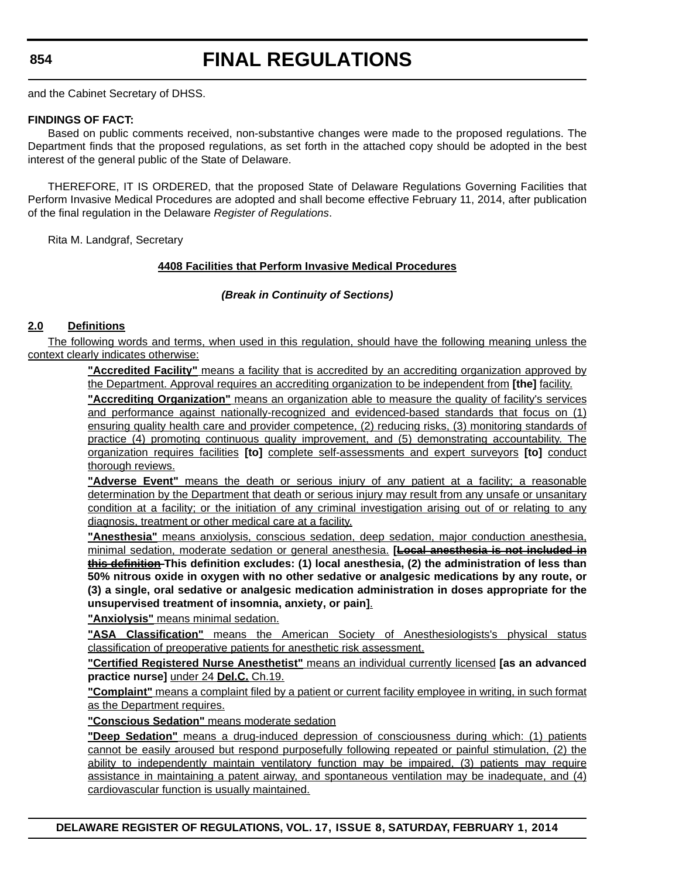# **FINAL REGULATIONS**

and the Cabinet Secretary of DHSS.

#### **FINDINGS OF FACT:**

Based on public comments received, non-substantive changes were made to the proposed regulations. The Department finds that the proposed regulations, as set forth in the attached copy should be adopted in the best interest of the general public of the State of Delaware.

THEREFORE, IT IS ORDERED, that the proposed State of Delaware Regulations Governing Facilities that Perform Invasive Medical Procedures are adopted and shall become effective February 11, 2014, after publication of the final regulation in the Delaware *Register of Regulations*.

Rita M. Landgraf, Secretary

## **4408 Facilities that Perform Invasive Medical Procedures**

## *(Break in Continuity of Sections)*

#### **2.0 Definitions**

The following words and terms, when used in this regulation, should have the following meaning unless the context clearly indicates otherwise:

> **"Accredited Facility"** means a facility that is accredited by an accrediting organization approved by the Department. Approval requires an accrediting organization to be independent from **[the]** facility.

> **"Accrediting Organization"** means an organization able to measure the quality of facility's services and performance against nationally-recognized and evidenced-based standards that focus on (1) ensuring quality health care and provider competence, (2) reducing risks, (3) monitoring standards of practice (4) promoting continuous quality improvement, and (5) demonstrating accountability. The organization requires facilities **[to]** complete self-assessments and expert surveyors **[to]** conduct thorough reviews.

> **"Adverse Event"** means the death or serious injury of any patient at a facility; a reasonable determination by the Department that death or serious injury may result from any unsafe or unsanitary condition at a facility; or the initiation of any criminal investigation arising out of or relating to any diagnosis, treatment or other medical care at a facility.

> **"Anesthesia"** means anxiolysis, conscious sedation, deep sedation, major conduction anesthesia, minimal sedation, moderate sedation or general anesthesia. **[Local anesthesia is not included in this definition This definition excludes: (1) local anesthesia, (2) the administration of less than 50% nitrous oxide in oxygen with no other sedative or analgesic medications by any route, or (3) a single, oral sedative or analgesic medication administration in doses appropriate for the unsupervised treatment of insomnia, anxiety, or pain]**.

**"Anxiolysis"** means minimal sedation.

**"ASA Classification"** means the American Society of Anesthesiologists's physical status classification of preoperative patients for anesthetic risk assessment.

**"Certified Registered Nurse Anesthetist"** means an individual currently licensed **[as an advanced practice nurse]** under 24 **Del.C.** Ch.19.

**"Complaint"** means a complaint filed by a patient or current facility employee in writing, in such format as the Department requires.

**"Conscious Sedation"** means moderate sedation

**"Deep Sedation"** means a drug-induced depression of consciousness during which: (1) patients cannot be easily aroused but respond purposefully following repeated or painful stimulation, (2) the ability to independently maintain ventilatory function may be impaired, (3) patients may require assistance in maintaining a patent airway, and spontaneous ventilation may be inadequate, and (4) cardiovascular function is usually maintained.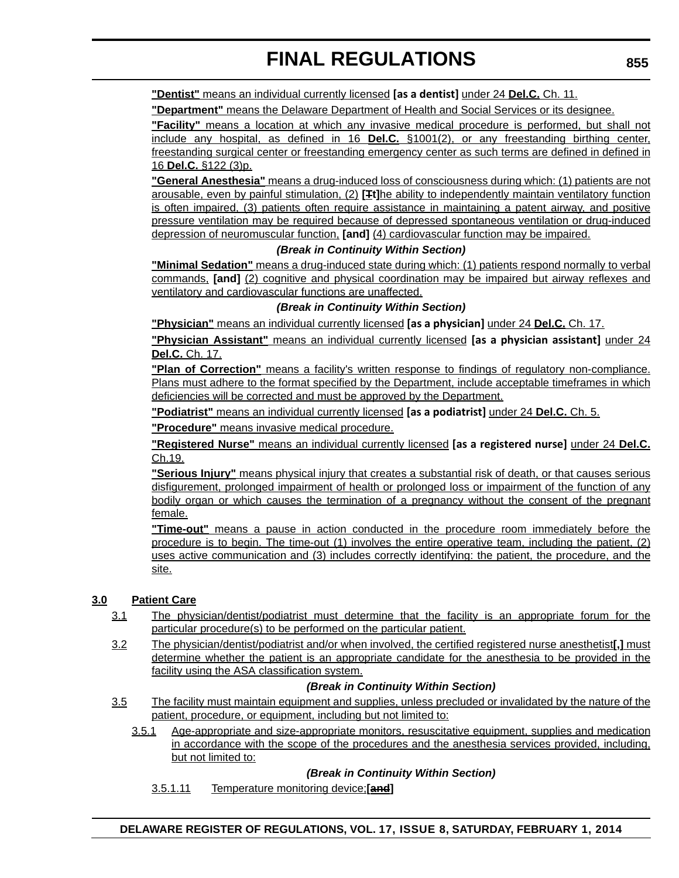**"Dentist"** means an individual currently licensed **[as a dentist]** under 24 **Del.C.** Ch. 11.

**"Department"** means the Delaware Department of Health and Social Services or its designee.

**"Facility"** means a location at which any invasive medical procedure is performed, but shall not include any hospital, as defined in 16 **Del.C.** §1001(2), or any freestanding birthing center, freestanding surgical center or freestanding emergency center as such terms are defined in defined in 16 **Del.C.** §122 (3)p.

**"General Anesthesia"** means a drug-induced loss of consciousness during which: (1) patients are not arousable, even by painful stimulation, (2) **[Tt]**he ability to independently maintain ventilatory function is often impaired, (3) patients often require assistance in maintaining a patent airway, and positive pressure ventilation may be required because of depressed spontaneous ventilation or drug-induced depression of neuromuscular function, **[and]** (4) cardiovascular function may be impaired.

#### *(Break in Continuity Within Section)*

**"Minimal Sedation"** means a drug-induced state during which: (1) patients respond normally to verbal commands, **[and]** (2) cognitive and physical coordination may be impaired but airway reflexes and ventilatory and cardiovascular functions are unaffected.

#### *(Break in Continuity Within Section)*

**"Physician"** means an individual currently licensed **[as a physician]** under 24 **Del.C.** Ch. 17.

**"Physician Assistant"** means an individual currently licensed **[as a physician assistant]** under 24 **Del.C.** Ch. 17.

**"Plan of Correction"** means a facility's written response to findings of regulatory non-compliance. Plans must adhere to the format specified by the Department, include acceptable timeframes in which deficiencies will be corrected and must be approved by the Department.

**"Podiatrist"** means an individual currently licensed **[as a podiatrist]** under 24 **Del.C.** Ch. 5.

**"Procedure"** means invasive medical procedure.

**"Registered Nurse"** means an individual currently licensed **[as a registered nurse]** under 24 **Del.C.** Ch.19.

**"Serious Injury"** means physical injury that creates a substantial risk of death, or that causes serious disfigurement, prolonged impairment of health or prolonged loss or impairment of the function of any bodily organ or which causes the termination of a pregnancy without the consent of the pregnant female.

**"Time-out"** means a pause in action conducted in the procedure room immediately before the procedure is to begin. The time-out (1) involves the entire operative team, including the patient, (2) uses active communication and (3) includes correctly identifying: the patient, the procedure, and the site.

## **3.0 Patient Care**

- 3.1 The physician/dentist/podiatrist must determine that the facility is an appropriate forum for the particular procedure(s) to be performed on the particular patient.
- 3.2 The physician/dentist/podiatrist and/or when involved, the certified registered nurse anesthetist**[,]** must determine whether the patient is an appropriate candidate for the anesthesia to be provided in the facility using the ASA classification system.

#### *(Break in Continuity Within Section)*

- 3.5 The facility must maintain equipment and supplies, unless precluded or invalidated by the nature of the patient, procedure, or equipment, including but not limited to:
	- 3.5.1 Age-appropriate and size-appropriate monitors, resuscitative equipment, supplies and medication in accordance with the scope of the procedures and the anesthesia services provided, including, but not limited to:

#### *(Break in Continuity Within Section)*

3.5.1.11 Temperature monitoring device;**[and]**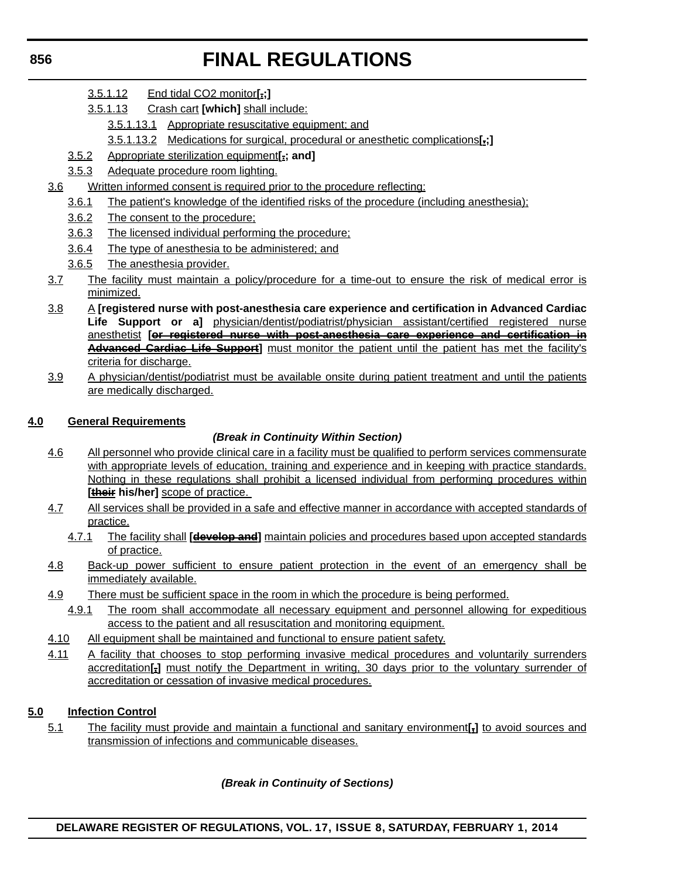- 3.5.1.12 End tidal CO2 monitor**[.;]**
- 3.5.1.13 Crash cart **[which]** shall include:
	- 3.5.1.13.1 Appropriate resuscitative equipment; and
	- 3.5.1.13.2 Medications for surgical, procedural or anesthetic complications**[.;]**
- 3.5.2 Appropriate sterilization equipment**[.; and]**
- 3.5.3 Adequate procedure room lighting.
- 3.6 Written informed consent is required prior to the procedure reflecting:
	- 3.6.1 The patient's knowledge of the identified risks of the procedure (including anesthesia);
	- 3.6.2 The consent to the procedure;
	- 3.6.3 The licensed individual performing the procedure;
	- 3.6.4 The type of anesthesia to be administered; and
	- 3.6.5 The anesthesia provider.
- 3.7 The facility must maintain a policy/procedure for a time-out to ensure the risk of medical error is minimized.
- 3.8 A **[registered nurse with post-anesthesia care experience and certification in Advanced Cardiac** Life Support or a] physician/dentist/podiatrist/physician assistant/certified registered nurse anesthetist **[or registered nurse with post-anesthesia care experience and certification in Advanced Cardiac Life Support]** must monitor the patient until the patient has met the facility's criteria for discharge.
- 3.9 A physician/dentist/podiatrist must be available onsite during patient treatment and until the patients are medically discharged.

## **4.0 General Requirements**

## *(Break in Continuity Within Section)*

- 4.6 All personnel who provide clinical care in a facility must be qualified to perform services commensurate with appropriate levels of education, training and experience and in keeping with practice standards. Nothing in these regulations shall prohibit a licensed individual from performing procedures within [their his/her] **scope of practice**.
- 4.7 All services shall be provided in a safe and effective manner in accordance with accepted standards of practice.
	- 4.7.1 The facility shall **[develop and]** maintain policies and procedures based upon accepted standards of practice.
- 4.8 Back-up power sufficient to ensure patient protection in the event of an emergency shall be immediately available.
- 4.9 There must be sufficient space in the room in which the procedure is being performed.
	- 4.9.1 The room shall accommodate all necessary equipment and personnel allowing for expeditious access to the patient and all resuscitation and monitoring equipment.
- 4.10 All equipment shall be maintained and functional to ensure patient safety.
- 4.11 A facility that chooses to stop performing invasive medical procedures and voluntarily surrenders accreditation**[,]** must notify the Department in writing, 30 days prior to the voluntary surrender of accreditation or cessation of invasive medical procedures.

## **5.0 Infection Control**

5.1 The facility must provide and maintain a functional and sanitary environment**[,]** to avoid sources and transmission of infections and communicable diseases.

## *(Break in Continuity of Sections)*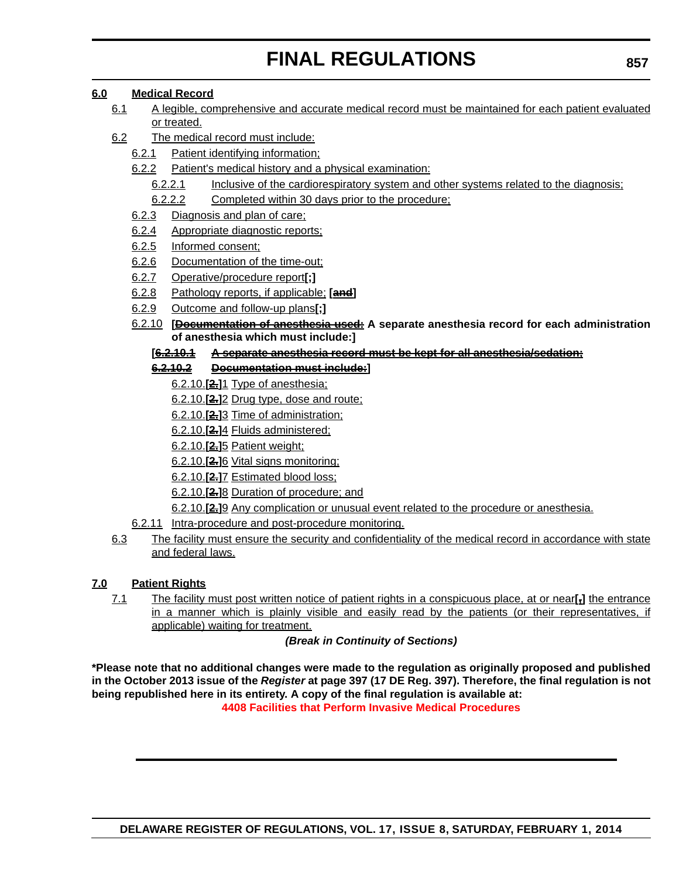## **6.0 Medical Record**

- 6.1 A legible, comprehensive and accurate medical record must be maintained for each patient evaluated or treated.
- 6.2 The medical record must include:
	- 6.2.1 Patient identifying information;
	- 6.2.2 Patient's medical history and a physical examination:
		- 6.2.2.1 Inclusive of the cardiorespiratory system and other systems related to the diagnosis;
		- 6.2.2.2 Completed within 30 days prior to the procedure:
	- 6.2.3 Diagnosis and plan of care;
	- 6.2.4 Appropriate diagnostic reports;
	- 6.2.5 Informed consent;
	- 6.2.6 Documentation of the time-out;
	- 6.2.7 Operative/procedure report**[;]**
	- 6.2.8 Pathology reports, if applicable; **[and]**
	- 6.2.9 Outcome and follow-up plans**[;]**
	- 6.2.10 **[Documentation of anesthesia used: A separate anesthesia record for each administration of anesthesia which must include:]**
		- **[6.2.10.1 A separate anesthesia record must be kept for all anesthesia/sedation;**

## **6.2.10.2 Documentation must include:]**

- 6.2.10.**[2.]**1 Type of anesthesia;
- 6.2.10.**[2.]**2 Drug type, dose and route;
- 6.2.10.**[2.]**3 Time of administration;
- 6.2.10.**[2.]**4 Fluids administered;
- 6.2.10.**[2.]**5 Patient weight;
- 6.2.10.**[2.]**6 Vital signs monitoring;
- 6.2.10.**[2.]**7 Estimated blood loss;
- 6.2.10.**[2.]**8 Duration of procedure; and
- 6.2.10.**[2.]**9 Any complication or unusual event related to the procedure or anesthesia.
- 6.2.11 Intra-procedure and post-procedure monitoring.
- 6.3 The facility must ensure the security and confidentiality of the medical record in accordance with state and federal laws.

## **7.0 Patient Rights**

7.1 The facility must post written notice of patient rights in a conspicuous place, at or near**[,]** the entrance in a manner which is plainly visible and easily read by the patients (or their representatives, if applicable) waiting for treatment.

## *(Break in Continuity of Sections)*

**\*Please note that no additional changes were made to the regulation as originally proposed and published in the October 2013 issue of the** *Register* **at page 397 (17 DE Reg. 397). Therefore, the final regulation is not being republished here in its entirety. A copy of the final regulation is available at: [4408 Facilities that Perform Invasive Medical Procedures](http://regulations.delaware.gov/register/february2014/final/17 DE Reg 848 02-01-14.htm)**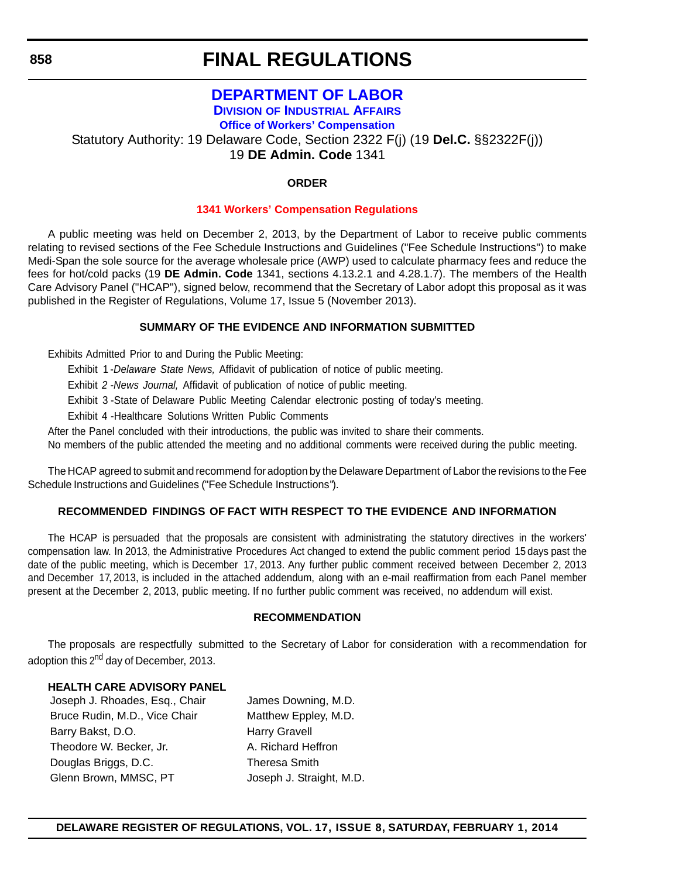## **FINAL REGULATIONS**

## **[DEPARTMENT OF LABOR](http://dia.delawareworks.com/workers-comp/)**

**DIVISION OF INDUSTRIAL AFFAIRS**

**Office of Workers' Compensation**

Statutory Authority: 19 Delaware Code, Section 2322 F(j) (19 **Del.C.** §§2322F(j))

19 **DE Admin. Code** 1341

## **ORDER**

#### **[1341 Workers' Compensation Regulations](#page-4-0)**

A public meeting was held on December 2, 2013, by the Department of Labor to receive public comments relating to revised sections of the Fee Schedule Instructions and Guidelines ("Fee Schedule Instructions'') to make Medi-Span the sole source for the average wholesale price (AWP) used to calculate pharmacy fees and reduce the fees for hot/cold packs (19 **DE Admin. Code** 1341, sections 4.13.2.1 and 4.28.1.7). The members of the Health Care Advisory Panel ("HCAP"), signed below, recommend that the Secretary of Labor adopt this proposal as it was published in the Register of Regulations, Volume 17, Issue 5 (November 2013).

## **SUMMARY OF THE EVIDENCE AND INFORMATION SUBMITTED**

Exhibits Admitted Prior to and During the Public Meeting:

Exhibit 1 -*Delaware State News,* Affidavit of publication of notice of public meeting.

Exhibit *2 -News Journal,* Affidavit of publication of notice of public meeting.

Exhibit 3 -State of Delaware Public Meeting Calendar electronic posting of today's meeting.

Exhibit 4 -Healthcare Solutions Written Public Comments

After the Panel concluded with their introductions, the public was invited to share their comments.

No members of the public attended the meeting and no additional comments were received during the public meeting.

The HCAP agreed to submit and recommend for adoption by the Delaware Department of Labor the revisions to the Fee Schedule Instructions and Guidelines ("Fee Schedule Instructions").

## **RECOMMENDED FINDINGS OF FACT WITH RESPECT TO THE EVIDENCE AND INFORMATION**

The HCAP is persuaded that the proposals are consistent with administrating the statutory directives in the workers' compensation law. In 2013, the Administrative Procedures Act changed to extend the public comment period 15 days past the date of the public meeting, which is December 17, 2013. Any further public comment received between December 2, 2013 and December 17, 2013, is included in the attached addendum, along with an e-mail reaffirmation from each Panel member present at the December 2, 2013, public meeting. If no further public comment was received, no addendum will exist.

#### **RECOMMENDATION**

The proposals are respectfully submitted to the Secretary of Labor for consideration with a recommendation for adoption this 2<sup>nd</sup> day of December, 2013.

#### **HEALTH CARE ADVISORY PANEL**

Joseph J. Rhoades, Esq., Chair James Downing, M.D. Bruce Rudin, M.D., Vice Chair Matthew Eppley, M.D. Barry Bakst, D.O. **Harry Gravell** Theodore W. Becker, Jr. A. Richard Heffron Douglas Briggs, D.C. Theresa Smith Glenn Brown, MMSC, PT Joseph J. Straight, M.D.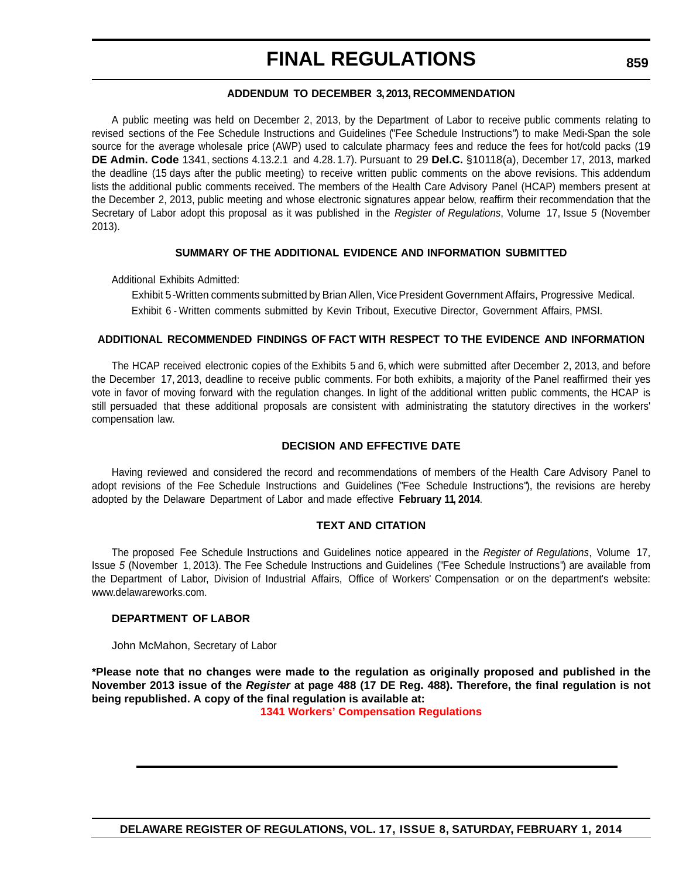#### **ADDENDUM TO DECEMBER 3, 2013, RECOMMENDATION**

A public meeting was held on December 2, 2013, by the Department of Labor to receive public comments relating to revised sections of the Fee Schedule Instructions and Guidelines ("Fee Schedule Instructions") to make Medi-Span the sole source for the average wholesale price (AWP) used to calculate pharmacy fees and reduce the fees for hot/cold packs (19 **DE Admin. Code** 1341, sections 4.13.2.1 and 4.28. 1.7). Pursuant to 29 **Del.C.** §10118(a), December 17, 2013, marked the deadline (15 days after the public meeting) to receive written public comments on the above revisions. This addendum lists the additional public comments received. The members of the Health Care Advisory Panel (HCAP) members present at the December 2, 2013, public meeting and whose electronic signatures appear below, reaffirm their recommendation that the Secretary of Labor adopt this proposal as it was published in the *Register of Regulations*, Volume 17, Issue *5* (November 2013).

#### **SUMMARY OF THE ADDITIONAL EVIDENCE AND INFORMATION SUBMITTED**

Additional Exhibits Admitted:

Exhibit 5 - Written comments submitted by Brian Allen, Vice President Government Affairs, Progressive Medical. Exhibit 6 - Written comments submitted by Kevin Tribout, Executive Director, Government Affairs, PMSI.

#### **ADDITIONAL RECOMMENDED FINDINGS OF FACT WITH RESPECT TO THE EVIDENCE AND INFORMATION**

The HCAP received electronic copies of the Exhibits 5 and 6, which were submitted after December 2, 2013, and before the December 17, 2013, deadline to receive public comments. For both exhibits, a majority of the Panel reaffirmed their yes vote in favor of moving forward with the regulation changes. In light of the additional written public comments, the HCAP is still persuaded that these additional proposals are consistent with administrating the statutory directives in the workers' compensation law.

#### **DECISION AND EFFECTIVE DATE**

Having reviewed and considered the record and recommendations of members of the Health Care Advisory Panel to adopt revisions of the Fee Schedule Instructions and Guidelines ("Fee Schedule Instructions"), the revisions are hereby adopted by the Delaware Department of Labor and made effective **February 11, 2014**.

#### **TEXT AND CITATION**

The proposed Fee Schedule Instructions and Guidelines notice appeared in the *Register of Regulations*, Volume 17, Issue *5* (November 1, 2013). The Fee Schedule Instructions and [Guidelines \("Fee Schedule Instructions"\) are available from](http://www.delawareworks.com/) the Department of Labor, Division [of Industrial Affairs, Office of Workers' Compensation or on the department's website:](http://www.delawareworks.com/) www.delawareworks.com.

#### **DEPARTMENT OF LABOR**

John McMahon, Secretary of Labor

**\*Please note that no changes were made to the regulation as originally proposed and published in the November 2013 issue of the** *Register* **at page 488 (17 DE Reg. 488). Therefore, the final regulation is not being republished. A copy of the final regulation is available at:**

**[1341 Workers' Compensation Regulations](http://regulations.delaware.gov/register/february2014/final/17 DE Reg 858 02-01-14.htm)**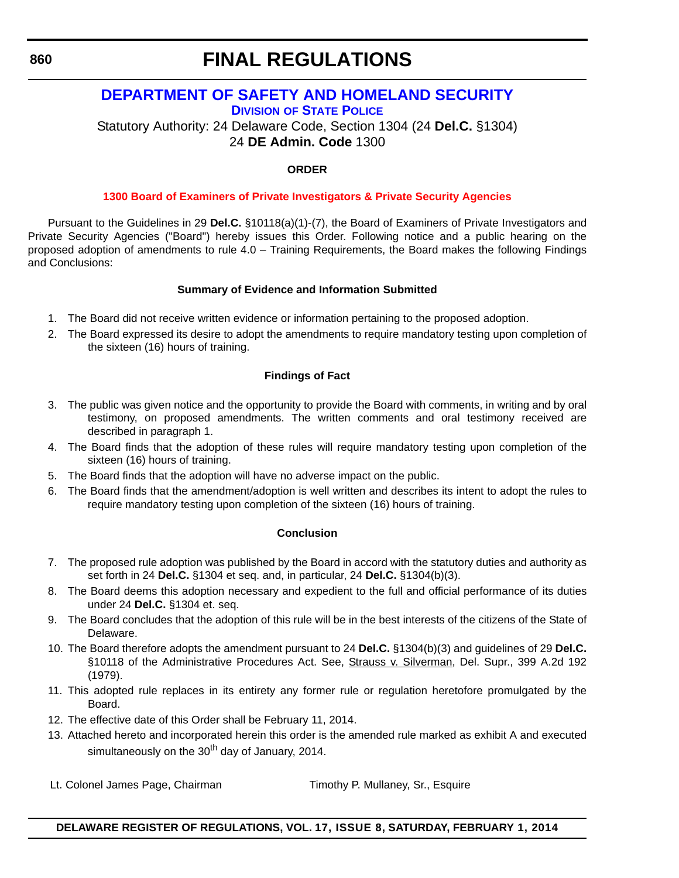# **FINAL REGULATIONS**

## **[DEPARTMENT OF SAFETY AND HOMELAND SECURITY](http://dsp.delaware.gov/) DIVISION OF STATE POLICE**

Statutory Authority: 24 Delaware Code, Section 1304 (24 **Del.C.** §1304) 24 **DE Admin. Code** 1300

## **ORDER**

## **[1300 Board of Examiners of Private Investigators & Private Security Agencies](#page-4-0)**

Pursuant to the Guidelines in 29 **Del.C.** §10118(a)(1)-(7), the Board of Examiners of Private Investigators and Private Security Agencies ("Board") hereby issues this Order. Following notice and a public hearing on the proposed adoption of amendments to rule 4.0 – Training Requirements, the Board makes the following Findings and Conclusions:

## **Summary of Evidence and Information Submitted**

- 1. The Board did not receive written evidence or information pertaining to the proposed adoption.
- 2. The Board expressed its desire to adopt the amendments to require mandatory testing upon completion of the sixteen (16) hours of training.

## **Findings of Fact**

- 3. The public was given notice and the opportunity to provide the Board with comments, in writing and by oral testimony, on proposed amendments. The written comments and oral testimony received are described in paragraph 1.
- 4. The Board finds that the adoption of these rules will require mandatory testing upon completion of the sixteen (16) hours of training.
- 5. The Board finds that the adoption will have no adverse impact on the public.
- 6. The Board finds that the amendment/adoption is well written and describes its intent to adopt the rules to require mandatory testing upon completion of the sixteen (16) hours of training.

## **Conclusion**

- 7. The proposed rule adoption was published by the Board in accord with the statutory duties and authority as set forth in 24 **Del.C.** §1304 et seq. and, in particular, 24 **Del.C.** §1304(b)(3).
- 8. The Board deems this adoption necessary and expedient to the full and official performance of its duties under 24 **Del.C.** §1304 et. seq.
- 9. The Board concludes that the adoption of this rule will be in the best interests of the citizens of the State of Delaware.
- 10. The Board therefore adopts the amendment pursuant to 24 **Del.C.** §1304(b)(3) and guidelines of 29 **Del.C.** §10118 of the Administrative Procedures Act. See, Strauss v. Silverman, Del. Supr., 399 A.2d 192 (1979).
- 11. This adopted rule replaces in its entirety any former rule or regulation heretofore promulgated by the Board.
- 12. The effective date of this Order shall be February 11, 2014.
- 13. Attached hereto and incorporated herein this order is the amended rule marked as exhibit A and executed simultaneously on the  $30<sup>th</sup>$  day of January, 2014.
- Lt. Colonel James Page, Chairman Timothy P. Mullaney, Sr., Esquire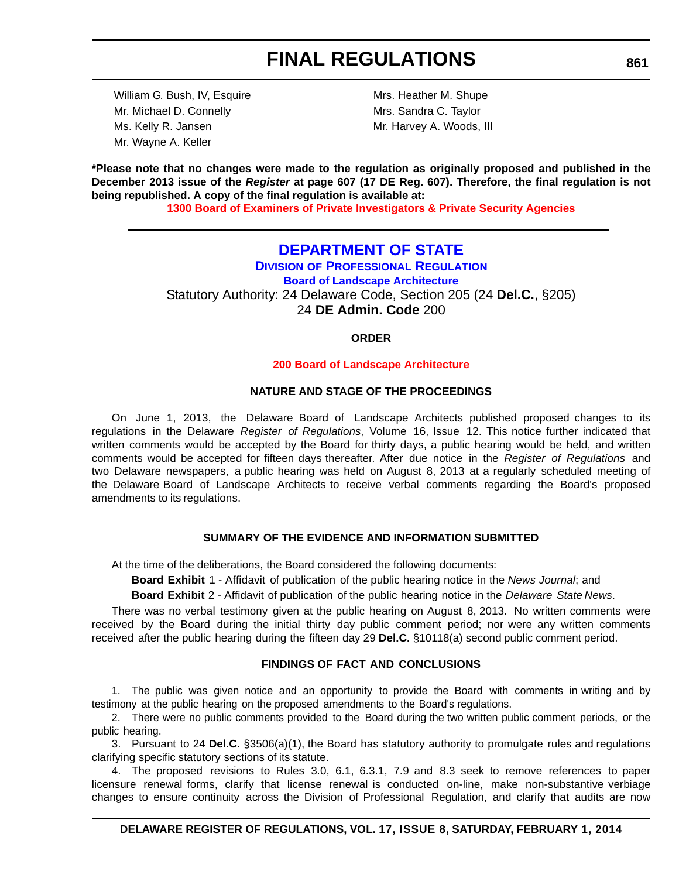William G. Bush, IV, Esquire Mrs. Heather M. Shupe Mr. Michael D. Connelly Mrs. Sandra C. Taylor Ms. Kelly R. Jansen Mr. Harvey A. Woods, III Mr. Wayne A. Keller

**\*Please note that no changes were made to the regulation as originally proposed and published in the December 2013 issue of the** *Register* **at page 607 (17 DE Reg. 607). Therefore, the final regulation is not being republished. A copy of the final regulation is available at:**

**[1300 Board of Examiners of Private Investigators & Private Security Agencies](http://regulations.delaware.gov/register/february2014/final/17 DE Reg 860 02-01-14.htm)**

## **[DEPARTMENT OF STATE](http://dpr.delaware.gov/)**

**DIVISION OF PROFESSIONAL REGULATION Board of Landscape Architecture** Statutory Authority: 24 Delaware Code, Section 205 (24 **Del.C.**, §205) 24 **DE Admin. Code** 200

#### **ORDER**

#### **[200 Board of Landscape Architecture](#page-4-0)**

#### **NATURE AND STAGE OF THE PROCEEDINGS**

On June 1, 2013, the Delaware Board of Landscape Architects published proposed changes to its regulations in the Delaware *Register of Regulations*, Volume 16, Issue 12. This notice further indicated that written comments would be accepted by the Board for thirty days, a public hearing would be held, and written comments would be accepted for fifteen days thereafter. After due notice in the *Register of Regulations* and two Delaware newspapers, a public hearing was held on August 8, 2013 at a regularly scheduled meeting of the Delaware Board of Landscape Architects to receive verbal comments regarding the Board's proposed amendments to its regulations.

#### **SUMMARY OF THE EVIDENCE AND INFORMATION SUBMITTED**

At the time of the deliberations, the Board considered the following documents:

**Board Exhibit** 1 - Affidavit of publication of the public hearing notice in the *News Journal*; and

**Board Exhibit** 2 - Affidavit of publication of the public hearing notice in the *Delaware State News*.

There was no verbal testimony given at the public hearing on August 8, 2013. No written comments were received by the Board during the initial thirty day public comment period; nor were any written comments received after the public hearing during the fifteen day 29 **Del.C.** §10118(a) second public comment period.

## **FINDINGS OF FACT AND CONCLUSIONS**

1. The public was given notice and an opportunity to provide the Board with comments in writing and by testimony at the public hearing on the proposed amendments to the Board's regulations.

2. There were no public comments provided to the Board during the two written public comment periods, or the public hearing.

3. Pursuant to 24 **Del.C.** §3506(a)(1), the Board has statutory authority to promulgate rules and regulations clarifying specific statutory sections of its statute.

4. The proposed revisions to Rules 3.0, 6.1, 6.3.1, 7.9 and 8.3 seek to remove references to paper licensure renewal forms, clarify that license renewal is conducted on-line, make non-substantive verbiage changes to ensure continuity across the Division of Professional Regulation, and clarify that audits are now

#### **DELAWARE REGISTER OF REGULATIONS, VOL. 17, ISSUE 8, SATURDAY, FEBRUARY 1, 2014**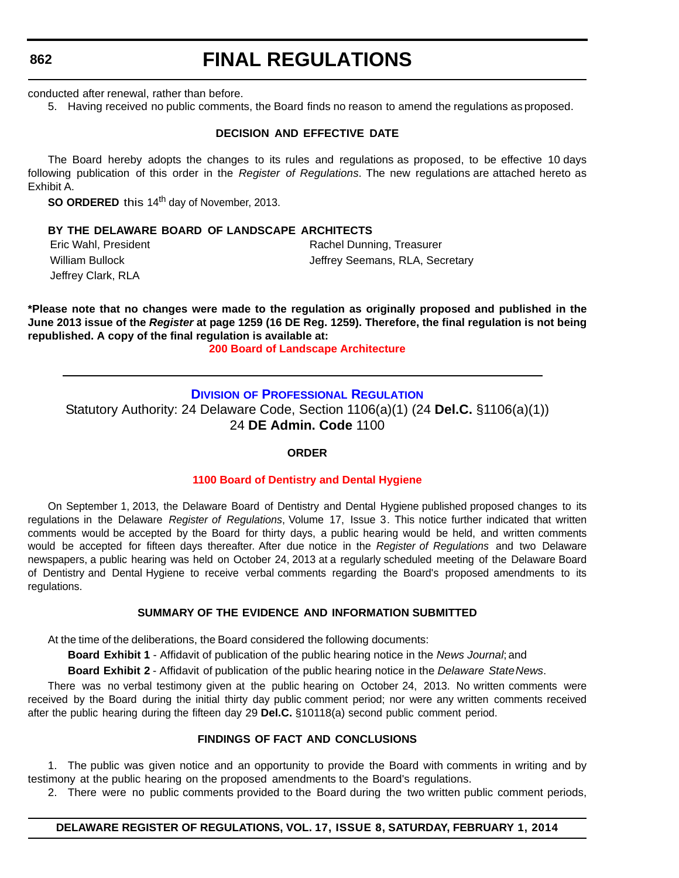# **FINAL REGULATIONS**

conducted after renewal, rather than before.

5. Having received no public comments, the Board finds no reason to amend the regulations as proposed.

#### **DECISION AND EFFECTIVE DATE**

The Board hereby adopts the changes to its rules and regulations as proposed, to be effective 10 days following publication of this order in the *Register of Regulations*. The new regulations are attached hereto as Exhibit A.

**SO ORDERED** this 14<sup>th</sup> day of November, 2013.

#### **BY THE DELAWARE BOARD OF LANDSCAPE ARCHITECTS**

Jeffrey Clark, RLA

Eric Wahl, President **Rachel Dunning, Treasurer** Rachel Dunning, Treasurer William Bullock **Victor** Communiculary Seemans, RLA, Secretary

**\*Please note that no changes were made to the regulation as originally proposed and published in the June 2013 issue of the** *Register* **at page 1259 (16 DE Reg. 1259). Therefore, the final regulation is not being republished. A copy of the final regulation is available at:**

**[200 Board of Landscape Architecture](http://regulations.delaware.gov/register/february2014/final/17 DE Reg 861 02-01-14.htm)**

#### **DIVISION [OF PROFESSIONAL REGULATION](http://dpr.delaware.gov/)**

Statutory Authority: 24 Delaware Code, Section 1106(a)(1) (24 **Del.C.** §1106(a)(1)) 24 **DE Admin. Code** 1100

#### **ORDER**

#### **[1100 Board of Dentistry and Dental Hygiene](#page-4-0)**

On September 1, 2013, the Delaware Board of Dentistry and Dental Hygiene published proposed changes to its regulations in the Delaware *Register of Regulations*, Volume 17, Issue 3. This notice further indicated that written comments would be accepted by the Board for thirty days, a public hearing would be held, and written comments would be accepted for fifteen days thereafter. After due notice in the *Register of Regulations* and two Delaware newspapers, a public hearing was held on October 24, 2013 at a regularly scheduled meeting of the Delaware Board of Dentistry and Dental Hygiene to receive verbal comments regarding the Board's proposed amendments to its regulations.

#### **SUMMARY OF THE EVIDENCE AND INFORMATION SUBMITTED**

At the time of the deliberations, the Board considered the following documents:

**Board Exhibit 1** - Affidavit of publication of the public hearing notice in the *News Journal*; and

**Board Exhibit 2** - Affidavit of publication of the public hearing notice in the *Delaware State News*.

There was no verbal testimony given at the public hearing on October 24, 2013. No written comments were received by the Board during the initial thirty day public comment period; nor were any written comments received after the public hearing during the fifteen day 29 **Del.C.** §10118(a) second public comment period.

#### **FINDINGS OF FACT AND CONCLUSIONS**

1. The public was given notice and an opportunity to provide the Board with comments in writing and by testimony at the public hearing on the proposed amendments to the Board's regulations.

2. There were no public comments provided to the Board during the two written public comment periods,

## **DELAWARE REGISTER OF REGULATIONS, VOL. 17, ISSUE 8, SATURDAY, FEBRUARY 1, 2014**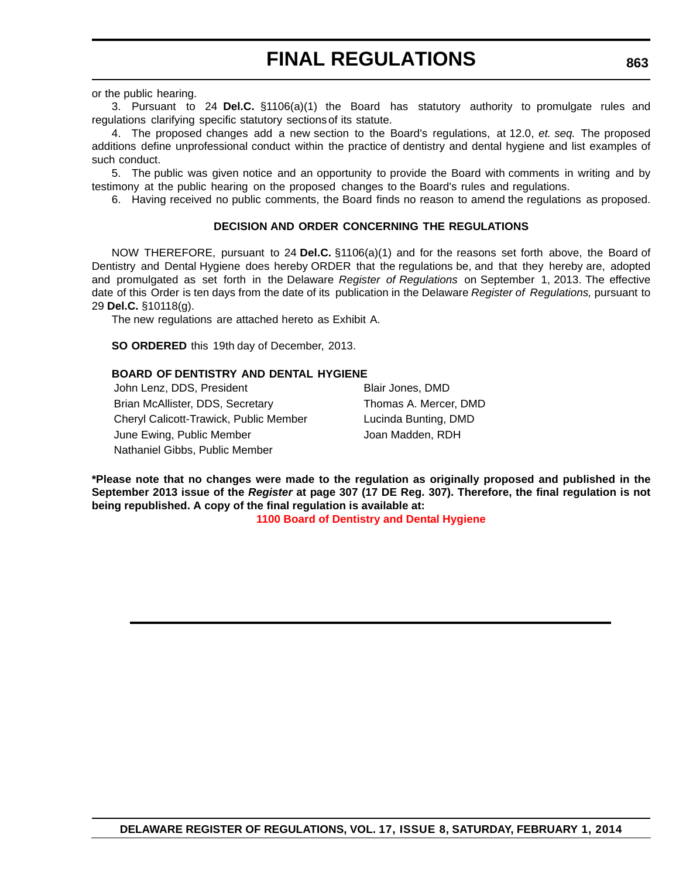or the public hearing.

3. Pursuant to 24 **Del.C.** §1106(a)(1) the Board has statutory authority to promulgate rules and regulations clarifying specific statutory sections of its statute.

4. The proposed changes add a new section to the Board's regulations, at 12.0, *et. seq.* The proposed additions define unprofessional conduct within the practice of dentistry and dental hygiene and list examples of such conduct.

5. The public was given notice and an opportunity to provide the Board with comments in writing and by testimony at the public hearing on the proposed changes to the Board's rules and regulations.

6. Having received no public comments, the Board finds no reason to amend the regulations as proposed.

#### **DECISION AND ORDER CONCERNING THE REGULATIONS**

NOW THEREFORE, pursuant to 24 **Del.C.** §1106(a)(1) and for the reasons set forth above, the Board of Dentistry and Dental Hygiene does hereby ORDER that the regulations be, and that they hereby are, adopted and promulgated as set forth in the Delaware *Register of Regulations* on September 1, 2013. The effective date of this Order is ten days from the date of its publication in the Delaware *Register of Regulations,* pursuant to 29 **Del.C.** §10118(g).

The new regulations are attached hereto as Exhibit A.

**SO ORDERED** this 19th day of December, 2013.

#### **BOARD OF DENTISTRY AND DENTAL HYGIENE**

John Lenz, DDS, President Blair Jones, DMD Brian McAllister, DDS, Secretary Thomas A. Mercer, DMD Cheryl Calicott-Trawick, Public Member Lucinda Bunting, DMD June Ewing, Public Member Joan Madden, RDH Nathaniel Gibbs, Public Member

**\*Please note that no changes were made to the regulation as originally proposed and published in the September 2013 issue of the** *Register* **at page 307 (17 DE Reg. 307). Therefore, the final regulation is not being republished. A copy of the final regulation is available at:**

**[1100 Board of Dentistry and Dental Hygiene](http://regulations.delaware.gov/register/february2014/final/17 DE Reg 862 02-01-14.htm)**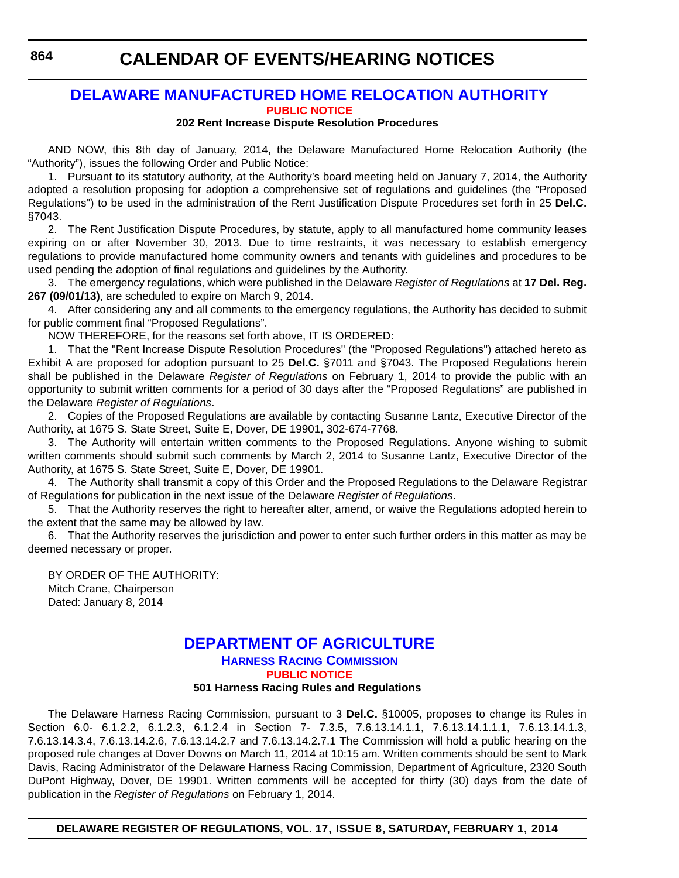## **[DELAWARE MANUFACTURED HOME RELOCATION AUTHORITY](http://demhra.delaware.gov/) [PUBLIC NOTICE](#page-4-0)**

### **202 Rent Increase Dispute Resolution Procedures**

AND NOW, this 8th day of January, 2014, the Delaware Manufactured Home Relocation Authority (the "Authority"), issues the following Order and Public Notice:

1. Pursuant to its statutory authority, at the Authority's board meeting held on January 7, 2014, the Authority adopted a resolution proposing for adoption a comprehensive set of regulations and guidelines (the "Proposed Regulations") to be used in the administration of the Rent Justification Dispute Procedures set forth in 25 **Del.C.** §7043.

2. The Rent Justification Dispute Procedures, by statute, apply to all manufactured home community leases expiring on or after November 30, 2013. Due to time restraints, it was necessary to establish emergency regulations to provide manufactured home community owners and tenants with guidelines and procedures to be used pending the adoption of final regulations and guidelines by the Authority.

3. The emergency regulations, which were published in the Delaware *Register of Regulations* at **17 Del. Reg. 267 (09/01/13)**, are scheduled to expire on March 9, 2014.

4. After considering any and all comments to the emergency regulations, the Authority has decided to submit for public comment final "Proposed Regulations".

NOW THEREFORE, for the reasons set forth above, IT IS ORDERED:

1. That the "Rent Increase Dispute Resolution Procedures" (the "Proposed Regulations") attached hereto as Exhibit A are proposed for adoption pursuant to 25 **Del.C.** §7011 and §7043. The Proposed Regulations herein shall be published in the Delaware *Register of Regulations* on February 1, 2014 to provide the public with an opportunity to submit written comments for a period of 30 days after the "Proposed Regulations" are published in the Delaware *Register of Regulations*.

2. Copies of the Proposed Regulations are available by contacting Susanne Lantz, Executive Director of the Authority, at 1675 S. State Street, Suite E, Dover, DE 19901, 302-674-7768.

3. The Authority will entertain written comments to the Proposed Regulations. Anyone wishing to submit written comments should submit such comments by March 2, 2014 to Susanne Lantz, Executive Director of the Authority, at 1675 S. State Street, Suite E, Dover, DE 19901.

4. The Authority shall transmit a copy of this Order and the Proposed Regulations to the Delaware Registrar of Regulations for publication in the next issue of the Delaware *Register of Regulations*.

5. That the Authority reserves the right to hereafter alter, amend, or waive the Regulations adopted herein to the extent that the same may be allowed by law.

6. That the Authority reserves the jurisdiction and power to enter such further orders in this matter as may be deemed necessary or proper.

BY ORDER OF THE AUTHORITY: Mitch Crane, Chairperson Dated: January 8, 2014

## **[DEPARTMENT OF AGRICULTURE](http://dda.delaware.gov/harness/index.shtml) HARNESS RACING COMMISSION [PUBLIC NOTICE](#page-4-0) 501 Harness Racing Rules and Regulations**

The Delaware Harness Racing Commission, pursuant to 3 **Del.C.** §10005, proposes to change its Rules in Section 6.0- 6.1.2.2, 6.1.2.3, 6.1.2.4 in Section 7- 7.3.5, 7.6.13.14.1.1, 7.6.13.14.1.1.1, 7.6.13.14.1.3, 7.6.13.14.3.4, 7.6.13.14.2.6, 7.6.13.14.2.7 and 7.6.13.14.2.7.1 The Commission will hold a public hearing on the proposed rule changes at Dover Downs on March 11, 2014 at 10:15 am. Written comments should be sent to Mark Davis, Racing Administrator of the Delaware Harness Racing Commission, Department of Agriculture, 2320 South DuPont Highway, Dover, DE 19901. Written comments will be accepted for thirty (30) days from the date of publication in the *Register of Regulations* on February 1, 2014.

## **DELAWARE REGISTER OF REGULATIONS, VOL. 17, ISSUE 8, SATURDAY, FEBRUARY 1, 2014**

**864**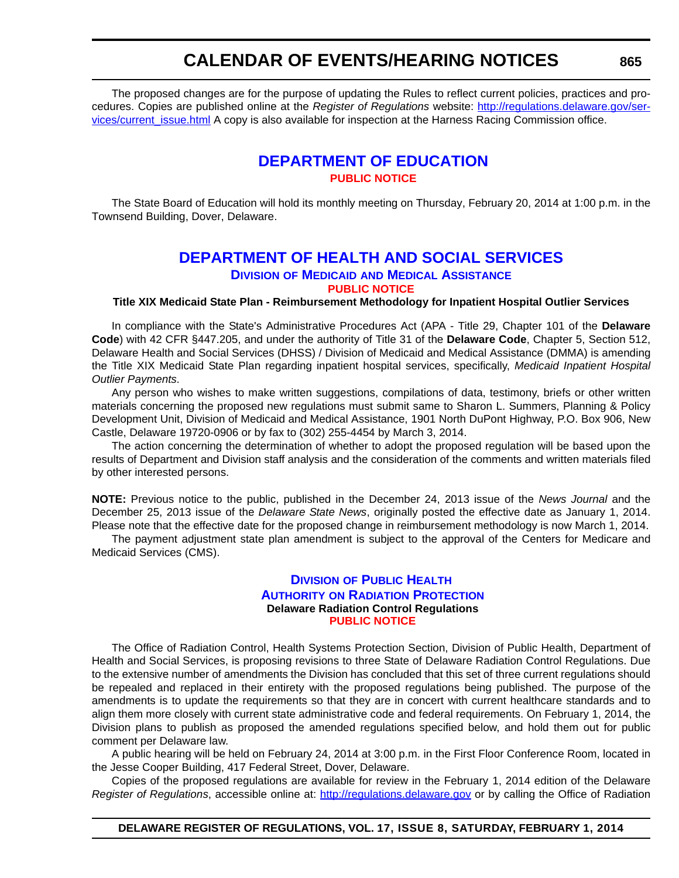The proposed changes are for the purpose of updating the Rules to reflect current policies, practices and procedures. Copies are published online at the *Register of Regulations* website: [http://regulations.delaware.gov/ser](http://regulations.delaware.gov/services/current_issue.html)[vices/current\\_issue.html](http://regulations.delaware.gov/services/current_issue.html) A copy is also available for inspection at the Harness Racing Commission office.

## **[DEPARTMENT OF EDUCATION](http://www.doe.k12.de.us/) [PUBLIC NOTICE](#page-4-0)**

The State Board of Education will hold its monthly meeting on Thursday, February 20, 2014 at 1:00 p.m. in the Townsend Building, Dover, Delaware.

# **[DEPARTMENT OF HEALTH AND SOCIAL SERVICES](http://www.dhss.delaware.gov/dhss/dmma/)**

**DIVISION OF MEDICAID AND MEDICAL ASSISTANCE**

**[PUBLIC NOTICE](#page-4-0)**

**Title XIX Medicaid State Plan - Reimbursement Methodology for Inpatient Hospital Outlier Services**

In compliance with the State's Administrative Procedures Act (APA - Title 29, Chapter 101 of the **Delaware Code**) with 42 CFR §447.205, and under the authority of Title 31 of the **Delaware Code**, Chapter 5, Section 512, Delaware Health and Social Services (DHSS) / Division of Medicaid and Medical Assistance (DMMA) is amending the Title XIX Medicaid State Plan regarding inpatient hospital services, specifically, *Medicaid Inpatient Hospital Outlier Payments*.

Any person who wishes to make written suggestions, compilations of data, testimony, briefs or other written materials concerning the proposed new regulations must submit same to Sharon L. Summers, Planning & Policy Development Unit, Division of Medicaid and Medical Assistance, 1901 North DuPont Highway, P.O. Box 906, New Castle, Delaware 19720-0906 or by fax to (302) 255-4454 by March 3, 2014.

The action concerning the determination of whether to adopt the proposed regulation will be based upon the results of Department and Division staff analysis and the consideration of the comments and written materials filed by other interested persons.

**NOTE:** Previous notice to the public, published in the December 24, 2013 issue of the *News Journal* and the December 25, 2013 issue of the *Delaware State News*, originally posted the effective date as January 1, 2014. Please note that the effective date for the proposed change in reimbursement methodology is now March 1, 2014.

The payment adjustment state plan amendment is subject to the approval of the Centers for Medicare and Medicaid Services (CMS).

## **DIVISION OF PUBLIC HEALTH AUTHORITY ON RADIATION P[ROTECTION](http://www.dhss.delaware.gov/dhss/dph/index.html) Delaware Radiation Control Regulations [PUBLIC NOTICE](#page-4-0)**

The Office of Radiation Control, Health Systems Protection Section, Division of Public Health, Department of Health and Social Services, is proposing revisions to three State of Delaware Radiation Control Regulations. Due to the extensive number of amendments the Division has concluded that this set of three current regulations should be repealed and replaced in their entirety with the proposed regulations being published. The purpose of the amendments is to update the requirements so that they are in concert with current healthcare standards and to align them more closely with current state administrative code and federal requirements. On February 1, 2014, the Division plans to publish as proposed the amended regulations specified below, and hold them out for public comment per Delaware law.

A public hearing will be held on February 24, 2014 at 3:00 p.m. in the First Floor Conference Room, located in the Jesse Cooper Building, 417 Federal Street, Dover, Delaware.

Copies of the proposed regulations are available for review in the February 1, 2014 edition of the Delaware *Register of Regulations*, accessible online at: http://regulations.delaware.gov or by calling the Office of Radiation

## **DELAWARE REGISTER OF REGULATIONS, VOL. 17, ISSUE 8, SATURDAY, FEBRUARY 1, 2014**

**865**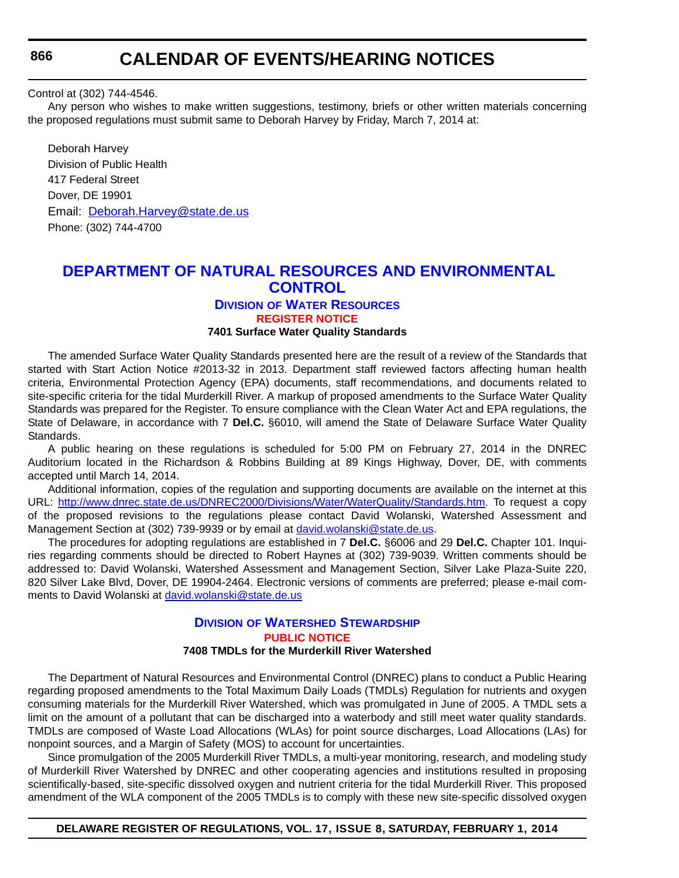**866**

## **CALENDAR OF EVENTS/HEARING NOTICES**

Control at (302) 744-4546.

Any person who wishes to make written suggestions, testimony, briefs or other written materials concerning the proposed regulations must submit same to Deborah Harvey by Friday, March 7, 2014 at:

Deborah Harvey Division of Public Health 417 Federal Street Dover, DE 19901 Email: Deborah.Harvey@state.de.us Phone: (302) 744-4700

## **[DEPARTMENT OF NATURAL RESOURCES AND ENVIRONMENTAL](http://www.dnrec.delaware.gov/wr/Pages/Default.aspx) CONTROL**

## **DIVISION OF WATER RESOURCES**

**[REGISTER NOTICE](#page-4-0)**

### **7401 Surface Water Quality Standards**

The amended Surface Water Quality Standards presented here are the result of a review of the Standards that started with Start Action Notice #2013-32 in 2013. Department staff reviewed factors affecting human health criteria, Environmental Protection Agency (EPA) documents, staff recommendations, and documents related to site-specific criteria for the tidal Murderkill River. A markup of proposed amendments to the Surface Water Quality Standards was prepared for the Register. To ensure compliance with the Clean Water Act and EPA regulations, the State of Delaware, in accordance with 7 **Del.C.** §6010, will amend the State of Delaware Surface Water Quality Standards.

A public hearing on these regulations is scheduled for 5:00 PM on February 27, 2014 in the DNREC Auditorium located in the Richardson & Robbins Building at 89 Kings Highway, Dover, DE, with comments accepted until March 14, 2014.

Additional information, copies of the regulation and supporting documents are available on the internet at this URL: [http://www.dnrec.state.de.us/DNREC2000/Divisions/Water/WaterQuality/Standards.htm.](http://www.dnrec.state.de.us/DNREC2000/Divisions/Water/WaterQuality/Standards.htm) To request a copy of the proposed revisions to the regulations please contact David Wolanski, Watershed Assessment and Management Section at (302) 739-9939 or by email at [david.wolanski@state.de.us](mailto:david.wolanski@state.de.us).

The procedures for adopting regulations are established in 7 **Del.C.** §6006 and 29 **Del.C.** Chapter 101. Inquiries regarding comments should be directed to Robert Haynes at (302) 739-9039. Written comments should be addressed to: David Wolanski, Watershed Assessment and Management Section, Silver Lake Plaza-Suite 220, 820 Silver Lake Blvd, Dover, DE 19904-2464. Electronic versions of comments are preferred; please e-mail comments to David Wolanski at [david.wolanski@state.de.us](mailto:david.wolanski@state.de.us)

## **DIVISION OF WATERSHED S[TEWARDSHIP](http://www.dnrec.delaware.gov/swc/Pages/default.aspx) [PUBLIC NOTICE](#page-4-0) 7408 TMDLs for the Murderkill River Watershed**

The Department of Natural Resources and Environmental Control (DNREC) plans to conduct a Public Hearing regarding proposed amendments to the Total Maximum Daily Loads (TMDLs) Regulation for nutrients and oxygen consuming materials for the Murderkill River Watershed, which was promulgated in June of 2005. A TMDL sets a limit on the amount of a pollutant that can be discharged into a waterbody and still meet water quality standards. TMDLs are composed of Waste Load Allocations (WLAs) for point source discharges, Load Allocations (LAs) for nonpoint sources, and a Margin of Safety (MOS) to account for uncertainties.

Since promulgation of the 2005 Murderkill River TMDLs, a multi-year monitoring, research, and modeling study of Murderkill River Watershed by DNREC and other cooperating agencies and institutions resulted in proposing scientifically-based, site-specific dissolved oxygen and nutrient criteria for the tidal Murderkill River. This proposed amendment of the WLA component of the 2005 TMDLs is to comply with these new site-specific dissolved oxygen

## **DELAWARE REGISTER OF REGULATIONS, VOL. 17, ISSUE 8, SATURDAY, FEBRUARY 1, 2014**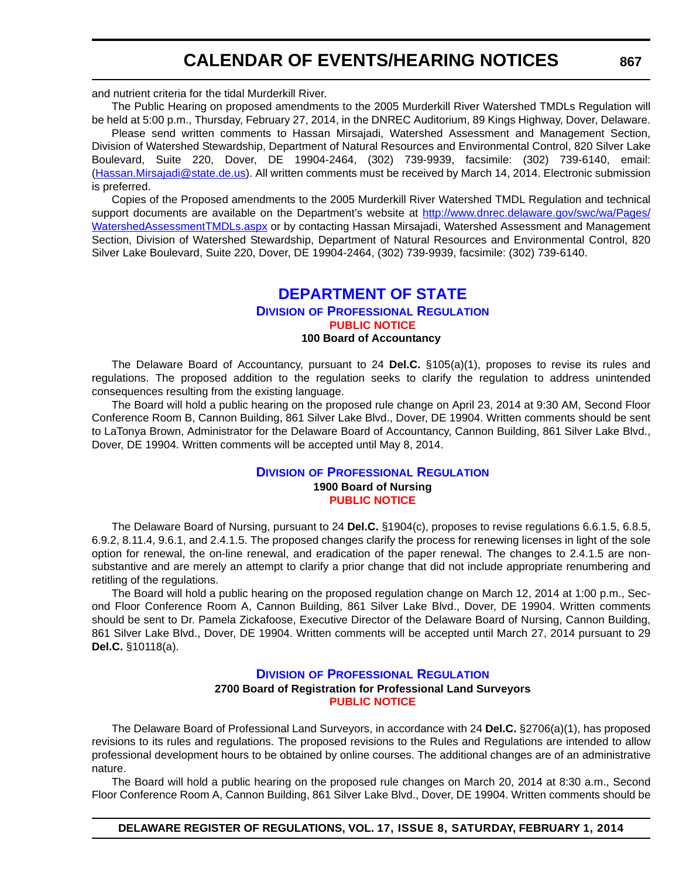and nutrient criteria for the tidal Murderkill River.

The Public Hearing on proposed amendments to the 2005 Murderkill River Watershed TMDLs Regulation will be held at 5:00 p.m., Thursday, February 27, 2014, in the DNREC Auditorium, 89 Kings Highway, Dover, Delaware.

Please send written comments to Hassan Mirsajadi, Watershed Assessment and Management Section, Division of Watershed Stewardship, Department of Natural Resources and Environmental Control, 820 Silver Lake Boulevard, Suite 220, Dover, DE 19904-2464, (302) 739-9939, facsimile: (302) 739-6140, email: (Hassan.Mirsajadi@state.de.us). All written comments must be received by March 14, 2014. Electronic submission is preferred.

Copies of the Proposed amendments to the 2005 Murderkill River Watershed TMDL Regulation and technical support documents are available on the Department's website at [http://www.dnrec.delaware.gov/swc/wa/Pages/](http://www.dnrec.delaware.gov/swc/wa/Pages/WatershedAssessmentTMDLs.aspx) [WatershedAssessmentTMDLs.aspx](http://www.dnrec.delaware.gov/swc/wa/Pages/WatershedAssessmentTMDLs.aspx) or by contacting Hassan Mirsajadi, Watershed Assessment and Management Section, Division of Watershed Stewardship, Department of Natural Resources and Environmental Control, 820 Silver Lake Boulevard, Suite 220, Dover, DE 19904-2464, (302) 739-9939, facsimile: (302) 739-6140.

## **[DEPARTMENT OF STATE](http://dpr.delaware.gov/)**

## **DIVISION OF PROFESSIONAL REGULATION [PUBLIC NOTICE](#page-4-0)**

### **100 Board of Accountancy**

The Delaware Board of Accountancy, pursuant to 24 **Del.C.** §105(a)(1), proposes to revise its rules and regulations. The proposed addition to the regulation seeks to clarify the regulation to address unintended consequences resulting from the existing language.

The Board will hold a public hearing on the proposed rule change on April 23, 2014 at 9:30 AM, Second Floor Conference Room B, Cannon Building, 861 Silver Lake Blvd., Dover, DE 19904. Written comments should be sent to LaTonya Brown, Administrator for the Delaware Board of Accountancy, Cannon Building, 861 Silver Lake Blvd., Dover, DE 19904. Written comments will be accepted until May 8, 2014.

## **DIVISION OF P[ROFESSIONAL](http://dpr.delaware.gov/) REGULATION 1900 Board of Nursing [PUBLIC NOTICE](#page-4-0)**

The Delaware Board of Nursing, pursuant to 24 **Del.C.** §1904(c), proposes to revise regulations 6.6.1.5, 6.8.5, 6.9.2, 8.11.4, 9.6.1, and 2.4.1.5. The proposed changes clarify the process for renewing licenses in light of the sole option for renewal, the on-line renewal, and eradication of the paper renewal. The changes to 2.4.1.5 are nonsubstantive and are merely an attempt to clarify a prior change that did not include appropriate renumbering and retitling of the regulations.

The Board will hold a public hearing on the proposed regulation change on March 12, 2014 at 1:00 p.m., Second Floor Conference Room A, Cannon Building, 861 Silver Lake Blvd., Dover, DE 19904. Written comments should be sent to Dr. Pamela Zickafoose, Executive Director of the Delaware Board of Nursing, Cannon Building, 861 Silver Lake Blvd., Dover, DE 19904. Written comments will be accepted until March 27, 2014 pursuant to 29 **Del.C.** §10118(a).

### **DIVISION OF P[ROFESSIONAL](http://dpr.delaware.gov/) REGULATION**

#### **2700 Board of Registration for Professional Land Surveyors [PUBLIC NOTICE](#page-4-0)**

The Delaware Board of Professional Land Surveyors, in accordance with 24 **Del.C.** §2706(a)(1), has proposed revisions to its rules and regulations. The proposed revisions to the Rules and Regulations are intended to allow professional development hours to be obtained by online courses. The additional changes are of an administrative nature.

The Board will hold a public hearing on the proposed rule changes on March 20, 2014 at 8:30 a.m., Second Floor Conference Room A, Cannon Building, 861 Silver Lake Blvd., Dover, DE 19904. Written comments should be

**DELAWARE REGISTER OF REGULATIONS, VOL. 17, ISSUE 8, SATURDAY, FEBRUARY 1, 2014**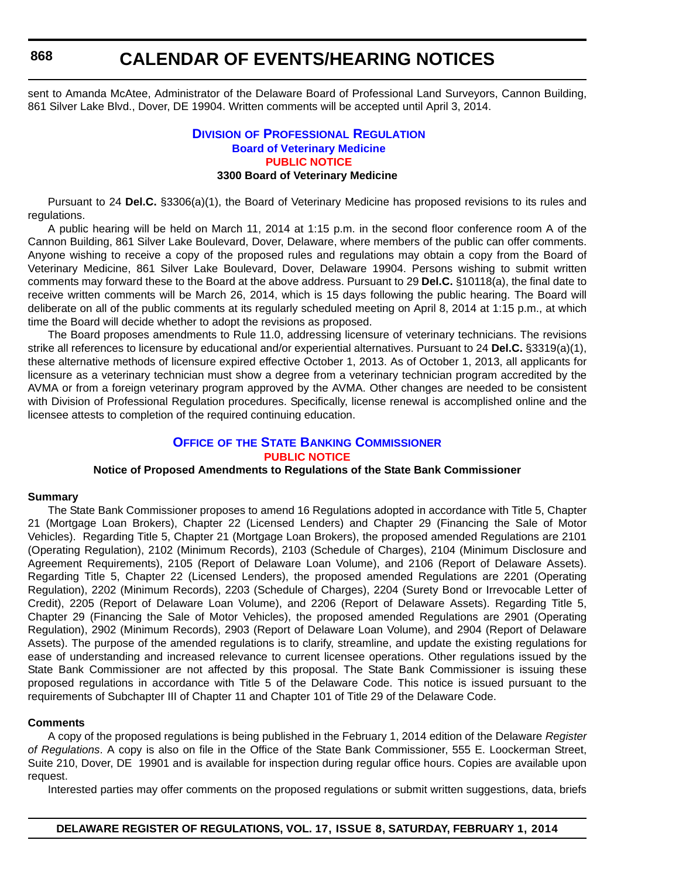sent to Amanda McAtee, Administrator of the Delaware Board of Professional Land Surveyors, Cannon Building, 861 Silver Lake Blvd., Dover, DE 19904. Written comments will be accepted until April 3, 2014.

## **DIVISION OF PROFESSIONAL REGULATION [Board of Veterinary Medicine](http://dpr.delaware.gov/) [PUBLIC NOTICE](#page-4-0) 3300 Board of Veterinary Medicine**

Pursuant to 24 **Del.C.** §3306(a)(1), the Board of Veterinary Medicine has proposed revisions to its rules and regulations.

A public hearing will be held on March 11, 2014 at 1:15 p.m. in the second floor conference room A of the Cannon Building, 861 Silver Lake Boulevard, Dover, Delaware, where members of the public can offer comments. Anyone wishing to receive a copy of the proposed rules and regulations may obtain a copy from the Board of Veterinary Medicine, 861 Silver Lake Boulevard, Dover, Delaware 19904. Persons wishing to submit written comments may forward these to the Board at the above address. Pursuant to 29 **Del.C.** §10118(a), the final date to receive written comments will be March 26, 2014, which is 15 days following the public hearing. The Board will deliberate on all of the public comments at its regularly scheduled meeting on April 8, 2014 at 1:15 p.m., at which time the Board will decide whether to adopt the revisions as proposed.

The Board proposes amendments to Rule 11.0, addressing licensure of veterinary technicians. The revisions strike all references to licensure by educational and/or experiential alternatives. Pursuant to 24 **Del.C.** §3319(a)(1), these alternative methods of licensure expired effective October 1, 2013. As of October 1, 2013, all applicants for licensure as a veterinary technician must show a degree from a veterinary technician program accredited by the AVMA or from a foreign veterinary program approved by the AVMA. Other changes are needed to be consistent with Division of Professional Regulation procedures. Specifically, license renewal is accomplished online and the licensee attests to completion of the required continuing education.

## **OFFICE OF THE STATE BANKING C[OMMISSIONER](http://banking.delaware.gov/) [PUBLIC NOTICE](#page-4-0)**

## **Notice of Proposed Amendments to Regulations of the State Bank Commissioner**

#### **Summary**

The State Bank Commissioner proposes to amend 16 Regulations adopted in accordance with Title 5, Chapter 21 (Mortgage Loan Brokers), Chapter 22 (Licensed Lenders) and Chapter 29 (Financing the Sale of Motor Vehicles). Regarding Title 5, Chapter 21 (Mortgage Loan Brokers), the proposed amended Regulations are 2101 (Operating Regulation), 2102 (Minimum Records), 2103 (Schedule of Charges), 2104 (Minimum Disclosure and Agreement Requirements), 2105 (Report of Delaware Loan Volume), and 2106 (Report of Delaware Assets). Regarding Title 5, Chapter 22 (Licensed Lenders), the proposed amended Regulations are 2201 (Operating Regulation), 2202 (Minimum Records), 2203 (Schedule of Charges), 2204 (Surety Bond or Irrevocable Letter of Credit), 2205 (Report of Delaware Loan Volume), and 2206 (Report of Delaware Assets). Regarding Title 5, Chapter 29 (Financing the Sale of Motor Vehicles), the proposed amended Regulations are 2901 (Operating Regulation), 2902 (Minimum Records), 2903 (Report of Delaware Loan Volume), and 2904 (Report of Delaware Assets). The purpose of the amended regulations is to clarify, streamline, and update the existing regulations for ease of understanding and increased relevance to current licensee operations. Other regulations issued by the State Bank Commissioner are not affected by this proposal. The State Bank Commissioner is issuing these proposed regulations in accordance with Title 5 of the Delaware Code. This notice is issued pursuant to the requirements of Subchapter III of Chapter 11 and Chapter 101 of Title 29 of the Delaware Code.

#### **Comments**

A copy of the proposed regulations is being published in the February 1, 2014 edition of the Delaware *Register of Regulations*. A copy is also on file in the Office of the State Bank Commissioner, 555 E. Loockerman Street, Suite 210, Dover, DE 19901 and is available for inspection during regular office hours. Copies are available upon request.

Interested parties may offer comments on the proposed regulations or submit written suggestions, data, briefs

**868**